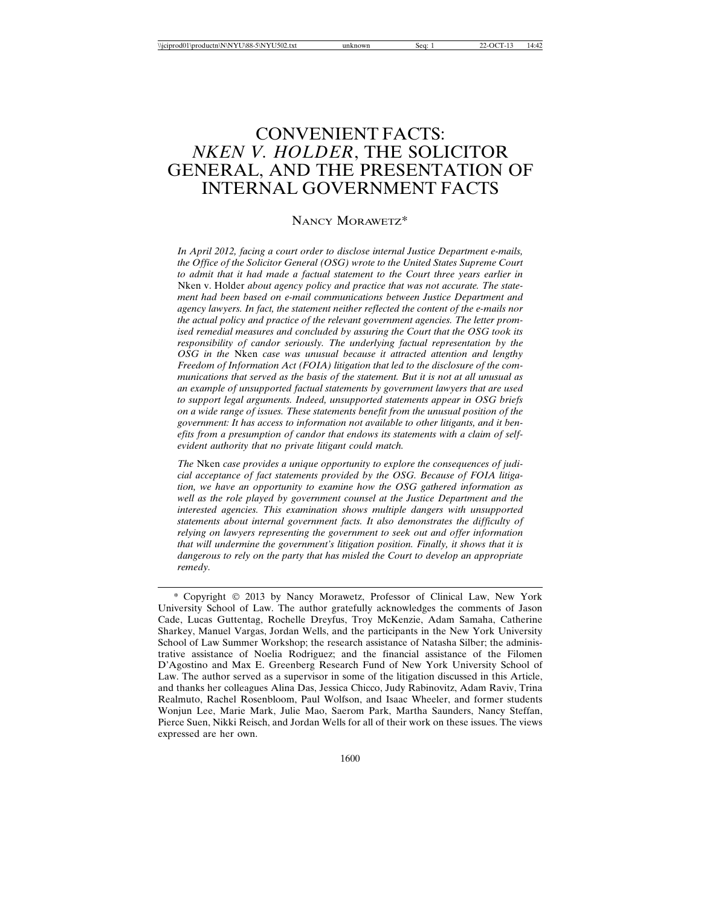# CONVENIENT FACTS: *NKEN V. HOLDER*, THE SOLICITOR GENERAL, AND THE PRESENTATION OF INTERNAL GOVERNMENT FACTS

#### NANCY MORAWETZ\*

*In April 2012, facing a court order to disclose internal Justice Department e-mails, the Office of the Solicitor General (OSG) wrote to the United States Supreme Court to admit that it had made a factual statement to the Court three years earlier in* Nken v. Holder *about agency policy and practice that was not accurate. The statement had been based on e-mail communications between Justice Department and agency lawyers. In fact, the statement neither reflected the content of the e-mails nor the actual policy and practice of the relevant government agencies. The letter promised remedial measures and concluded by assuring the Court that the OSG took its responsibility of candor seriously. The underlying factual representation by the OSG in the* Nken *case was unusual because it attracted attention and lengthy Freedom of Information Act (FOIA) litigation that led to the disclosure of the communications that served as the basis of the statement. But it is not at all unusual as an example of unsupported factual statements by government lawyers that are used to support legal arguments. Indeed, unsupported statements appear in OSG briefs on a wide range of issues. These statements benefit from the unusual position of the government: It has access to information not available to other litigants, and it benefits from a presumption of candor that endows its statements with a claim of selfevident authority that no private litigant could match.*

*The* Nken *case provides a unique opportunity to explore the consequences of judicial acceptance of fact statements provided by the OSG. Because of FOIA litigation, we have an opportunity to examine how the OSG gathered information as well as the role played by government counsel at the Justice Department and the interested agencies. This examination shows multiple dangers with unsupported statements about internal government facts. It also demonstrates the difficulty of relying on lawyers representing the government to seek out and offer information that will undermine the government's litigation position. Finally, it shows that it is dangerous to rely on the party that has misled the Court to develop an appropriate remedy.*

<sup>\*</sup> Copyright © 2013 by Nancy Morawetz, Professor of Clinical Law, New York University School of Law. The author gratefully acknowledges the comments of Jason Cade, Lucas Guttentag, Rochelle Dreyfus, Troy McKenzie, Adam Samaha, Catherine Sharkey, Manuel Vargas, Jordan Wells, and the participants in the New York University School of Law Summer Workshop; the research assistance of Natasha Silber; the administrative assistance of Noelia Rodriguez; and the financial assistance of the Filomen D'Agostino and Max E. Greenberg Research Fund of New York University School of Law. The author served as a supervisor in some of the litigation discussed in this Article, and thanks her colleagues Alina Das, Jessica Chicco, Judy Rabinovitz, Adam Raviv, Trina Realmuto, Rachel Rosenbloom, Paul Wolfson, and Isaac Wheeler, and former students Wonjun Lee, Marie Mark, Julie Mao, Saerom Park, Martha Saunders, Nancy Steffan, Pierce Suen, Nikki Reisch, and Jordan Wells for all of their work on these issues. The views expressed are her own.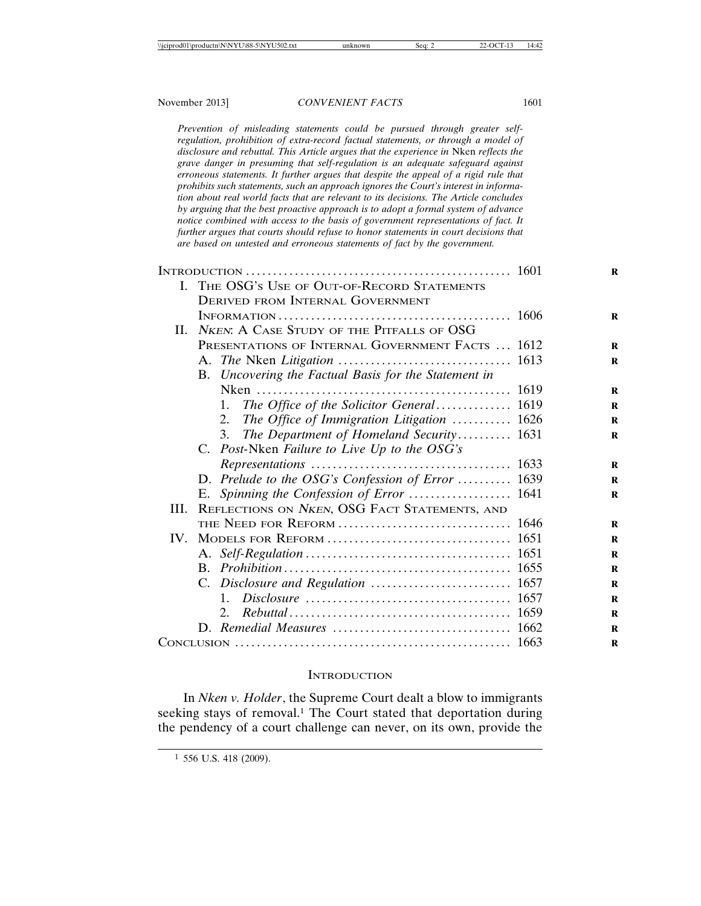*Prevention of misleading statements could be pursued through greater selfregulation, prohibition of extra-record factual statements, or through a model of disclosure and rebuttal. This Article argues that the experience in* Nken *reflects the grave danger in presuming that self-regulation is an adequate safeguard against erroneous statements. It further argues that despite the appeal of a rigid rule that prohibits such statements, such an approach ignores the Court's interest in information about real world facts that are relevant to its decisions. The Article concludes by arguing that the best proactive approach is to adopt a formal system of advance notice combined with access to the basis of government representations of fact. It further argues that courts should refuse to honor statements in court decisions that are based on untested and erroneous statements of fact by the government.*

|          | I. THE OSG's USE OF OUT-OF-RECORD STATEMENTS         |  |
|----------|------------------------------------------------------|--|
|          | DERIVED FROM INTERNAL GOVERNMENT                     |  |
|          |                                                      |  |
| II.      | <b>NKEN:</b> A CASE STUDY OF THE PITFALLS OF OSG     |  |
|          | PRESENTATIONS OF INTERNAL GOVERNMENT FACTS  1612     |  |
|          |                                                      |  |
|          | B. Uncovering the Factual Basis for the Statement in |  |
|          |                                                      |  |
|          | The Office of the Solicitor General 1619<br>1.       |  |
|          | The Office of Immigration Litigation  1626<br>2.     |  |
|          | The Department of Homeland Security 1631<br>3.       |  |
|          | C. Post-Nken Failure to Live Up to the OSG's         |  |
|          |                                                      |  |
|          | D. Prelude to the OSG's Confession of Error  1639    |  |
|          | E. Spinning the Confession of Error  1641            |  |
| III.     | REFLECTIONS ON NKEN, OSG FACT STATEMENTS, AND        |  |
|          |                                                      |  |
| $IV_{-}$ |                                                      |  |
|          |                                                      |  |
|          |                                                      |  |
|          |                                                      |  |
|          | $1_{-}$                                              |  |
|          |                                                      |  |
|          |                                                      |  |
|          |                                                      |  |

#### **INTRODUCTION**

In *Nken v. Holder*, the Supreme Court dealt a blow to immigrants seeking stays of removal.<sup>1</sup> The Court stated that deportation during the pendency of a court challenge can never, on its own, provide the

<sup>1</sup> 556 U.S. 418 (2009).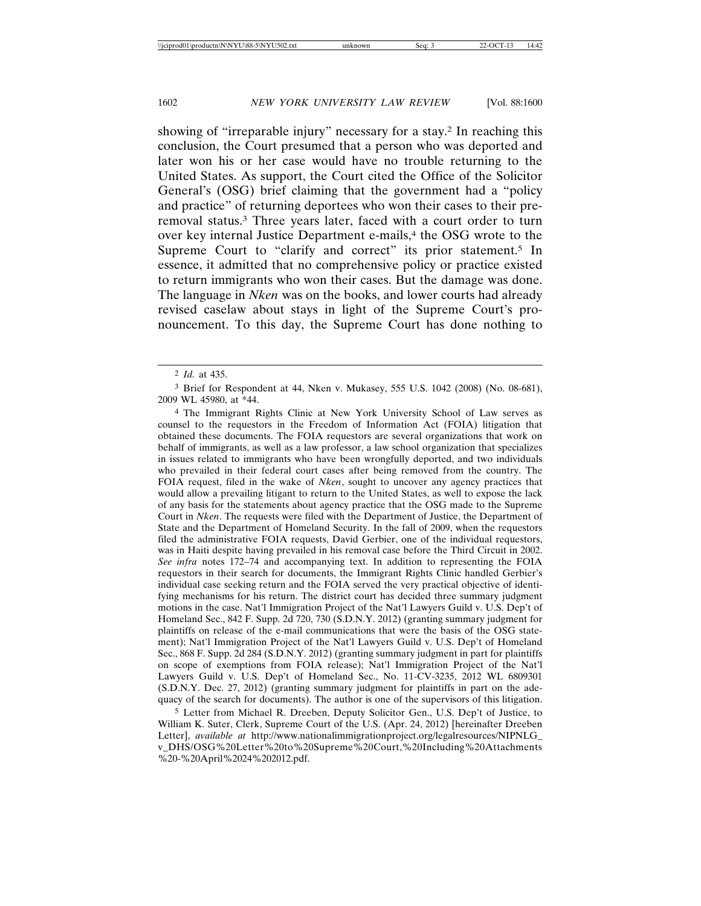showing of "irreparable injury" necessary for a stay.2 In reaching this conclusion, the Court presumed that a person who was deported and later won his or her case would have no trouble returning to the United States. As support, the Court cited the Office of the Solicitor General's (OSG) brief claiming that the government had a "policy and practice" of returning deportees who won their cases to their preremoval status.3 Three years later, faced with a court order to turn over key internal Justice Department e-mails,<sup>4</sup> the OSG wrote to the Supreme Court to "clarify and correct" its prior statement.<sup>5</sup> In essence, it admitted that no comprehensive policy or practice existed to return immigrants who won their cases. But the damage was done. The language in *Nken* was on the books, and lower courts had already revised caselaw about stays in light of the Supreme Court's pronouncement. To this day, the Supreme Court has done nothing to

4 The Immigrant Rights Clinic at New York University School of Law serves as counsel to the requestors in the Freedom of Information Act (FOIA) litigation that obtained these documents. The FOIA requestors are several organizations that work on behalf of immigrants, as well as a law professor, a law school organization that specializes in issues related to immigrants who have been wrongfully deported, and two individuals who prevailed in their federal court cases after being removed from the country. The FOIA request, filed in the wake of *Nken*, sought to uncover any agency practices that would allow a prevailing litigant to return to the United States, as well to expose the lack of any basis for the statements about agency practice that the OSG made to the Supreme Court in *Nken*. The requests were filed with the Department of Justice, the Department of State and the Department of Homeland Security. In the fall of 2009, when the requestors filed the administrative FOIA requests, David Gerbier, one of the individual requestors, was in Haiti despite having prevailed in his removal case before the Third Circuit in 2002. *See infra* notes 172–74 and accompanying text. In addition to representing the FOIA requestors in their search for documents, the Immigrant Rights Clinic handled Gerbier's individual case seeking return and the FOIA served the very practical objective of identifying mechanisms for his return. The district court has decided three summary judgment motions in the case. Nat'l Immigration Project of the Nat'l Lawyers Guild v. U.S. Dep't of Homeland Sec., 842 F. Supp. 2d 720, 730 (S.D.N.Y. 2012) (granting summary judgment for plaintiffs on release of the e-mail communications that were the basis of the OSG statement); Nat'l Immigration Project of the Nat'l Lawyers Guild v. U.S. Dep't of Homeland Sec., 868 F. Supp. 2d 284 (S.D.N.Y. 2012) (granting summary judgment in part for plaintiffs on scope of exemptions from FOIA release); Nat'l Immigration Project of the Nat'l Lawyers Guild v. U.S. Dep't of Homeland Sec., No. 11-CV-3235, 2012 WL 6809301 (S.D.N.Y. Dec. 27, 2012) (granting summary judgment for plaintiffs in part on the adequacy of the search for documents). The author is one of the supervisors of this litigation.

5 Letter from Michael R. Dreeben, Deputy Solicitor Gen., U.S. Dep't of Justice, to William K. Suter, Clerk, Supreme Court of the U.S. (Apr. 24, 2012) [hereinafter Dreeben Letter], *available at* http://www.nationalimmigrationproject.org/legalresources/NIPNLG\_ v\_DHS/OSG%20Letter%20to%20Supreme%20Court,%20Including%20Attachments %20-%20April%2024%202012.pdf.

<sup>2</sup> *Id.* at 435.

<sup>3</sup> Brief for Respondent at 44, Nken v. Mukasey, 555 U.S. 1042 (2008) (No. 08-681), 2009 WL 45980, at \*44.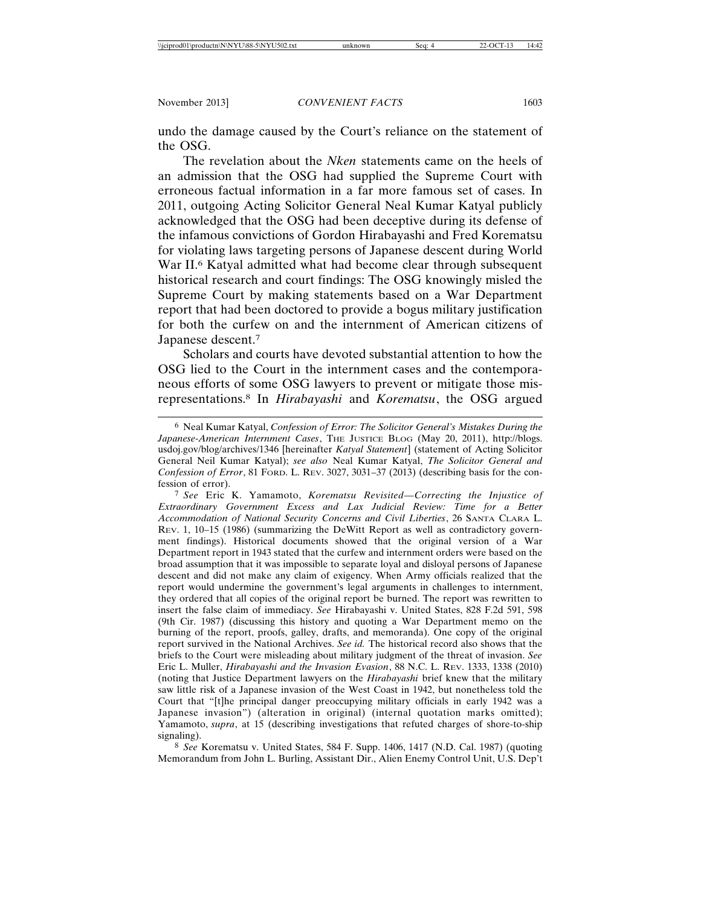undo the damage caused by the Court's reliance on the statement of the OSG.

The revelation about the *Nken* statements came on the heels of an admission that the OSG had supplied the Supreme Court with erroneous factual information in a far more famous set of cases. In 2011, outgoing Acting Solicitor General Neal Kumar Katyal publicly acknowledged that the OSG had been deceptive during its defense of the infamous convictions of Gordon Hirabayashi and Fred Korematsu for violating laws targeting persons of Japanese descent during World War II.<sup>6</sup> Katyal admitted what had become clear through subsequent historical research and court findings: The OSG knowingly misled the Supreme Court by making statements based on a War Department report that had been doctored to provide a bogus military justification for both the curfew on and the internment of American citizens of Japanese descent.7

Scholars and courts have devoted substantial attention to how the OSG lied to the Court in the internment cases and the contemporaneous efforts of some OSG lawyers to prevent or mitigate those misrepresentations.8 In *Hirabayashi* and *Korematsu*, the OSG argued

7 *See* Eric K. Yamamoto, *Korematsu Revisited—Correcting the Injustice of Extraordinary Government Excess and Lax Judicial Review: Time for a Better Accommodation of National Security Concerns and Civil Liberties*, 26 SANTA CLARA L. REV. 1, 10–15 (1986) (summarizing the DeWitt Report as well as contradictory government findings). Historical documents showed that the original version of a War Department report in 1943 stated that the curfew and internment orders were based on the broad assumption that it was impossible to separate loyal and disloyal persons of Japanese descent and did not make any claim of exigency. When Army officials realized that the report would undermine the government's legal arguments in challenges to internment, they ordered that all copies of the original report be burned. The report was rewritten to insert the false claim of immediacy. *See* Hirabayashi v. United States, 828 F.2d 591, 598 (9th Cir. 1987) (discussing this history and quoting a War Department memo on the burning of the report, proofs, galley, drafts, and memoranda). One copy of the original report survived in the National Archives. *See id.* The historical record also shows that the briefs to the Court were misleading about military judgment of the threat of invasion. *See* Eric L. Muller, *Hirabayashi and the Invasion Evasion*, 88 N.C. L. REV. 1333, 1338 (2010) (noting that Justice Department lawyers on the *Hirabayashi* brief knew that the military saw little risk of a Japanese invasion of the West Coast in 1942, but nonetheless told the Court that "[t]he principal danger preoccupying military officials in early 1942 was a Japanese invasion") (alteration in original) (internal quotation marks omitted); Yamamoto, *supra*, at 15 (describing investigations that refuted charges of shore-to-ship signaling).

8 *See* Korematsu v. United States, 584 F. Supp. 1406, 1417 (N.D. Cal. 1987) (quoting Memorandum from John L. Burling, Assistant Dir., Alien Enemy Control Unit, U.S. Dep't

<sup>6</sup> Neal Kumar Katyal, *Confession of Error: The Solicitor General's Mistakes During the Japanese-American Internment Cases*, THE JUSTICE BLOG (May 20, 2011), http://blogs. usdoj.gov/blog/archives/1346 [hereinafter *Katyal Statement*] (statement of Acting Solicitor General Neil Kumar Katyal); *see also* Neal Kumar Katyal, *The Solicitor General and Confession of Error*, 81 FORD. L. REV. 3027, 3031–37 (2013) (describing basis for the confession of error).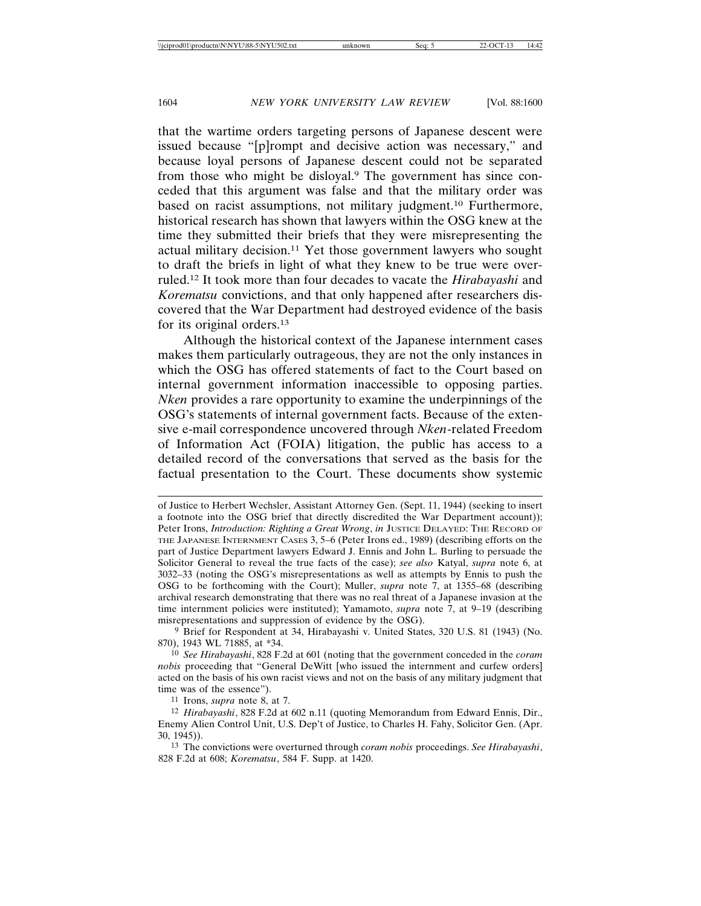that the wartime orders targeting persons of Japanese descent were issued because "[p]rompt and decisive action was necessary," and because loyal persons of Japanese descent could not be separated from those who might be disloyal.9 The government has since conceded that this argument was false and that the military order was based on racist assumptions, not military judgment.10 Furthermore, historical research has shown that lawyers within the OSG knew at the time they submitted their briefs that they were misrepresenting the actual military decision.11 Yet those government lawyers who sought to draft the briefs in light of what they knew to be true were overruled.12 It took more than four decades to vacate the *Hirabayashi* and *Korematsu* convictions, and that only happened after researchers discovered that the War Department had destroyed evidence of the basis for its original orders.13

Although the historical context of the Japanese internment cases makes them particularly outrageous, they are not the only instances in which the OSG has offered statements of fact to the Court based on internal government information inaccessible to opposing parties. *Nken* provides a rare opportunity to examine the underpinnings of the OSG's statements of internal government facts. Because of the extensive e-mail correspondence uncovered through *Nken*-related Freedom of Information Act (FOIA) litigation, the public has access to a detailed record of the conversations that served as the basis for the factual presentation to the Court. These documents show systemic

9 Brief for Respondent at 34, Hirabayashi v. United States, 320 U.S. 81 (1943) (No. 870), 1943 WL 71885, at \*34.

10 *See Hirabayashi*, 828 F.2d at 601 (noting that the government conceded in the *coram nobis* proceeding that "General DeWitt [who issued the internment and curfew orders] acted on the basis of his own racist views and not on the basis of any military judgment that time was of the essence").

11 Irons, *supra* note 8, at 7.

of Justice to Herbert Wechsler, Assistant Attorney Gen. (Sept. 11, 1944) (seeking to insert a footnote into the OSG brief that directly discredited the War Department account)); Peter Irons, *Introduction: Righting a Great Wrong*, *in* JUSTICE DELAYED: THE RECORD OF THE JAPANESE INTERNMENT CASES 3, 5–6 (Peter Irons ed., 1989) (describing efforts on the part of Justice Department lawyers Edward J. Ennis and John L. Burling to persuade the Solicitor General to reveal the true facts of the case); *see also* Katyal, *supra* note 6, at 3032–33 (noting the OSG's misrepresentations as well as attempts by Ennis to push the OSG to be forthcoming with the Court); Muller, *supra* note 7, at 1355–68 (describing archival research demonstrating that there was no real threat of a Japanese invasion at the time internment policies were instituted); Yamamoto, *supra* note 7, at 9–19 (describing misrepresentations and suppression of evidence by the OSG).

<sup>12</sup> *Hirabayashi*, 828 F.2d at 602 n.11 (quoting Memorandum from Edward Ennis, Dir., Enemy Alien Control Unit, U.S. Dep't of Justice, to Charles H. Fahy, Solicitor Gen. (Apr. 30, 1945)).

<sup>13</sup> The convictions were overturned through *coram nobis* proceedings. *See Hirabayashi*, 828 F.2d at 608; *Korematsu*, 584 F. Supp. at 1420.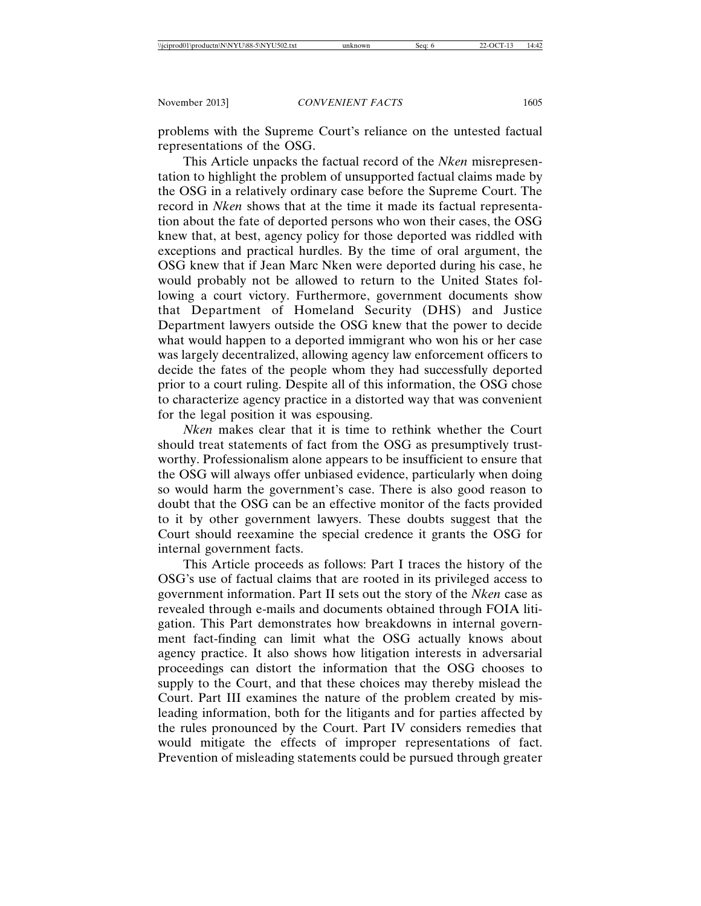problems with the Supreme Court's reliance on the untested factual representations of the OSG.

This Article unpacks the factual record of the *Nken* misrepresentation to highlight the problem of unsupported factual claims made by the OSG in a relatively ordinary case before the Supreme Court. The record in *Nken* shows that at the time it made its factual representation about the fate of deported persons who won their cases, the OSG knew that, at best, agency policy for those deported was riddled with exceptions and practical hurdles. By the time of oral argument, the OSG knew that if Jean Marc Nken were deported during his case, he would probably not be allowed to return to the United States following a court victory. Furthermore, government documents show that Department of Homeland Security (DHS) and Justice Department lawyers outside the OSG knew that the power to decide what would happen to a deported immigrant who won his or her case was largely decentralized, allowing agency law enforcement officers to decide the fates of the people whom they had successfully deported prior to a court ruling. Despite all of this information, the OSG chose to characterize agency practice in a distorted way that was convenient for the legal position it was espousing.

*Nken* makes clear that it is time to rethink whether the Court should treat statements of fact from the OSG as presumptively trustworthy. Professionalism alone appears to be insufficient to ensure that the OSG will always offer unbiased evidence, particularly when doing so would harm the government's case. There is also good reason to doubt that the OSG can be an effective monitor of the facts provided to it by other government lawyers. These doubts suggest that the Court should reexamine the special credence it grants the OSG for internal government facts.

This Article proceeds as follows: Part I traces the history of the OSG's use of factual claims that are rooted in its privileged access to government information. Part II sets out the story of the *Nken* case as revealed through e-mails and documents obtained through FOIA litigation. This Part demonstrates how breakdowns in internal government fact-finding can limit what the OSG actually knows about agency practice. It also shows how litigation interests in adversarial proceedings can distort the information that the OSG chooses to supply to the Court, and that these choices may thereby mislead the Court. Part III examines the nature of the problem created by misleading information, both for the litigants and for parties affected by the rules pronounced by the Court. Part IV considers remedies that would mitigate the effects of improper representations of fact. Prevention of misleading statements could be pursued through greater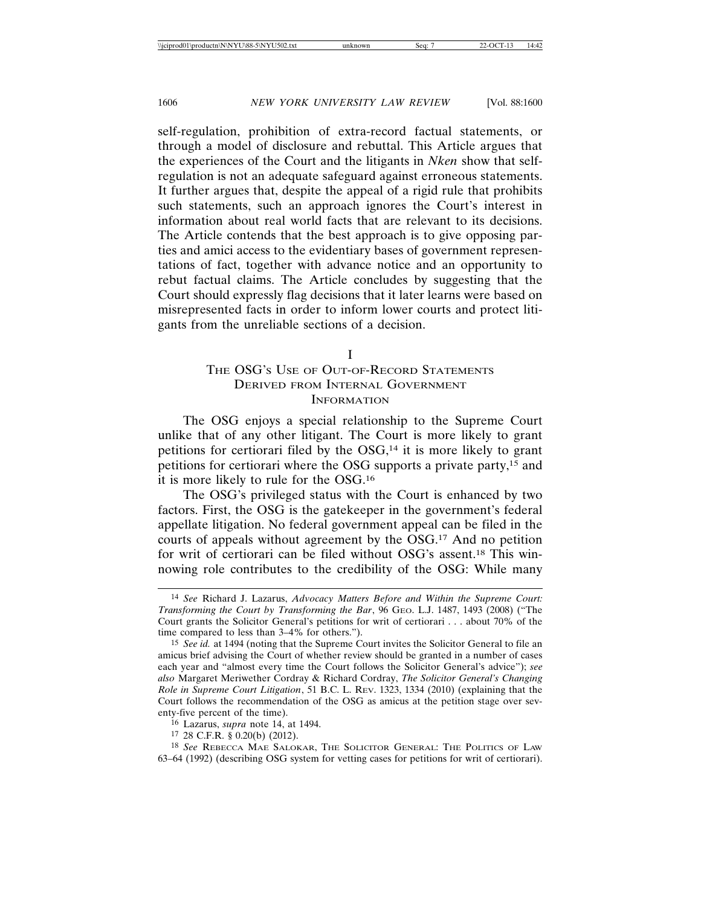self-regulation, prohibition of extra-record factual statements, or through a model of disclosure and rebuttal. This Article argues that the experiences of the Court and the litigants in *Nken* show that selfregulation is not an adequate safeguard against erroneous statements. It further argues that, despite the appeal of a rigid rule that prohibits such statements, such an approach ignores the Court's interest in information about real world facts that are relevant to its decisions. The Article contends that the best approach is to give opposing parties and amici access to the evidentiary bases of government representations of fact, together with advance notice and an opportunity to rebut factual claims. The Article concludes by suggesting that the Court should expressly flag decisions that it later learns were based on misrepresented facts in order to inform lower courts and protect litigants from the unreliable sections of a decision.

I

## THE OSG'S USE OF OUT-OF-RECORD STATEMENTS DERIVED FROM INTERNAL GOVERNMENT INFORMATION

The OSG enjoys a special relationship to the Supreme Court unlike that of any other litigant. The Court is more likely to grant petitions for certiorari filed by the  $OSG<sub>14</sub>$  it is more likely to grant petitions for certiorari where the OSG supports a private party,15 and it is more likely to rule for the OSG.16

The OSG's privileged status with the Court is enhanced by two factors. First, the OSG is the gatekeeper in the government's federal appellate litigation. No federal government appeal can be filed in the courts of appeals without agreement by the OSG.17 And no petition for writ of certiorari can be filed without OSG's assent.18 This winnowing role contributes to the credibility of the OSG: While many

<sup>14</sup> *See* Richard J. Lazarus, *Advocacy Matters Before and Within the Supreme Court: Transforming the Court by Transforming the Bar*, 96 GEO. L.J. 1487, 1493 (2008) ("The Court grants the Solicitor General's petitions for writ of certiorari . . . about 70% of the time compared to less than 3–4% for others.").

<sup>15</sup> *See id.* at 1494 (noting that the Supreme Court invites the Solicitor General to file an amicus brief advising the Court of whether review should be granted in a number of cases each year and "almost every time the Court follows the Solicitor General's advice"); *see also* Margaret Meriwether Cordray & Richard Cordray, *The Solicitor General's Changing Role in Supreme Court Litigation*, 51 B.C. L. REV. 1323, 1334 (2010) (explaining that the Court follows the recommendation of the OSG as amicus at the petition stage over seventy-five percent of the time).

<sup>16</sup> Lazarus, *supra* note 14, at 1494.

<sup>17</sup> 28 C.F.R. § 0.20(b) (2012).

<sup>18</sup> *See* REBECCA MAE SALOKAR, THE SOLICITOR GENERAL: THE POLITICS OF LAW 63–64 (1992) (describing OSG system for vetting cases for petitions for writ of certiorari).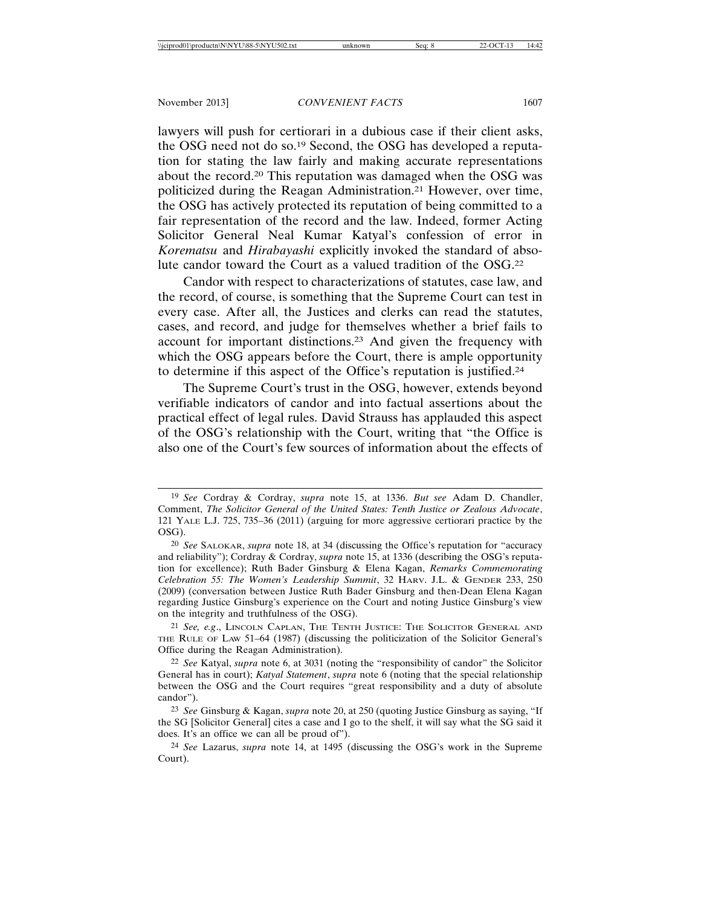lawyers will push for certiorari in a dubious case if their client asks, the OSG need not do so.19 Second, the OSG has developed a reputation for stating the law fairly and making accurate representations about the record.20 This reputation was damaged when the OSG was politicized during the Reagan Administration.21 However, over time, the OSG has actively protected its reputation of being committed to a fair representation of the record and the law. Indeed, former Acting Solicitor General Neal Kumar Katyal's confession of error in *Korematsu* and *Hirabayashi* explicitly invoked the standard of absolute candor toward the Court as a valued tradition of the OSG.22

Candor with respect to characterizations of statutes, case law, and the record, of course, is something that the Supreme Court can test in every case. After all, the Justices and clerks can read the statutes, cases, and record, and judge for themselves whether a brief fails to account for important distinctions.23 And given the frequency with which the OSG appears before the Court, there is ample opportunity to determine if this aspect of the Office's reputation is justified.24

The Supreme Court's trust in the OSG, however, extends beyond verifiable indicators of candor and into factual assertions about the practical effect of legal rules. David Strauss has applauded this aspect of the OSG's relationship with the Court, writing that "the Office is also one of the Court's few sources of information about the effects of

21 *See, e.g*., LINCOLN CAPLAN, THE TENTH JUSTICE: THE SOLICITOR GENERAL AND THE RULE OF LAW 51–64 (1987) (discussing the politicization of the Solicitor General's Office during the Reagan Administration).

22 *See* Katyal, *supra* note 6, at 3031 (noting the "responsibility of candor" the Solicitor General has in court); *Katyal Statement*, *supra* note 6 (noting that the special relationship between the OSG and the Court requires "great responsibility and a duty of absolute candor").

23 *See* Ginsburg & Kagan, *supra* note 20, at 250 (quoting Justice Ginsburg as saying, "If the SG [Solicitor General] cites a case and I go to the shelf, it will say what the SG said it does. It's an office we can all be proud of").

24 *See* Lazarus, *supra* note 14, at 1495 (discussing the OSG's work in the Supreme Court).

<sup>19</sup> *See* Cordray & Cordray, *supra* note 15, at 1336. *But see* Adam D. Chandler, Comment, *The Solicitor General of the United States: Tenth Justice or Zealous Advocate*, 121 YALE L.J. 725, 735–36 (2011) (arguing for more aggressive certiorari practice by the OSG).

<sup>20</sup> *See* SALOKAR, *supra* note 18, at 34 (discussing the Office's reputation for "accuracy and reliability"); Cordray & Cordray, *supra* note 15, at 1336 (describing the OSG's reputation for excellence); Ruth Bader Ginsburg & Elena Kagan, *Remarks Commemorating Celebration 55: The Women's Leadership Summit*, 32 HARV. J.L. & GENDER 233, 250 (2009) (conversation between Justice Ruth Bader Ginsburg and then-Dean Elena Kagan regarding Justice Ginsburg's experience on the Court and noting Justice Ginsburg's view on the integrity and truthfulness of the OSG).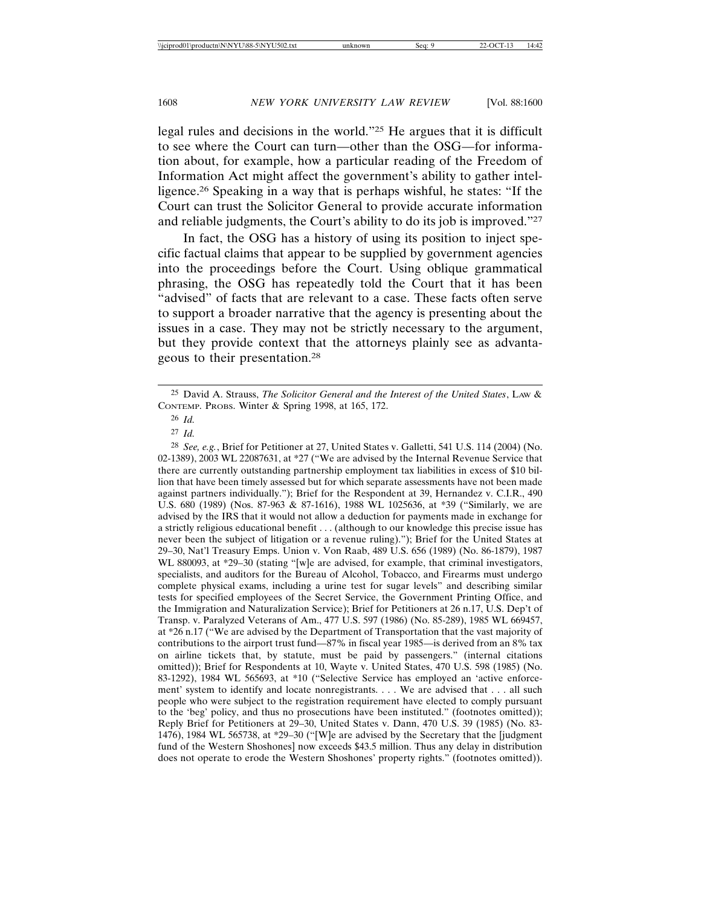legal rules and decisions in the world."25 He argues that it is difficult to see where the Court can turn—other than the OSG—for information about, for example, how a particular reading of the Freedom of Information Act might affect the government's ability to gather intelligence.26 Speaking in a way that is perhaps wishful, he states: "If the Court can trust the Solicitor General to provide accurate information and reliable judgments, the Court's ability to do its job is improved."27

In fact, the OSG has a history of using its position to inject specific factual claims that appear to be supplied by government agencies into the proceedings before the Court. Using oblique grammatical phrasing, the OSG has repeatedly told the Court that it has been "advised" of facts that are relevant to a case. These facts often serve to support a broader narrative that the agency is presenting about the issues in a case. They may not be strictly necessary to the argument, but they provide context that the attorneys plainly see as advantageous to their presentation.28

28 *See, e.g.*, Brief for Petitioner at 27, United States v. Galletti, 541 U.S. 114 (2004) (No. 02-1389), 2003 WL 22087631, at \*27 ("We are advised by the Internal Revenue Service that there are currently outstanding partnership employment tax liabilities in excess of \$10 billion that have been timely assessed but for which separate assessments have not been made against partners individually."); Brief for the Respondent at 39, Hernandez v. C.I.R., 490 U.S. 680 (1989) (Nos. 87-963 & 87-1616), 1988 WL 1025636, at \*39 ("Similarly, we are advised by the IRS that it would not allow a deduction for payments made in exchange for a strictly religious educational benefit . . . (although to our knowledge this precise issue has never been the subject of litigation or a revenue ruling)."); Brief for the United States at 29–30, Nat'l Treasury Emps. Union v. Von Raab, 489 U.S. 656 (1989) (No. 86-1879), 1987 WL 880093, at \*29–30 (stating "[w]e are advised, for example, that criminal investigators, specialists, and auditors for the Bureau of Alcohol, Tobacco, and Firearms must undergo complete physical exams, including a urine test for sugar levels" and describing similar tests for specified employees of the Secret Service, the Government Printing Office, and the Immigration and Naturalization Service); Brief for Petitioners at 26 n.17, U.S. Dep't of Transp. v. Paralyzed Veterans of Am., 477 U.S. 597 (1986) (No. 85-289), 1985 WL 669457, at \*26 n.17 ("We are advised by the Department of Transportation that the vast majority of contributions to the airport trust fund—87% in fiscal year 1985—is derived from an 8% tax on airline tickets that, by statute, must be paid by passengers." (internal citations omitted)); Brief for Respondents at 10, Wayte v. United States, 470 U.S. 598 (1985) (No. 83-1292), 1984 WL 565693, at \*10 ("Selective Service has employed an 'active enforcement' system to identify and locate nonregistrants. . . . We are advised that . . . all such people who were subject to the registration requirement have elected to comply pursuant to the 'beg' policy, and thus no prosecutions have been instituted." (footnotes omitted)); Reply Brief for Petitioners at 29–30, United States v. Dann, 470 U.S. 39 (1985) (No. 83- 1476), 1984 WL 565738, at \*29–30 ("[W]e are advised by the Secretary that the [judgment fund of the Western Shoshones] now exceeds \$43.5 million. Thus any delay in distribution does not operate to erode the Western Shoshones' property rights." (footnotes omitted)).

<sup>25</sup> David A. Strauss, *The Solicitor General and the Interest of the United States*, LAW & CONTEMP. PROBS. Winter & Spring 1998, at 165, 172.

<sup>26</sup> *Id.*

<sup>27</sup> *Id.*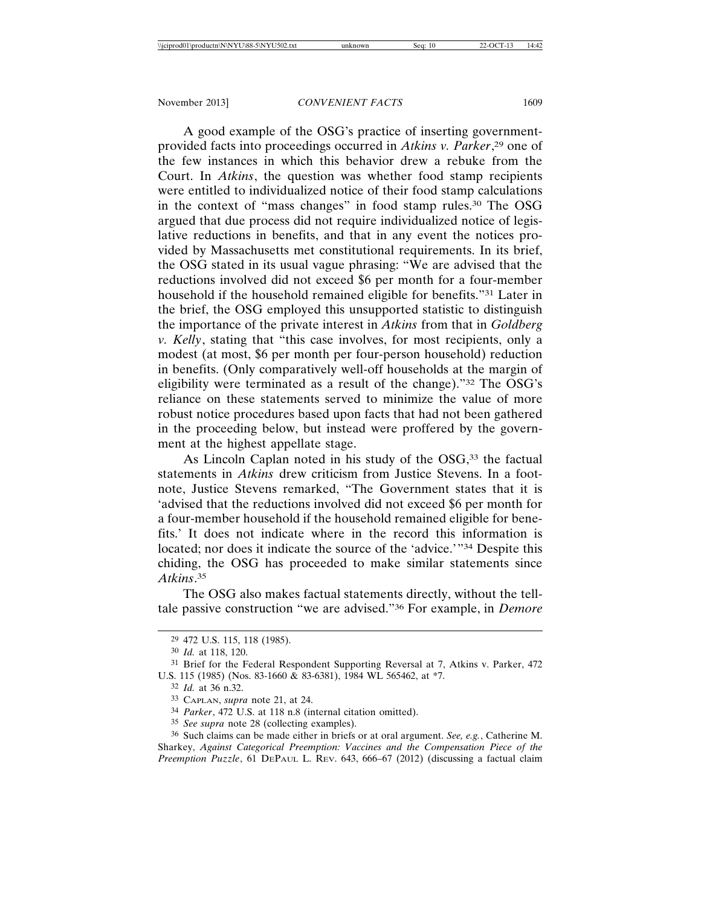A good example of the OSG's practice of inserting governmentprovided facts into proceedings occurred in *Atkins v. Parker*, 29 one of the few instances in which this behavior drew a rebuke from the Court. In *Atkins*, the question was whether food stamp recipients were entitled to individualized notice of their food stamp calculations in the context of "mass changes" in food stamp rules.30 The OSG argued that due process did not require individualized notice of legislative reductions in benefits, and that in any event the notices provided by Massachusetts met constitutional requirements. In its brief, the OSG stated in its usual vague phrasing: "We are advised that the reductions involved did not exceed \$6 per month for a four-member household if the household remained eligible for benefits."31 Later in the brief, the OSG employed this unsupported statistic to distinguish the importance of the private interest in *Atkins* from that in *Goldberg v. Kelly*, stating that "this case involves, for most recipients, only a modest (at most, \$6 per month per four-person household) reduction in benefits. (Only comparatively well-off households at the margin of eligibility were terminated as a result of the change)."32 The OSG's reliance on these statements served to minimize the value of more robust notice procedures based upon facts that had not been gathered in the proceeding below, but instead were proffered by the government at the highest appellate stage.

As Lincoln Caplan noted in his study of the OSG,<sup>33</sup> the factual statements in *Atkins* drew criticism from Justice Stevens. In a footnote, Justice Stevens remarked, "The Government states that it is 'advised that the reductions involved did not exceed \$6 per month for a four-member household if the household remained eligible for benefits.' It does not indicate where in the record this information is located; nor does it indicate the source of the 'advice.'"34 Despite this chiding, the OSG has proceeded to make similar statements since *Atkins*. 35

The OSG also makes factual statements directly, without the telltale passive construction "we are advised."36 For example, in *Demore*

<sup>29</sup> 472 U.S. 115, 118 (1985).

<sup>30</sup> *Id.* at 118, 120.

<sup>31</sup> Brief for the Federal Respondent Supporting Reversal at 7, Atkins v. Parker, 472 U.S. 115 (1985) (Nos. 83-1660 & 83-6381), 1984 WL 565462, at \*7.

<sup>32</sup> *Id.* at 36 n.32.

<sup>33</sup> CAPLAN, *supra* note 21, at 24.

<sup>34</sup> *Parker*, 472 U.S. at 118 n.8 (internal citation omitted).

<sup>35</sup> *See supra* note 28 (collecting examples).

<sup>36</sup> Such claims can be made either in briefs or at oral argument. *See, e.g.*, Catherine M. Sharkey, *Against Categorical Preemption: Vaccines and the Compensation Piece of the Preemption Puzzle*, 61 DEPAUL L. REV. 643, 666–67 (2012) (discussing a factual claim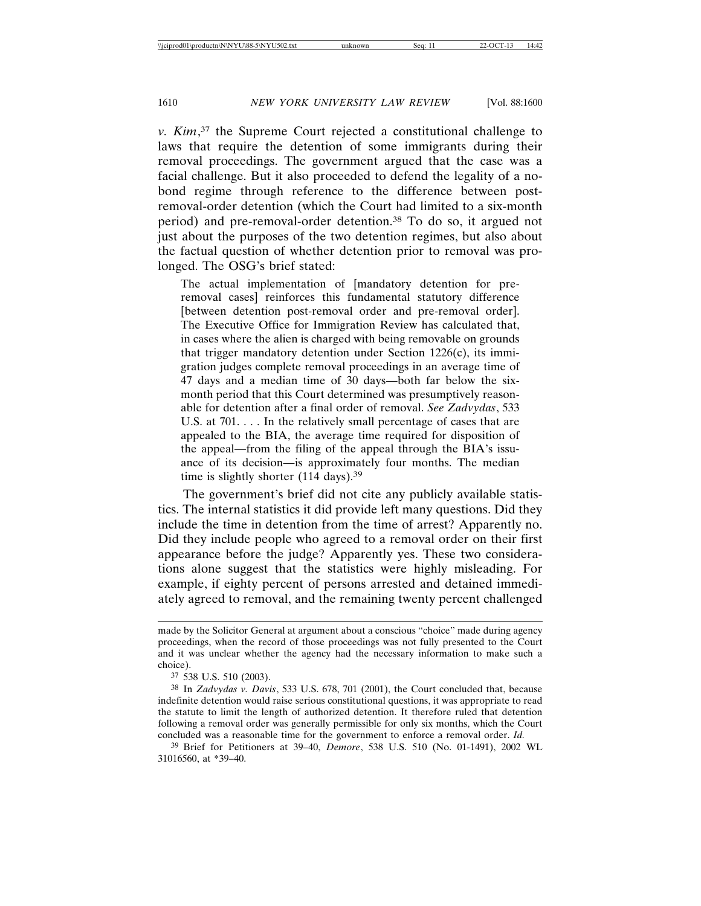*v. Kim*, 37 the Supreme Court rejected a constitutional challenge to laws that require the detention of some immigrants during their removal proceedings. The government argued that the case was a facial challenge. But it also proceeded to defend the legality of a nobond regime through reference to the difference between postremoval-order detention (which the Court had limited to a six-month period) and pre-removal-order detention.38 To do so, it argued not just about the purposes of the two detention regimes, but also about the factual question of whether detention prior to removal was prolonged. The OSG's brief stated:

The actual implementation of [mandatory detention for preremoval cases] reinforces this fundamental statutory difference [between detention post-removal order and pre-removal order]. The Executive Office for Immigration Review has calculated that, in cases where the alien is charged with being removable on grounds that trigger mandatory detention under Section 1226(c), its immigration judges complete removal proceedings in an average time of 47 days and a median time of 30 days—both far below the sixmonth period that this Court determined was presumptively reasonable for detention after a final order of removal. *See Zadvydas*, 533 U.S. at 701. . . . In the relatively small percentage of cases that are appealed to the BIA, the average time required for disposition of the appeal—from the filing of the appeal through the BIA's issuance of its decision—is approximately four months. The median time is slightly shorter (114 days).<sup>39</sup>

The government's brief did not cite any publicly available statistics. The internal statistics it did provide left many questions. Did they include the time in detention from the time of arrest? Apparently no. Did they include people who agreed to a removal order on their first appearance before the judge? Apparently yes. These two considerations alone suggest that the statistics were highly misleading. For example, if eighty percent of persons arrested and detained immediately agreed to removal, and the remaining twenty percent challenged

made by the Solicitor General at argument about a conscious "choice" made during agency proceedings, when the record of those proceedings was not fully presented to the Court and it was unclear whether the agency had the necessary information to make such a choice).

<sup>37</sup> 538 U.S. 510 (2003).

<sup>38</sup> In *Zadvydas v. Davis*, 533 U.S. 678, 701 (2001), the Court concluded that, because indefinite detention would raise serious constitutional questions, it was appropriate to read the statute to limit the length of authorized detention. It therefore ruled that detention following a removal order was generally permissible for only six months, which the Court concluded was a reasonable time for the government to enforce a removal order. *Id.*

<sup>39</sup> Brief for Petitioners at 39–40, *Demore*, 538 U.S. 510 (No. 01-1491), 2002 WL 31016560, at \*39–40.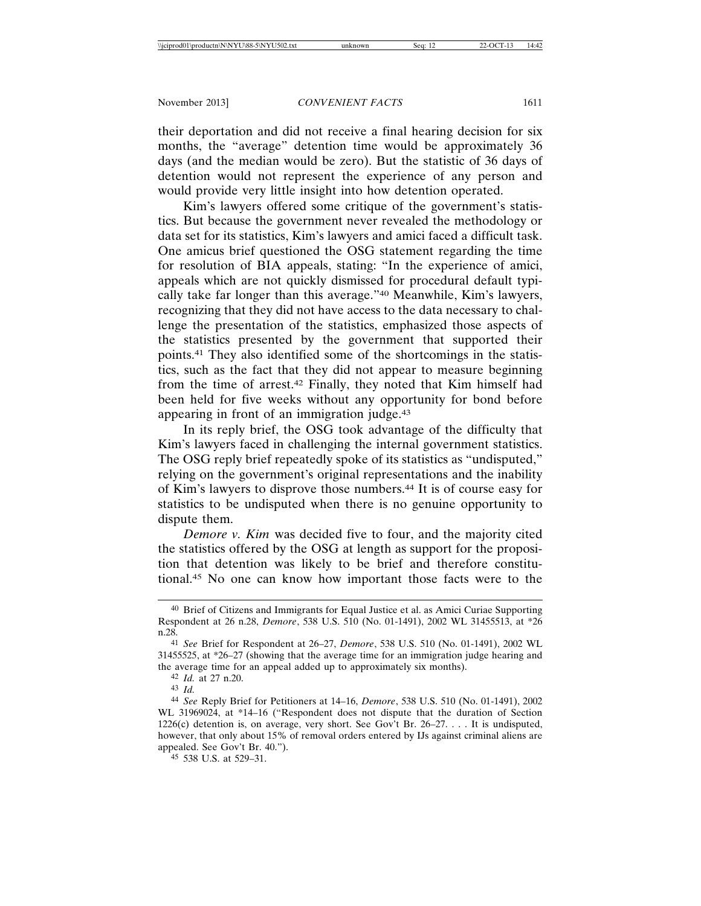their deportation and did not receive a final hearing decision for six months, the "average" detention time would be approximately 36 days (and the median would be zero). But the statistic of 36 days of detention would not represent the experience of any person and would provide very little insight into how detention operated.

Kim's lawyers offered some critique of the government's statistics. But because the government never revealed the methodology or data set for its statistics, Kim's lawyers and amici faced a difficult task. One amicus brief questioned the OSG statement regarding the time for resolution of BIA appeals, stating: "In the experience of amici, appeals which are not quickly dismissed for procedural default typically take far longer than this average."40 Meanwhile, Kim's lawyers, recognizing that they did not have access to the data necessary to challenge the presentation of the statistics, emphasized those aspects of the statistics presented by the government that supported their points.41 They also identified some of the shortcomings in the statistics, such as the fact that they did not appear to measure beginning from the time of arrest.42 Finally, they noted that Kim himself had been held for five weeks without any opportunity for bond before appearing in front of an immigration judge.43

In its reply brief, the OSG took advantage of the difficulty that Kim's lawyers faced in challenging the internal government statistics. The OSG reply brief repeatedly spoke of its statistics as "undisputed," relying on the government's original representations and the inability of Kim's lawyers to disprove those numbers.44 It is of course easy for statistics to be undisputed when there is no genuine opportunity to dispute them.

*Demore v. Kim* was decided five to four, and the majority cited the statistics offered by the OSG at length as support for the proposition that detention was likely to be brief and therefore constitutional.45 No one can know how important those facts were to the

<sup>40</sup> Brief of Citizens and Immigrants for Equal Justice et al. as Amici Curiae Supporting Respondent at 26 n.28, *Demore*, 538 U.S. 510 (No. 01-1491), 2002 WL 31455513, at \*26 n.28.

<sup>41</sup> *See* Brief for Respondent at 26–27, *Demore*, 538 U.S. 510 (No. 01-1491), 2002 WL 31455525, at \*26–27 (showing that the average time for an immigration judge hearing and the average time for an appeal added up to approximately six months).

<sup>42</sup> *Id.* at 27 n.20.

<sup>43</sup> *Id.*

<sup>44</sup> *See* Reply Brief for Petitioners at 14–16, *Demore*, 538 U.S. 510 (No. 01-1491), 2002 WL 31969024, at \*14–16 ("Respondent does not dispute that the duration of Section 1226(c) detention is, on average, very short. See Gov't Br. 26–27. . . . It is undisputed, however, that only about 15% of removal orders entered by IJs against criminal aliens are appealed. See Gov't Br. 40.").

<sup>45</sup> 538 U.S. at 529–31.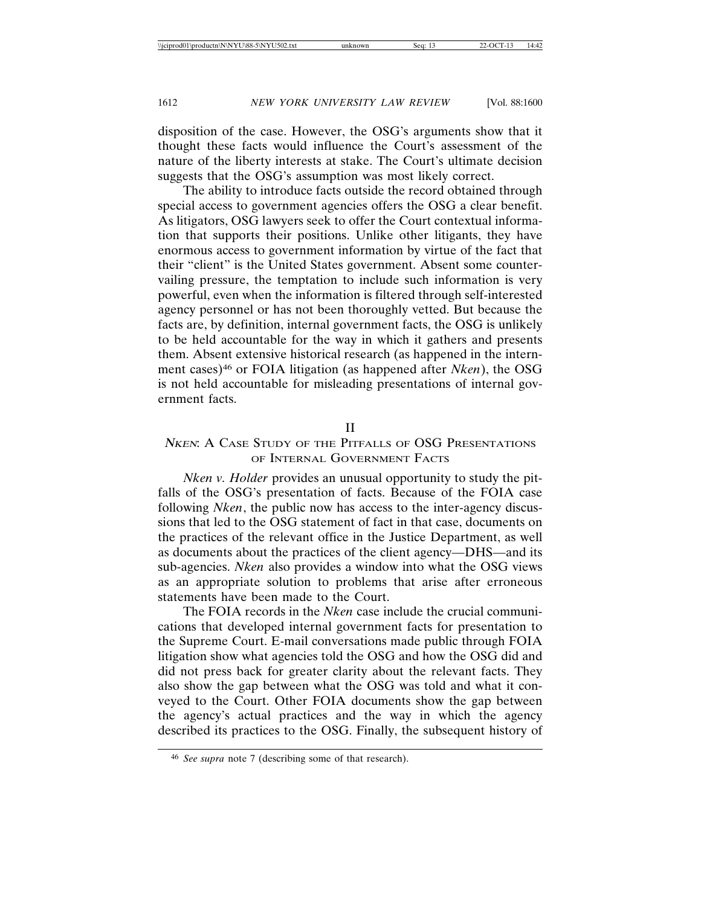disposition of the case. However, the OSG's arguments show that it thought these facts would influence the Court's assessment of the nature of the liberty interests at stake. The Court's ultimate decision suggests that the OSG's assumption was most likely correct.

The ability to introduce facts outside the record obtained through special access to government agencies offers the OSG a clear benefit. As litigators, OSG lawyers seek to offer the Court contextual information that supports their positions. Unlike other litigants, they have enormous access to government information by virtue of the fact that their "client" is the United States government. Absent some countervailing pressure, the temptation to include such information is very powerful, even when the information is filtered through self-interested agency personnel or has not been thoroughly vetted. But because the facts are, by definition, internal government facts, the OSG is unlikely to be held accountable for the way in which it gathers and presents them. Absent extensive historical research (as happened in the internment cases)46 or FOIA litigation (as happened after *Nken*), the OSG is not held accountable for misleading presentations of internal government facts.

#### II

# NKEN: A CASE STUDY OF THE PITFALLS OF OSG PRESENTATIONS OF INTERNAL GOVERNMENT FACTS

*Nken v. Holder* provides an unusual opportunity to study the pitfalls of the OSG's presentation of facts. Because of the FOIA case following *Nken*, the public now has access to the inter-agency discussions that led to the OSG statement of fact in that case, documents on the practices of the relevant office in the Justice Department, as well as documents about the practices of the client agency—DHS—and its sub-agencies. *Nken* also provides a window into what the OSG views as an appropriate solution to problems that arise after erroneous statements have been made to the Court.

The FOIA records in the *Nken* case include the crucial communications that developed internal government facts for presentation to the Supreme Court. E-mail conversations made public through FOIA litigation show what agencies told the OSG and how the OSG did and did not press back for greater clarity about the relevant facts. They also show the gap between what the OSG was told and what it conveyed to the Court. Other FOIA documents show the gap between the agency's actual practices and the way in which the agency described its practices to the OSG. Finally, the subsequent history of

<sup>46</sup> *See supra* note 7 (describing some of that research).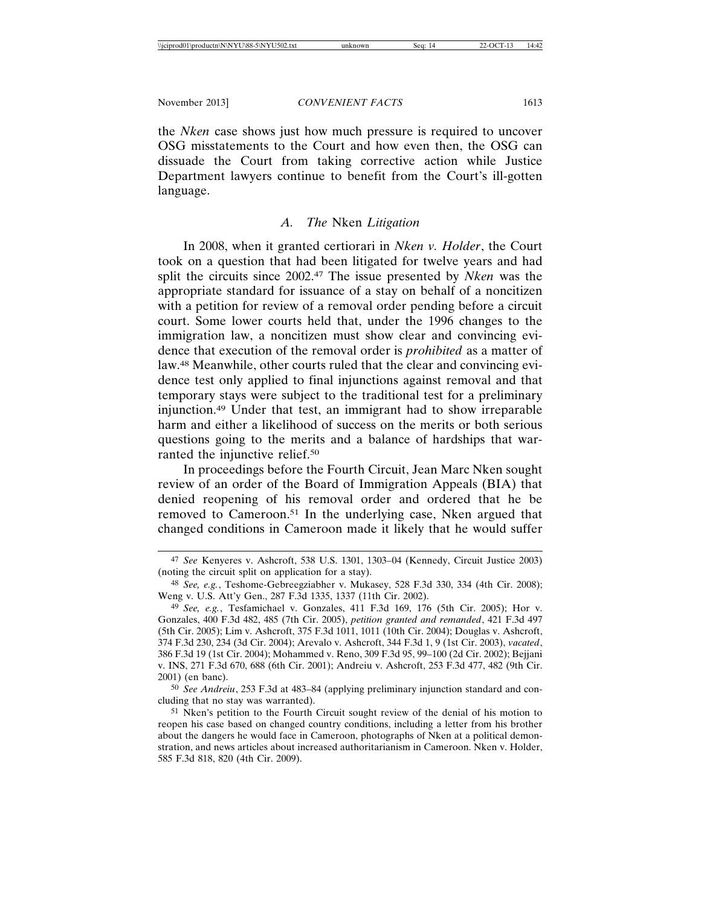the *Nken* case shows just how much pressure is required to uncover OSG misstatements to the Court and how even then, the OSG can dissuade the Court from taking corrective action while Justice Department lawyers continue to benefit from the Court's ill-gotten language.

## *A. The* Nken *Litigation*

In 2008, when it granted certiorari in *Nken v. Holder*, the Court took on a question that had been litigated for twelve years and had split the circuits since 2002.47 The issue presented by *Nken* was the appropriate standard for issuance of a stay on behalf of a noncitizen with a petition for review of a removal order pending before a circuit court. Some lower courts held that, under the 1996 changes to the immigration law, a noncitizen must show clear and convincing evidence that execution of the removal order is *prohibited* as a matter of law.48 Meanwhile, other courts ruled that the clear and convincing evidence test only applied to final injunctions against removal and that temporary stays were subject to the traditional test for a preliminary injunction.49 Under that test, an immigrant had to show irreparable harm and either a likelihood of success on the merits or both serious questions going to the merits and a balance of hardships that warranted the injunctive relief.50

In proceedings before the Fourth Circuit, Jean Marc Nken sought review of an order of the Board of Immigration Appeals (BIA) that denied reopening of his removal order and ordered that he be removed to Cameroon.51 In the underlying case, Nken argued that changed conditions in Cameroon made it likely that he would suffer

50 *See Andreiu*, 253 F.3d at 483–84 (applying preliminary injunction standard and concluding that no stay was warranted).

<sup>47</sup> *See* Kenyeres v. Ashcroft, 538 U.S. 1301, 1303–04 (Kennedy, Circuit Justice 2003) (noting the circuit split on application for a stay).

<sup>48</sup> *See, e.g.*, Teshome-Gebreegziabher v. Mukasey, 528 F.3d 330, 334 (4th Cir. 2008); Weng v. U.S. Att'y Gen., 287 F.3d 1335, 1337 (11th Cir. 2002).

<sup>49</sup> *See, e.g.*, Tesfamichael v. Gonzales, 411 F.3d 169, 176 (5th Cir. 2005); Hor v. Gonzales, 400 F.3d 482, 485 (7th Cir. 2005), *petition granted and remanded*, 421 F.3d 497 (5th Cir. 2005); Lim v. Ashcroft, 375 F.3d 1011, 1011 (10th Cir. 2004); Douglas v. Ashcroft, 374 F.3d 230, 234 (3d Cir. 2004); Arevalo v. Ashcroft, 344 F.3d 1, 9 (1st Cir. 2003), *vacated*, 386 F.3d 19 (1st Cir. 2004); Mohammed v. Reno, 309 F.3d 95, 99–100 (2d Cir. 2002); Bejjani v. INS, 271 F.3d 670, 688 (6th Cir. 2001); Andreiu v. Ashcroft, 253 F.3d 477, 482 (9th Cir. 2001) (en banc).

<sup>51</sup> Nken's petition to the Fourth Circuit sought review of the denial of his motion to reopen his case based on changed country conditions, including a letter from his brother about the dangers he would face in Cameroon, photographs of Nken at a political demonstration, and news articles about increased authoritarianism in Cameroon. Nken v. Holder, 585 F.3d 818, 820 (4th Cir. 2009).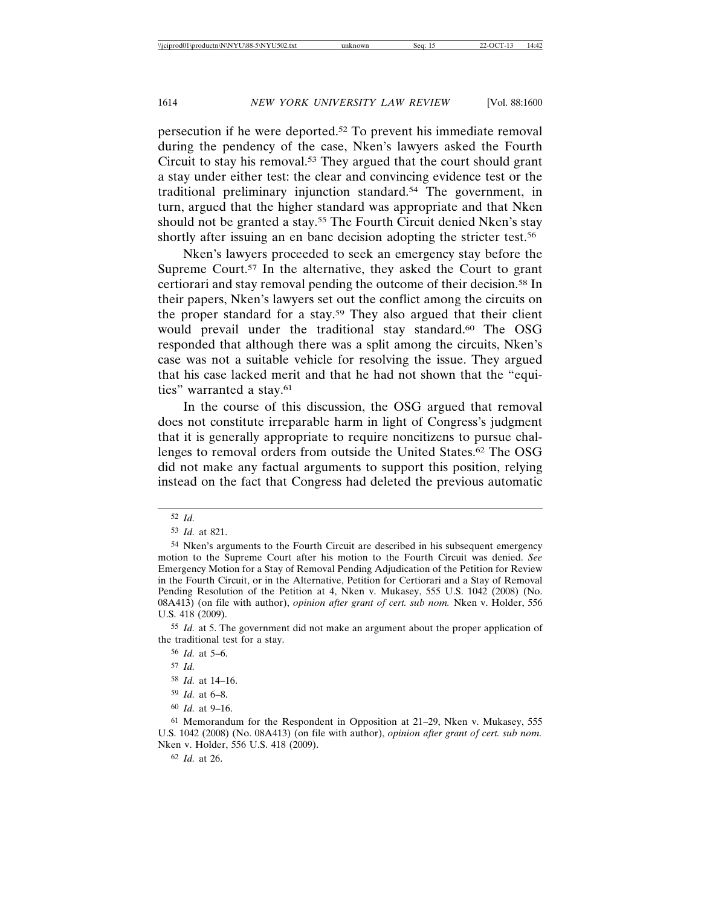persecution if he were deported.52 To prevent his immediate removal during the pendency of the case, Nken's lawyers asked the Fourth Circuit to stay his removal.53 They argued that the court should grant a stay under either test: the clear and convincing evidence test or the traditional preliminary injunction standard.54 The government, in turn, argued that the higher standard was appropriate and that Nken should not be granted a stay.<sup>55</sup> The Fourth Circuit denied Nken's stay shortly after issuing an en banc decision adopting the stricter test.<sup>56</sup>

Nken's lawyers proceeded to seek an emergency stay before the Supreme Court.<sup>57</sup> In the alternative, they asked the Court to grant certiorari and stay removal pending the outcome of their decision.58 In their papers, Nken's lawyers set out the conflict among the circuits on the proper standard for a stay.59 They also argued that their client would prevail under the traditional stay standard.<sup>60</sup> The OSG responded that although there was a split among the circuits, Nken's case was not a suitable vehicle for resolving the issue. They argued that his case lacked merit and that he had not shown that the "equities" warranted a stay.61

In the course of this discussion, the OSG argued that removal does not constitute irreparable harm in light of Congress's judgment that it is generally appropriate to require noncitizens to pursue challenges to removal orders from outside the United States.62 The OSG did not make any factual arguments to support this position, relying instead on the fact that Congress had deleted the previous automatic

62 *Id.* at 26.

<sup>52</sup> *Id.*

<sup>53</sup> *Id.* at 821.

<sup>54</sup> Nken's arguments to the Fourth Circuit are described in his subsequent emergency motion to the Supreme Court after his motion to the Fourth Circuit was denied. *See* Emergency Motion for a Stay of Removal Pending Adjudication of the Petition for Review in the Fourth Circuit, or in the Alternative, Petition for Certiorari and a Stay of Removal Pending Resolution of the Petition at 4, Nken v. Mukasey, 555 U.S. 1042 (2008) (No. 08A413) (on file with author), *opinion after grant of cert. sub nom.* Nken v. Holder, 556 U.S. 418 (2009).

<sup>55</sup> *Id.* at 5. The government did not make an argument about the proper application of the traditional test for a stay.

<sup>56</sup> *Id.* at 5–6.

<sup>57</sup> *Id.*

<sup>58</sup> *Id.* at 14–16.

<sup>59</sup> *Id.* at 6–8.

<sup>60</sup> *Id.* at 9–16.

<sup>61</sup> Memorandum for the Respondent in Opposition at 21–29, Nken v. Mukasey, 555 U.S. 1042 (2008) (No. 08A413) (on file with author), *opinion after grant of cert. sub nom.* Nken v. Holder, 556 U.S. 418 (2009).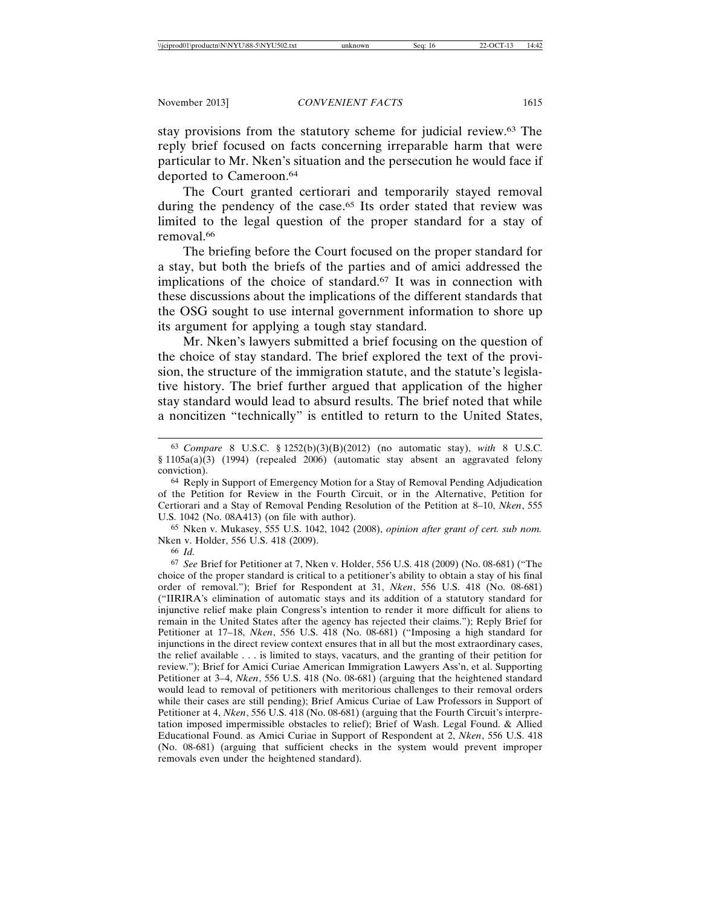stay provisions from the statutory scheme for judicial review.63 The reply brief focused on facts concerning irreparable harm that were particular to Mr. Nken's situation and the persecution he would face if deported to Cameroon.64

The Court granted certiorari and temporarily stayed removal during the pendency of the case.<sup>65</sup> Its order stated that review was limited to the legal question of the proper standard for a stay of removal.66

The briefing before the Court focused on the proper standard for a stay, but both the briefs of the parties and of amici addressed the implications of the choice of standard.67 It was in connection with these discussions about the implications of the different standards that the OSG sought to use internal government information to shore up its argument for applying a tough stay standard.

Mr. Nken's lawyers submitted a brief focusing on the question of the choice of stay standard. The brief explored the text of the provision, the structure of the immigration statute, and the statute's legislative history. The brief further argued that application of the higher stay standard would lead to absurd results. The brief noted that while a noncitizen "technically" is entitled to return to the United States,

65 Nken v. Mukasey, 555 U.S. 1042, 1042 (2008), *opinion after grant of cert. sub nom.* Nken v. Holder, 556 U.S. 418 (2009).

66 *Id.* 

67 *See* Brief for Petitioner at 7, Nken v. Holder, 556 U.S. 418 (2009) (No. 08-681) ("The choice of the proper standard is critical to a petitioner's ability to obtain a stay of his final order of removal."); Brief for Respondent at 31, *Nken*, 556 U.S. 418 (No. 08-681) ("IIRIRA's elimination of automatic stays and its addition of a statutory standard for injunctive relief make plain Congress's intention to render it more difficult for aliens to remain in the United States after the agency has rejected their claims."); Reply Brief for Petitioner at 17–18, *Nken*, 556 U.S. 418 (No. 08-681) ("Imposing a high standard for injunctions in the direct review context ensures that in all but the most extraordinary cases, the relief available . . . is limited to stays, vacaturs, and the granting of their petition for review."); Brief for Amici Curiae American Immigration Lawyers Ass'n, et al. Supporting Petitioner at 3–4, *Nken*, 556 U.S. 418 (No. 08-681) (arguing that the heightened standard would lead to removal of petitioners with meritorious challenges to their removal orders while their cases are still pending); Brief Amicus Curiae of Law Professors in Support of Petitioner at 4, *Nken*, 556 U.S. 418 (No. 08-681) (arguing that the Fourth Circuit's interpretation imposed impermissible obstacles to relief); Brief of Wash. Legal Found. & Allied Educational Found. as Amici Curiae in Support of Respondent at 2, *Nken*, 556 U.S. 418 (No. 08-681) (arguing that sufficient checks in the system would prevent improper removals even under the heightened standard).

<sup>63</sup> *Compare* 8 U.S.C. § 1252(b)(3)(B)(2012) (no automatic stay), *with* 8 U.S.C.  $§ 1105a(a)(3)$  (1994) (repealed 2006) (automatic stay absent an aggravated felony conviction).

<sup>64</sup> Reply in Support of Emergency Motion for a Stay of Removal Pending Adjudication of the Petition for Review in the Fourth Circuit, or in the Alternative, Petition for Certiorari and a Stay of Removal Pending Resolution of the Petition at 8–10, *Nken*, 555 U.S. 1042 (No. 08A413) (on file with author).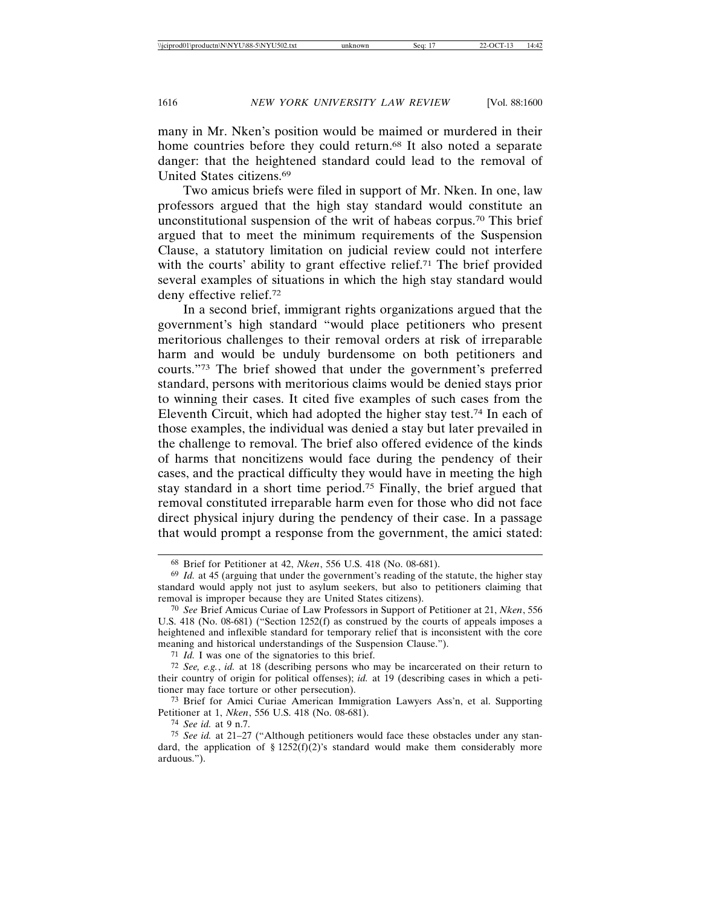many in Mr. Nken's position would be maimed or murdered in their home countries before they could return.<sup>68</sup> It also noted a separate danger: that the heightened standard could lead to the removal of United States citizens.69

Two amicus briefs were filed in support of Mr. Nken. In one, law professors argued that the high stay standard would constitute an unconstitutional suspension of the writ of habeas corpus.70 This brief argued that to meet the minimum requirements of the Suspension Clause, a statutory limitation on judicial review could not interfere with the courts' ability to grant effective relief.<sup>71</sup> The brief provided several examples of situations in which the high stay standard would deny effective relief.72

In a second brief, immigrant rights organizations argued that the government's high standard "would place petitioners who present meritorious challenges to their removal orders at risk of irreparable harm and would be unduly burdensome on both petitioners and courts."73 The brief showed that under the government's preferred standard, persons with meritorious claims would be denied stays prior to winning their cases. It cited five examples of such cases from the Eleventh Circuit, which had adopted the higher stay test.74 In each of those examples, the individual was denied a stay but later prevailed in the challenge to removal. The brief also offered evidence of the kinds of harms that noncitizens would face during the pendency of their cases, and the practical difficulty they would have in meeting the high stay standard in a short time period.75 Finally, the brief argued that removal constituted irreparable harm even for those who did not face direct physical injury during the pendency of their case. In a passage that would prompt a response from the government, the amici stated:

71 *Id.* I was one of the signatories to this brief.

72 *See, e.g.*, *id.* at 18 (describing persons who may be incarcerated on their return to their country of origin for political offenses); *id.* at 19 (describing cases in which a petitioner may face torture or other persecution).

73 Brief for Amici Curiae American Immigration Lawyers Ass'n, et al. Supporting Petitioner at 1, *Nken*, 556 U.S. 418 (No. 08-681).

74 *See id.* at 9 n.7.

75 *See id.* at 21–27 ("Although petitioners would face these obstacles under any standard, the application of § 1252(f)(2)'s standard would make them considerably more arduous.").

<sup>68</sup> Brief for Petitioner at 42, *Nken*, 556 U.S. 418 (No. 08-681).

<sup>69</sup> *Id.* at 45 (arguing that under the government's reading of the statute, the higher stay standard would apply not just to asylum seekers, but also to petitioners claiming that removal is improper because they are United States citizens).

<sup>70</sup> *See* Brief Amicus Curiae of Law Professors in Support of Petitioner at 21, *Nken*, 556 U.S. 418 (No. 08-681) ("Section 1252(f) as construed by the courts of appeals imposes a heightened and inflexible standard for temporary relief that is inconsistent with the core meaning and historical understandings of the Suspension Clause.").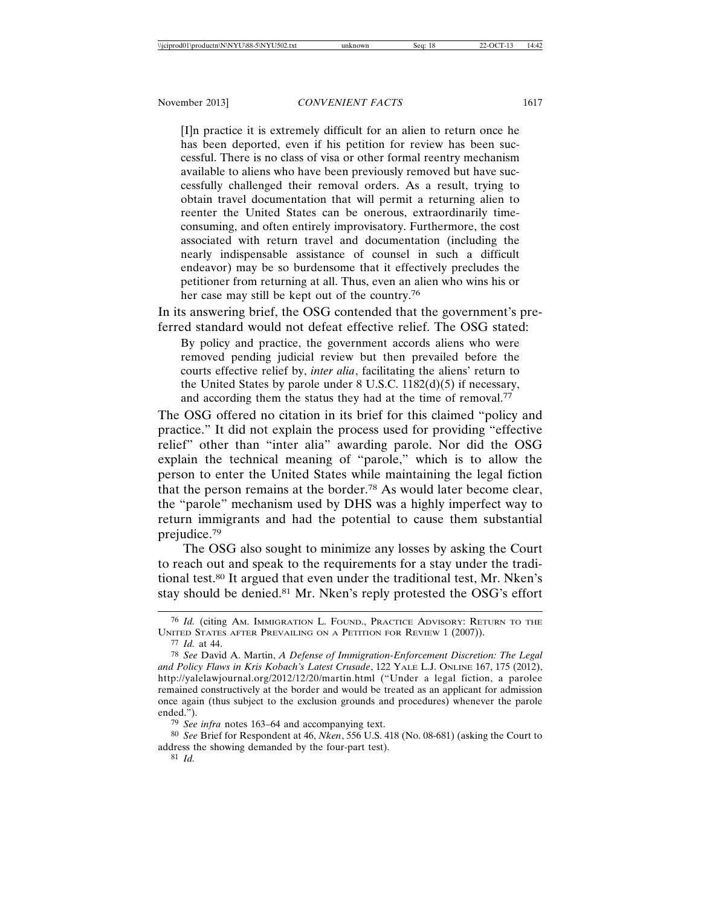[I]n practice it is extremely difficult for an alien to return once he has been deported, even if his petition for review has been successful. There is no class of visa or other formal reentry mechanism available to aliens who have been previously removed but have successfully challenged their removal orders. As a result, trying to obtain travel documentation that will permit a returning alien to reenter the United States can be onerous, extraordinarily timeconsuming, and often entirely improvisatory. Furthermore, the cost associated with return travel and documentation (including the nearly indispensable assistance of counsel in such a difficult endeavor) may be so burdensome that it effectively precludes the petitioner from returning at all. Thus, even an alien who wins his or her case may still be kept out of the country.76

In its answering brief, the OSG contended that the government's preferred standard would not defeat effective relief. The OSG stated:

By policy and practice, the government accords aliens who were removed pending judicial review but then prevailed before the courts effective relief by, *inter alia*, facilitating the aliens' return to the United States by parole under 8 U.S.C. 1182(d)(5) if necessary, and according them the status they had at the time of removal.77

The OSG offered no citation in its brief for this claimed "policy and practice." It did not explain the process used for providing "effective relief" other than "inter alia" awarding parole. Nor did the OSG explain the technical meaning of "parole," which is to allow the person to enter the United States while maintaining the legal fiction that the person remains at the border.78 As would later become clear, the "parole" mechanism used by DHS was a highly imperfect way to return immigrants and had the potential to cause them substantial prejudice.79

The OSG also sought to minimize any losses by asking the Court to reach out and speak to the requirements for a stay under the traditional test.80 It argued that even under the traditional test, Mr. Nken's stay should be denied.<sup>81</sup> Mr. Nken's reply protested the OSG's effort

<sup>76</sup> *Id.* (citing AM. IMMIGRATION L. FOUND., PRACTICE ADVISORY: RETURN TO THE UNITED STATES AFTER PREVAILING ON A PETITION FOR REVIEW 1 (2007)).

<sup>77</sup> *Id.* at 44.

<sup>78</sup> *See* David A. Martin, *A Defense of Immigration-Enforcement Discretion: The Legal and Policy Flaws in Kris Kobach's Latest Crusade*, 122 YALE L.J. ONLINE 167, 175 (2012), http://yalelawjournal.org/2012/12/20/martin.html ("Under a legal fiction, a parolee remained constructively at the border and would be treated as an applicant for admission once again (thus subject to the exclusion grounds and procedures) whenever the parole ended.").

<sup>79</sup> *See infra* notes 163–64 and accompanying text.

<sup>80</sup> *See* Brief for Respondent at 46, *Nken*, 556 U.S. 418 (No. 08-681) (asking the Court to address the showing demanded by the four-part test).

<sup>81</sup> *Id.*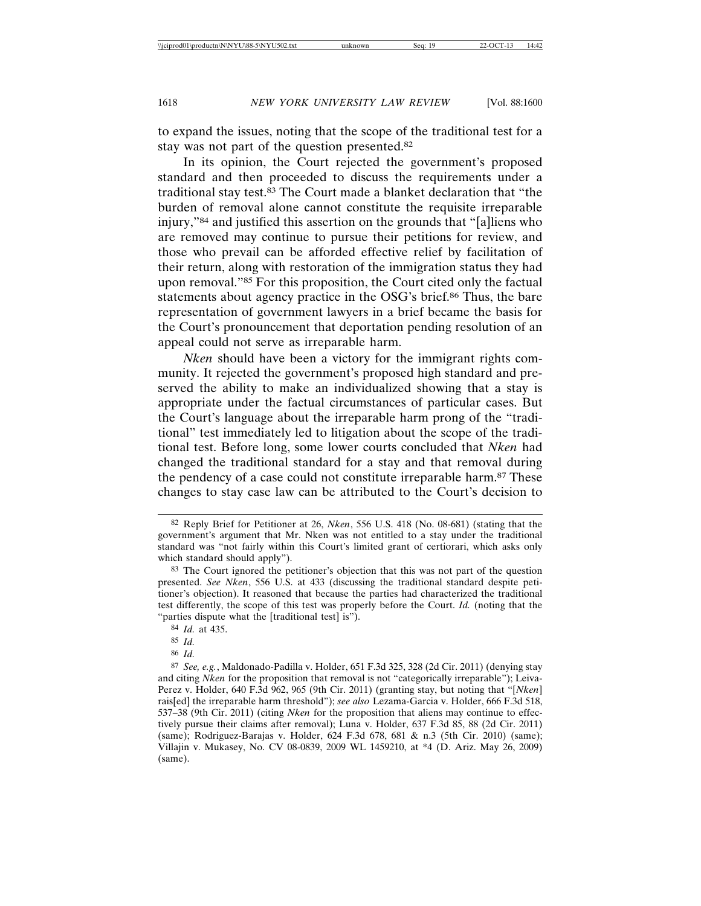to expand the issues, noting that the scope of the traditional test for a stay was not part of the question presented.82

In its opinion, the Court rejected the government's proposed standard and then proceeded to discuss the requirements under a traditional stay test.83 The Court made a blanket declaration that "the burden of removal alone cannot constitute the requisite irreparable injury,"84 and justified this assertion on the grounds that "[a]liens who are removed may continue to pursue their petitions for review, and those who prevail can be afforded effective relief by facilitation of their return, along with restoration of the immigration status they had upon removal."85 For this proposition, the Court cited only the factual statements about agency practice in the OSG's brief.86 Thus, the bare representation of government lawyers in a brief became the basis for the Court's pronouncement that deportation pending resolution of an appeal could not serve as irreparable harm.

*Nken* should have been a victory for the immigrant rights community. It rejected the government's proposed high standard and preserved the ability to make an individualized showing that a stay is appropriate under the factual circumstances of particular cases. But the Court's language about the irreparable harm prong of the "traditional" test immediately led to litigation about the scope of the traditional test. Before long, some lower courts concluded that *Nken* had changed the traditional standard for a stay and that removal during the pendency of a case could not constitute irreparable harm.87 These changes to stay case law can be attributed to the Court's decision to

86 *Id.*

<sup>82</sup> Reply Brief for Petitioner at 26, *Nken*, 556 U.S. 418 (No. 08-681) (stating that the government's argument that Mr. Nken was not entitled to a stay under the traditional standard was "not fairly within this Court's limited grant of certiorari, which asks only which standard should apply").

<sup>83</sup> The Court ignored the petitioner's objection that this was not part of the question presented. *See Nken*, 556 U.S. at 433 (discussing the traditional standard despite petitioner's objection). It reasoned that because the parties had characterized the traditional test differently, the scope of this test was properly before the Court. *Id.* (noting that the "parties dispute what the [traditional test] is").

<sup>84</sup> *Id.* at 435.

<sup>85</sup> *Id.*

<sup>87</sup> *See, e.g.*, Maldonado-Padilla v. Holder, 651 F.3d 325, 328 (2d Cir. 2011) (denying stay and citing *Nken* for the proposition that removal is not "categorically irreparable"); Leiva-Perez v. Holder, 640 F.3d 962, 965 (9th Cir. 2011) (granting stay, but noting that "[*Nken*] rais[ed] the irreparable harm threshold"); *see also* Lezama-Garcia v. Holder, 666 F.3d 518, 537–38 (9th Cir. 2011) (citing *Nken* for the proposition that aliens may continue to effectively pursue their claims after removal); Luna v. Holder, 637 F.3d 85, 88 (2d Cir. 2011) (same); Rodriguez-Barajas v. Holder, 624 F.3d 678, 681 & n.3 (5th Cir. 2010) (same); Villajin v. Mukasey, No. CV 08-0839, 2009 WL 1459210, at \*4 (D. Ariz. May 26, 2009) (same).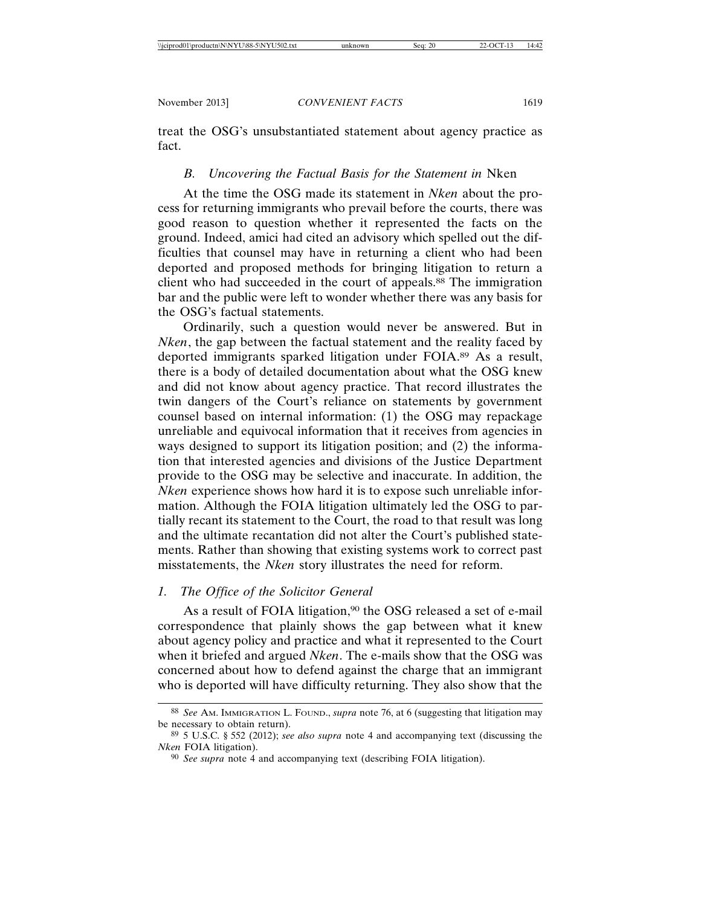treat the OSG's unsubstantiated statement about agency practice as fact.

#### *B. Uncovering the Factual Basis for the Statement in* Nken

At the time the OSG made its statement in *Nken* about the process for returning immigrants who prevail before the courts, there was good reason to question whether it represented the facts on the ground. Indeed, amici had cited an advisory which spelled out the difficulties that counsel may have in returning a client who had been deported and proposed methods for bringing litigation to return a client who had succeeded in the court of appeals.<sup>88</sup> The immigration bar and the public were left to wonder whether there was any basis for the OSG's factual statements.

Ordinarily, such a question would never be answered. But in *Nken*, the gap between the factual statement and the reality faced by deported immigrants sparked litigation under FOIA.89 As a result, there is a body of detailed documentation about what the OSG knew and did not know about agency practice. That record illustrates the twin dangers of the Court's reliance on statements by government counsel based on internal information: (1) the OSG may repackage unreliable and equivocal information that it receives from agencies in ways designed to support its litigation position; and (2) the information that interested agencies and divisions of the Justice Department provide to the OSG may be selective and inaccurate. In addition, the *Nken* experience shows how hard it is to expose such unreliable information. Although the FOIA litigation ultimately led the OSG to partially recant its statement to the Court, the road to that result was long and the ultimate recantation did not alter the Court's published statements. Rather than showing that existing systems work to correct past misstatements, the *Nken* story illustrates the need for reform.

# *1. The Office of the Solicitor General*

As a result of FOIA litigation,<sup>90</sup> the OSG released a set of e-mail correspondence that plainly shows the gap between what it knew about agency policy and practice and what it represented to the Court when it briefed and argued *Nken*. The e-mails show that the OSG was concerned about how to defend against the charge that an immigrant who is deported will have difficulty returning. They also show that the

<sup>88</sup> *See* AM. IMMIGRATION L. FOUND., *supra* note 76, at 6 (suggesting that litigation may be necessary to obtain return).

<sup>89</sup> 5 U.S.C. § 552 (2012); *see also supra* note 4 and accompanying text (discussing the *Nken* FOIA litigation).

<sup>90</sup> *See supra* note 4 and accompanying text (describing FOIA litigation).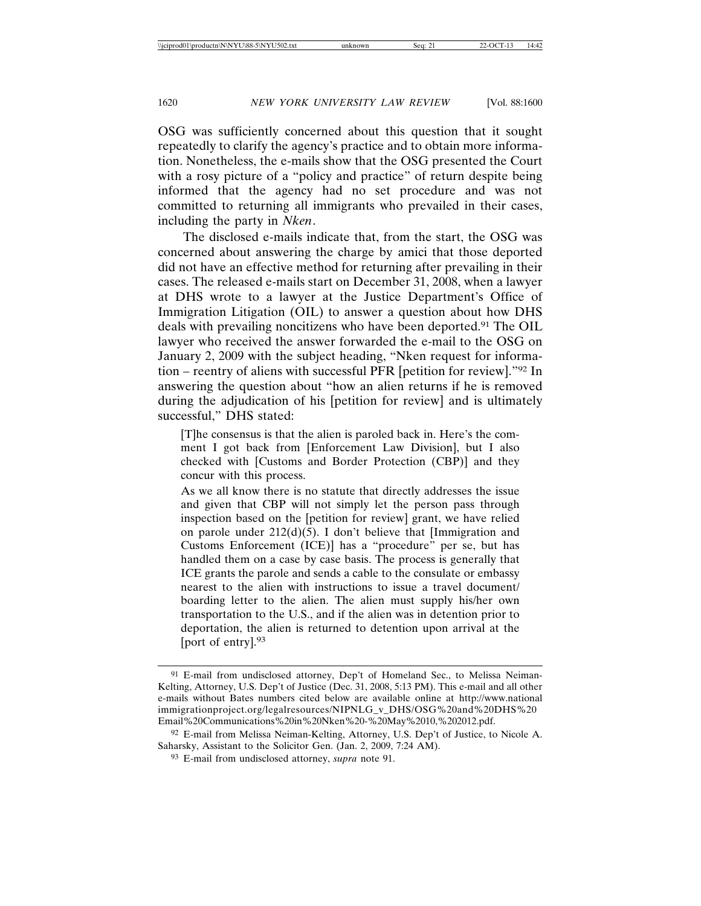OSG was sufficiently concerned about this question that it sought repeatedly to clarify the agency's practice and to obtain more information. Nonetheless, the e-mails show that the OSG presented the Court with a rosy picture of a "policy and practice" of return despite being informed that the agency had no set procedure and was not committed to returning all immigrants who prevailed in their cases, including the party in *Nken*.

The disclosed e-mails indicate that, from the start, the OSG was concerned about answering the charge by amici that those deported did not have an effective method for returning after prevailing in their cases. The released e-mails start on December 31, 2008, when a lawyer at DHS wrote to a lawyer at the Justice Department's Office of Immigration Litigation (OIL) to answer a question about how DHS deals with prevailing noncitizens who have been deported.91 The OIL lawyer who received the answer forwarded the e-mail to the OSG on January 2, 2009 with the subject heading, "Nken request for information – reentry of aliens with successful PFR [petition for review]."92 In answering the question about "how an alien returns if he is removed during the adjudication of his [petition for review] and is ultimately successful," DHS stated:

[T]he consensus is that the alien is paroled back in. Here's the comment I got back from [Enforcement Law Division], but I also checked with [Customs and Border Protection (CBP)] and they concur with this process.

As we all know there is no statute that directly addresses the issue and given that CBP will not simply let the person pass through inspection based on the [petition for review] grant, we have relied on parole under 212(d)(5). I don't believe that [Immigration and Customs Enforcement (ICE)] has a "procedure" per se, but has handled them on a case by case basis. The process is generally that ICE grants the parole and sends a cable to the consulate or embassy nearest to the alien with instructions to issue a travel document/ boarding letter to the alien. The alien must supply his/her own transportation to the U.S., and if the alien was in detention prior to deportation, the alien is returned to detention upon arrival at the [port of entry].93

<sup>91</sup> E-mail from undisclosed attorney, Dep't of Homeland Sec., to Melissa Neiman-Kelting, Attorney, U.S. Dep't of Justice (Dec. 31, 2008, 5:13 PM). This e-mail and all other e-mails without Bates numbers cited below are available online at http://www.national immigrationproject.org/legalresources/NIPNLG\_v\_DHS/OSG%20and%20DHS%20 Email%20Communications%20in%20Nken%20-%20May%2010,%202012.pdf.

<sup>92</sup> E-mail from Melissa Neiman-Kelting, Attorney, U.S. Dep't of Justice, to Nicole A. Saharsky, Assistant to the Solicitor Gen. (Jan. 2, 2009, 7:24 AM).

<sup>93</sup> E-mail from undisclosed attorney, *supra* note 91.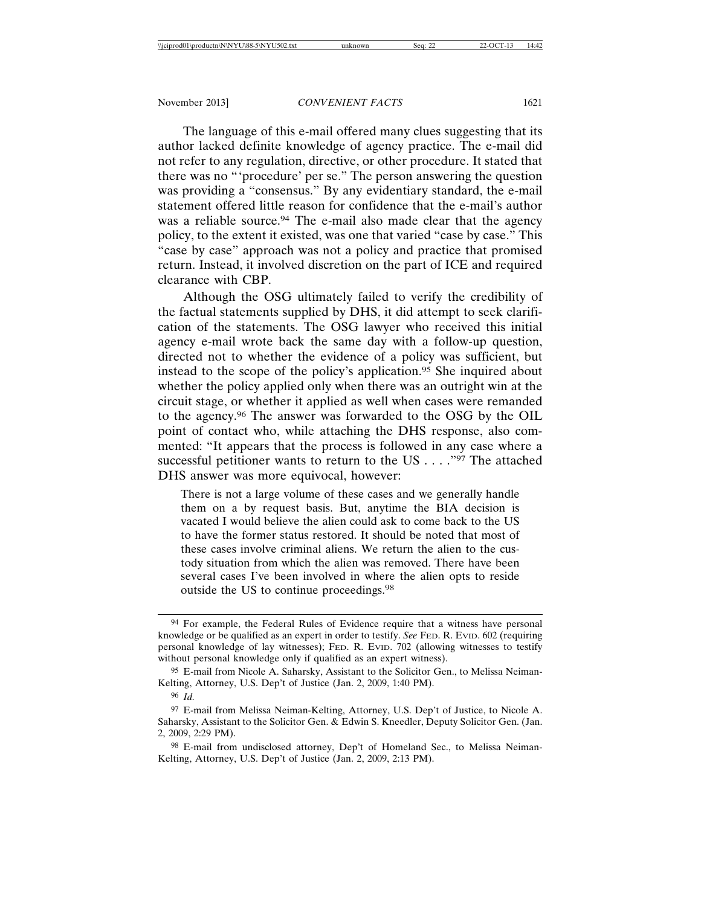The language of this e-mail offered many clues suggesting that its author lacked definite knowledge of agency practice. The e-mail did not refer to any regulation, directive, or other procedure. It stated that there was no "'procedure' per se." The person answering the question was providing a "consensus." By any evidentiary standard, the e-mail statement offered little reason for confidence that the e-mail's author was a reliable source.<sup>94</sup> The e-mail also made clear that the agency policy, to the extent it existed, was one that varied "case by case." This "case by case" approach was not a policy and practice that promised return. Instead, it involved discretion on the part of ICE and required clearance with CBP.

Although the OSG ultimately failed to verify the credibility of the factual statements supplied by DHS, it did attempt to seek clarification of the statements. The OSG lawyer who received this initial agency e-mail wrote back the same day with a follow-up question, directed not to whether the evidence of a policy was sufficient, but instead to the scope of the policy's application.95 She inquired about whether the policy applied only when there was an outright win at the circuit stage, or whether it applied as well when cases were remanded to the agency.96 The answer was forwarded to the OSG by the OIL point of contact who, while attaching the DHS response, also commented: "It appears that the process is followed in any case where a successful petitioner wants to return to the US . . . . "97 The attached DHS answer was more equivocal, however:

There is not a large volume of these cases and we generally handle them on a by request basis. But, anytime the BIA decision is vacated I would believe the alien could ask to come back to the US to have the former status restored. It should be noted that most of these cases involve criminal aliens. We return the alien to the custody situation from which the alien was removed. There have been several cases I've been involved in where the alien opts to reside outside the US to continue proceedings.98

<sup>94</sup> For example, the Federal Rules of Evidence require that a witness have personal knowledge or be qualified as an expert in order to testify. *See* FED. R. EVID. 602 (requiring personal knowledge of lay witnesses); FED. R. EVID. 702 (allowing witnesses to testify without personal knowledge only if qualified as an expert witness).

<sup>95</sup> E-mail from Nicole A. Saharsky, Assistant to the Solicitor Gen., to Melissa Neiman-Kelting, Attorney, U.S. Dep't of Justice (Jan. 2, 2009, 1:40 PM).

<sup>96</sup> *Id.*

<sup>97</sup> E-mail from Melissa Neiman-Kelting, Attorney, U.S. Dep't of Justice, to Nicole A. Saharsky, Assistant to the Solicitor Gen. & Edwin S. Kneedler, Deputy Solicitor Gen. (Jan. 2, 2009, 2:29 PM).

<sup>98</sup> E-mail from undisclosed attorney, Dep't of Homeland Sec., to Melissa Neiman-Kelting, Attorney, U.S. Dep't of Justice (Jan. 2, 2009, 2:13 PM).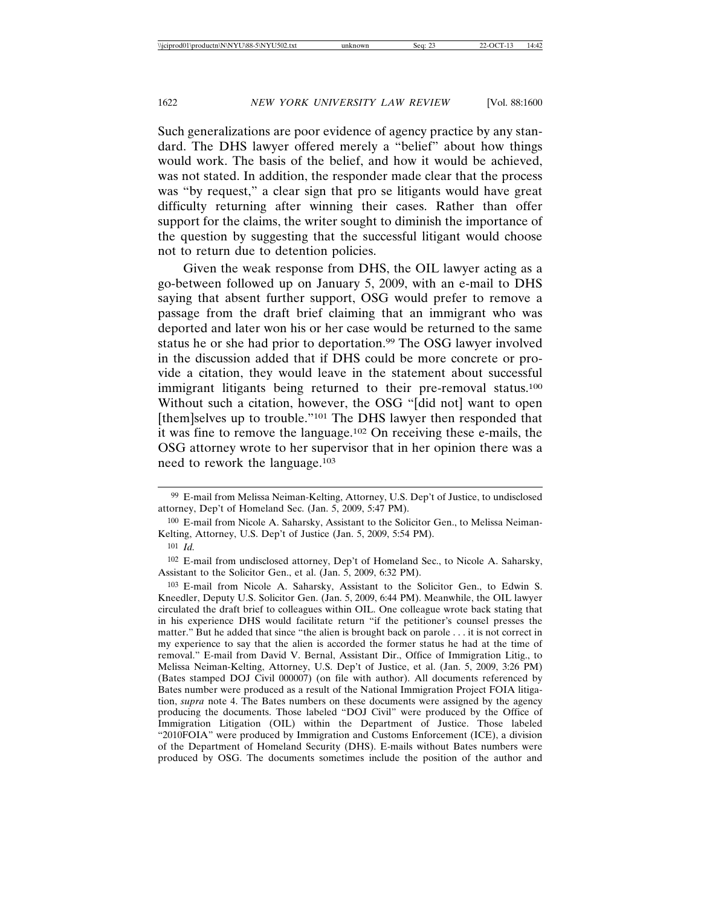Such generalizations are poor evidence of agency practice by any standard. The DHS lawyer offered merely a "belief" about how things would work. The basis of the belief, and how it would be achieved, was not stated. In addition, the responder made clear that the process was "by request," a clear sign that pro se litigants would have great difficulty returning after winning their cases. Rather than offer support for the claims, the writer sought to diminish the importance of the question by suggesting that the successful litigant would choose not to return due to detention policies.

Given the weak response from DHS, the OIL lawyer acting as a go-between followed up on January 5, 2009, with an e-mail to DHS saying that absent further support, OSG would prefer to remove a passage from the draft brief claiming that an immigrant who was deported and later won his or her case would be returned to the same status he or she had prior to deportation.99 The OSG lawyer involved in the discussion added that if DHS could be more concrete or provide a citation, they would leave in the statement about successful immigrant litigants being returned to their pre-removal status.<sup>100</sup> Without such a citation, however, the OSG "[did not] want to open [them]selves up to trouble."101 The DHS lawyer then responded that it was fine to remove the language.102 On receiving these e-mails, the OSG attorney wrote to her supervisor that in her opinion there was a need to rework the language.103

<sup>99</sup> E-mail from Melissa Neiman-Kelting, Attorney, U.S. Dep't of Justice, to undisclosed attorney, Dep't of Homeland Sec. (Jan. 5, 2009, 5:47 PM).

<sup>100</sup> E-mail from Nicole A. Saharsky, Assistant to the Solicitor Gen., to Melissa Neiman-Kelting, Attorney, U.S. Dep't of Justice (Jan. 5, 2009, 5:54 PM).

<sup>101</sup> *Id.*

<sup>102</sup> E-mail from undisclosed attorney, Dep't of Homeland Sec., to Nicole A. Saharsky, Assistant to the Solicitor Gen., et al. (Jan. 5, 2009, 6:32 PM).

<sup>103</sup> E-mail from Nicole A. Saharsky, Assistant to the Solicitor Gen., to Edwin S. Kneedler, Deputy U.S. Solicitor Gen. (Jan. 5, 2009, 6:44 PM). Meanwhile, the OIL lawyer circulated the draft brief to colleagues within OIL. One colleague wrote back stating that in his experience DHS would facilitate return "if the petitioner's counsel presses the matter." But he added that since "the alien is brought back on parole . . . it is not correct in my experience to say that the alien is accorded the former status he had at the time of removal." E-mail from David V. Bernal, Assistant Dir., Office of Immigration Litig., to Melissa Neiman-Kelting, Attorney, U.S. Dep't of Justice, et al. (Jan. 5, 2009, 3:26 PM) (Bates stamped DOJ Civil 000007) (on file with author). All documents referenced by Bates number were produced as a result of the National Immigration Project FOIA litigation, *supra* note 4. The Bates numbers on these documents were assigned by the agency producing the documents. Those labeled "DOJ Civil" were produced by the Office of Immigration Litigation (OIL) within the Department of Justice. Those labeled "2010FOIA" were produced by Immigration and Customs Enforcement (ICE), a division of the Department of Homeland Security (DHS). E-mails without Bates numbers were produced by OSG. The documents sometimes include the position of the author and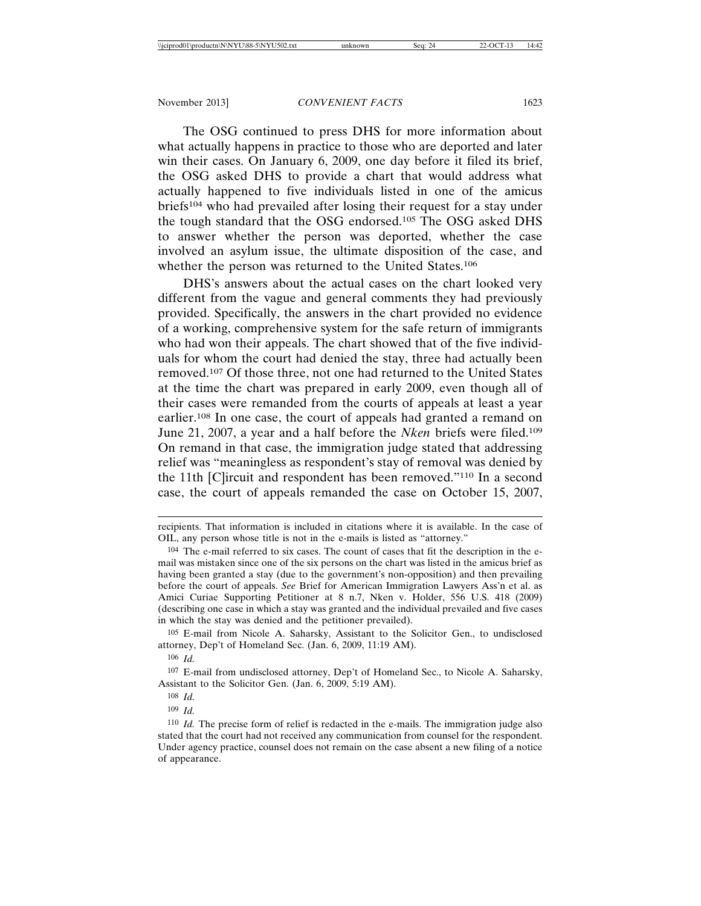The OSG continued to press DHS for more information about what actually happens in practice to those who are deported and later win their cases. On January 6, 2009, one day before it filed its brief, the OSG asked DHS to provide a chart that would address what actually happened to five individuals listed in one of the amicus briefs104 who had prevailed after losing their request for a stay under the tough standard that the OSG endorsed.105 The OSG asked DHS to answer whether the person was deported, whether the case involved an asylum issue, the ultimate disposition of the case, and whether the person was returned to the United States.106

DHS's answers about the actual cases on the chart looked very different from the vague and general comments they had previously provided. Specifically, the answers in the chart provided no evidence of a working, comprehensive system for the safe return of immigrants who had won their appeals. The chart showed that of the five individuals for whom the court had denied the stay, three had actually been removed.107 Of those three, not one had returned to the United States at the time the chart was prepared in early 2009, even though all of their cases were remanded from the courts of appeals at least a year earlier.108 In one case, the court of appeals had granted a remand on June 21, 2007, a year and a half before the *Nken* briefs were filed.109 On remand in that case, the immigration judge stated that addressing relief was "meaningless as respondent's stay of removal was denied by the 11th [C]ircuit and respondent has been removed."110 In a second case, the court of appeals remanded the case on October 15, 2007,

105 E-mail from Nicole A. Saharsky, Assistant to the Solicitor Gen., to undisclosed attorney, Dep't of Homeland Sec. (Jan. 6, 2009, 11:19 AM).

106 *Id.*

107 E-mail from undisclosed attorney, Dep't of Homeland Sec., to Nicole A. Saharsky, Assistant to the Solicitor Gen. (Jan. 6, 2009, 5:19 AM).

recipients. That information is included in citations where it is available. In the case of OIL, any person whose title is not in the e-mails is listed as "attorney."

<sup>104</sup> The e-mail referred to six cases. The count of cases that fit the description in the email was mistaken since one of the six persons on the chart was listed in the amicus brief as having been granted a stay (due to the government's non-opposition) and then prevailing before the court of appeals. *See* Brief for American Immigration Lawyers Ass'n et al. as Amici Curiae Supporting Petitioner at 8 n.7, Nken v. Holder, 556 U.S. 418 (2009) (describing one case in which a stay was granted and the individual prevailed and five cases in which the stay was denied and the petitioner prevailed).

<sup>108</sup> *Id.*

<sup>109</sup> *Id.*

<sup>110</sup> *Id.* The precise form of relief is redacted in the e-mails. The immigration judge also stated that the court had not received any communication from counsel for the respondent. Under agency practice, counsel does not remain on the case absent a new filing of a notice of appearance.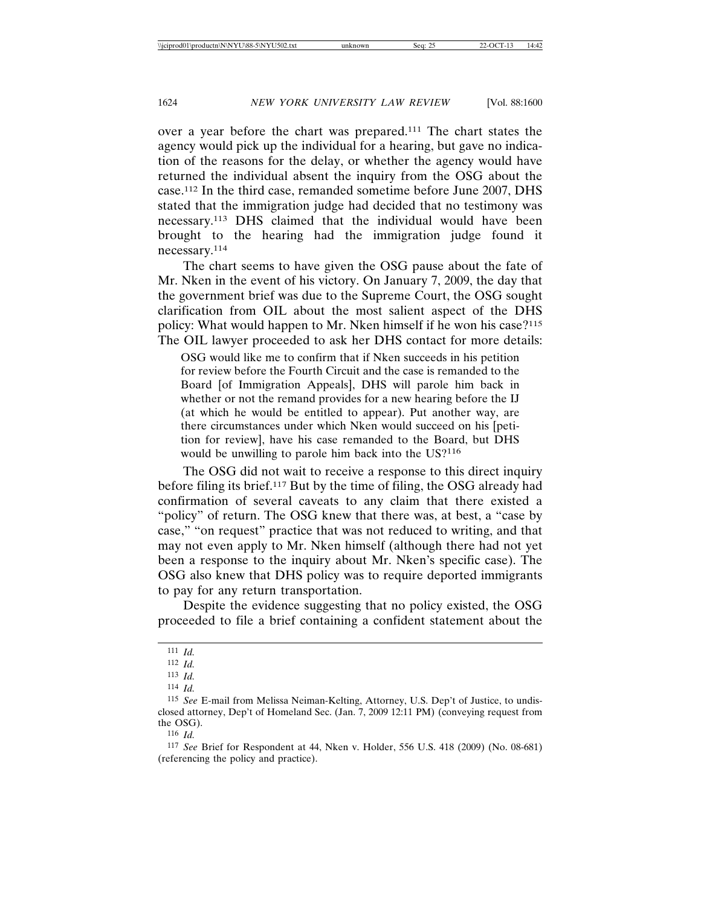over a year before the chart was prepared.111 The chart states the agency would pick up the individual for a hearing, but gave no indication of the reasons for the delay, or whether the agency would have returned the individual absent the inquiry from the OSG about the case.112 In the third case, remanded sometime before June 2007, DHS stated that the immigration judge had decided that no testimony was necessary.113 DHS claimed that the individual would have been brought to the hearing had the immigration judge found it necessary.114

The chart seems to have given the OSG pause about the fate of Mr. Nken in the event of his victory. On January 7, 2009, the day that the government brief was due to the Supreme Court, the OSG sought clarification from OIL about the most salient aspect of the DHS policy: What would happen to Mr. Nken himself if he won his case?<sup>115</sup> The OIL lawyer proceeded to ask her DHS contact for more details:

OSG would like me to confirm that if Nken succeeds in his petition for review before the Fourth Circuit and the case is remanded to the Board [of Immigration Appeals], DHS will parole him back in whether or not the remand provides for a new hearing before the IJ (at which he would be entitled to appear). Put another way, are there circumstances under which Nken would succeed on his [petition for review], have his case remanded to the Board, but DHS would be unwilling to parole him back into the US?<sup>116</sup>

The OSG did not wait to receive a response to this direct inquiry before filing its brief.117 But by the time of filing, the OSG already had confirmation of several caveats to any claim that there existed a "policy" of return. The OSG knew that there was, at best, a "case by case," "on request" practice that was not reduced to writing, and that may not even apply to Mr. Nken himself (although there had not yet been a response to the inquiry about Mr. Nken's specific case). The OSG also knew that DHS policy was to require deported immigrants to pay for any return transportation.

Despite the evidence suggesting that no policy existed, the OSG proceeded to file a brief containing a confident statement about the

<sup>111</sup> *Id.*

<sup>112</sup> *Id.*

<sup>113</sup> *Id.*

<sup>114</sup> *Id.*

<sup>115</sup> *See* E-mail from Melissa Neiman-Kelting, Attorney, U.S. Dep't of Justice, to undisclosed attorney, Dep't of Homeland Sec. (Jan. 7, 2009 12:11 PM) (conveying request from the OSG).

<sup>116</sup> *Id.*

<sup>117</sup> *See* Brief for Respondent at 44, Nken v. Holder, 556 U.S. 418 (2009) (No. 08-681) (referencing the policy and practice).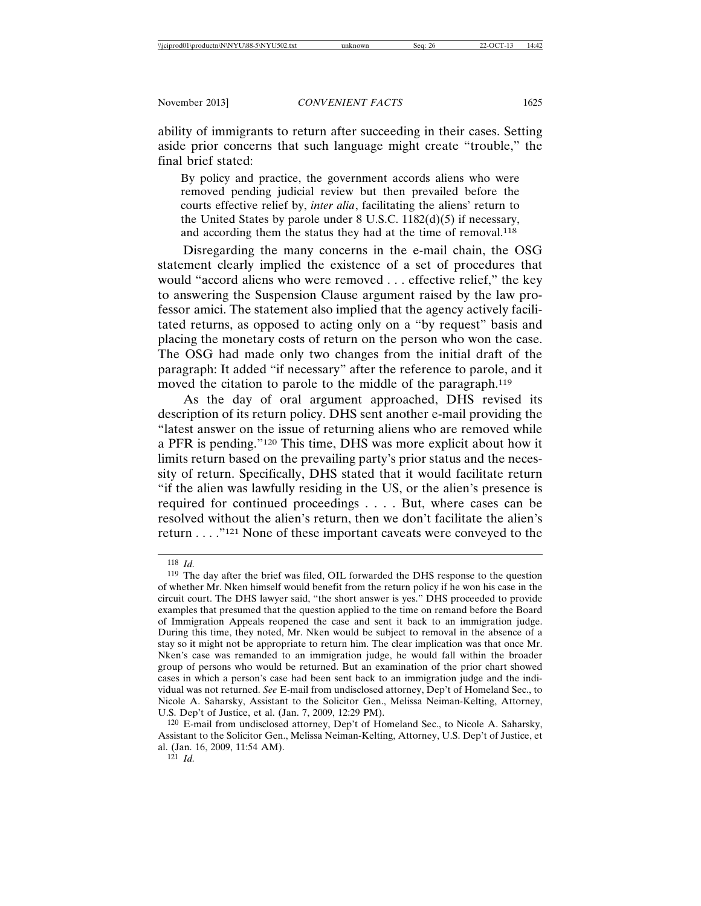ability of immigrants to return after succeeding in their cases. Setting aside prior concerns that such language might create "trouble," the final brief stated:

By policy and practice, the government accords aliens who were removed pending judicial review but then prevailed before the courts effective relief by, *inter alia*, facilitating the aliens' return to the United States by parole under 8 U.S.C. 1182(d)(5) if necessary, and according them the status they had at the time of removal.<sup>118</sup>

Disregarding the many concerns in the e-mail chain, the OSG statement clearly implied the existence of a set of procedures that would "accord aliens who were removed . . . effective relief," the key to answering the Suspension Clause argument raised by the law professor amici. The statement also implied that the agency actively facilitated returns, as opposed to acting only on a "by request" basis and placing the monetary costs of return on the person who won the case. The OSG had made only two changes from the initial draft of the paragraph: It added "if necessary" after the reference to parole, and it moved the citation to parole to the middle of the paragraph.<sup>119</sup>

As the day of oral argument approached, DHS revised its description of its return policy. DHS sent another e-mail providing the "latest answer on the issue of returning aliens who are removed while a PFR is pending."120 This time, DHS was more explicit about how it limits return based on the prevailing party's prior status and the necessity of return. Specifically, DHS stated that it would facilitate return "if the alien was lawfully residing in the US, or the alien's presence is required for continued proceedings . . . . But, where cases can be resolved without the alien's return, then we don't facilitate the alien's return . . . ."121 None of these important caveats were conveyed to the

<sup>118</sup> *Id.*

<sup>119</sup> The day after the brief was filed, OIL forwarded the DHS response to the question of whether Mr. Nken himself would benefit from the return policy if he won his case in the circuit court. The DHS lawyer said, "the short answer is yes." DHS proceeded to provide examples that presumed that the question applied to the time on remand before the Board of Immigration Appeals reopened the case and sent it back to an immigration judge. During this time, they noted, Mr. Nken would be subject to removal in the absence of a stay so it might not be appropriate to return him. The clear implication was that once Mr. Nken's case was remanded to an immigration judge, he would fall within the broader group of persons who would be returned. But an examination of the prior chart showed cases in which a person's case had been sent back to an immigration judge and the individual was not returned. *See* E-mail from undisclosed attorney, Dep't of Homeland Sec., to Nicole A. Saharsky, Assistant to the Solicitor Gen., Melissa Neiman-Kelting, Attorney, U.S. Dep't of Justice, et al. (Jan. 7, 2009, 12:29 PM).

<sup>120</sup> E-mail from undisclosed attorney, Dep't of Homeland Sec., to Nicole A. Saharsky, Assistant to the Solicitor Gen., Melissa Neiman-Kelting, Attorney, U.S. Dep't of Justice, et al. (Jan. 16, 2009, 11:54 AM).

 $121$  *Id.*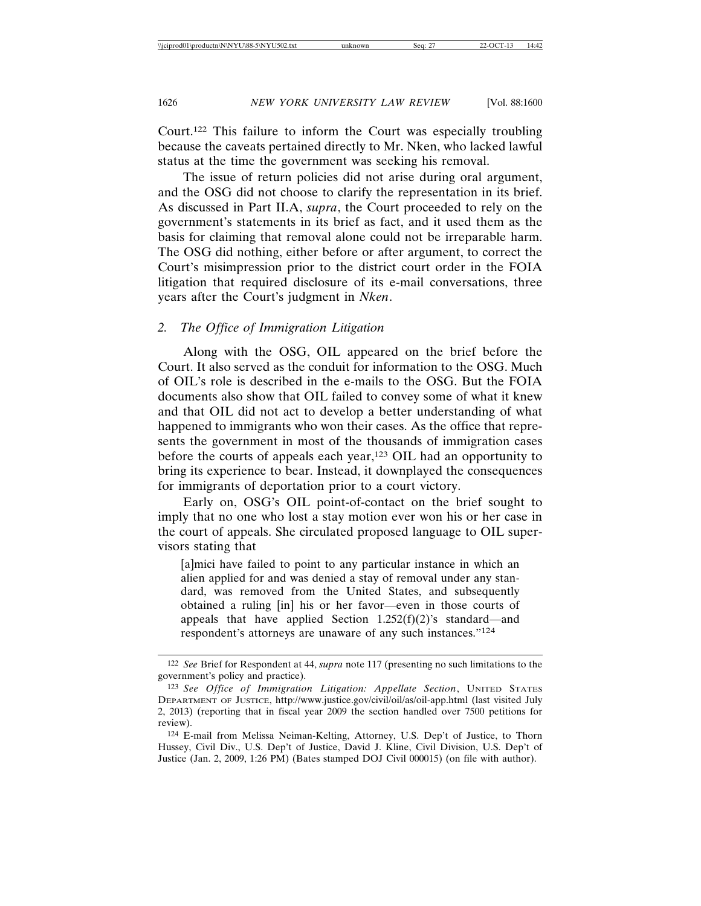Court.122 This failure to inform the Court was especially troubling because the caveats pertained directly to Mr. Nken, who lacked lawful status at the time the government was seeking his removal.

The issue of return policies did not arise during oral argument, and the OSG did not choose to clarify the representation in its brief. As discussed in Part II.A, *supra*, the Court proceeded to rely on the government's statements in its brief as fact, and it used them as the basis for claiming that removal alone could not be irreparable harm. The OSG did nothing, either before or after argument, to correct the Court's misimpression prior to the district court order in the FOIA litigation that required disclosure of its e-mail conversations, three years after the Court's judgment in *Nken*.

#### *2. The Office of Immigration Litigation*

Along with the OSG, OIL appeared on the brief before the Court. It also served as the conduit for information to the OSG. Much of OIL's role is described in the e-mails to the OSG. But the FOIA documents also show that OIL failed to convey some of what it knew and that OIL did not act to develop a better understanding of what happened to immigrants who won their cases. As the office that represents the government in most of the thousands of immigration cases before the courts of appeals each year,123 OIL had an opportunity to bring its experience to bear. Instead, it downplayed the consequences for immigrants of deportation prior to a court victory.

Early on, OSG's OIL point-of-contact on the brief sought to imply that no one who lost a stay motion ever won his or her case in the court of appeals. She circulated proposed language to OIL supervisors stating that

[a]mici have failed to point to any particular instance in which an alien applied for and was denied a stay of removal under any standard, was removed from the United States, and subsequently obtained a ruling [in] his or her favor—even in those courts of appeals that have applied Section  $1.252(f)(2)$ 's standard—and respondent's attorneys are unaware of any such instances."124

<sup>122</sup> *See* Brief for Respondent at 44, *supra* note 117 (presenting no such limitations to the government's policy and practice).

<sup>123</sup> *See Office of Immigration Litigation: Appellate Section*, UNITED STATES DEPARTMENT OF JUSTICE, http://www.justice.gov/civil/oil/as/oil-app.html (last visited July 2, 2013) (reporting that in fiscal year 2009 the section handled over 7500 petitions for review).

<sup>124</sup> E-mail from Melissa Neiman-Kelting, Attorney, U.S. Dep't of Justice, to Thorn Hussey, Civil Div., U.S. Dep't of Justice, David J. Kline, Civil Division, U.S. Dep't of Justice (Jan. 2, 2009, 1:26 PM) (Bates stamped DOJ Civil 000015) (on file with author).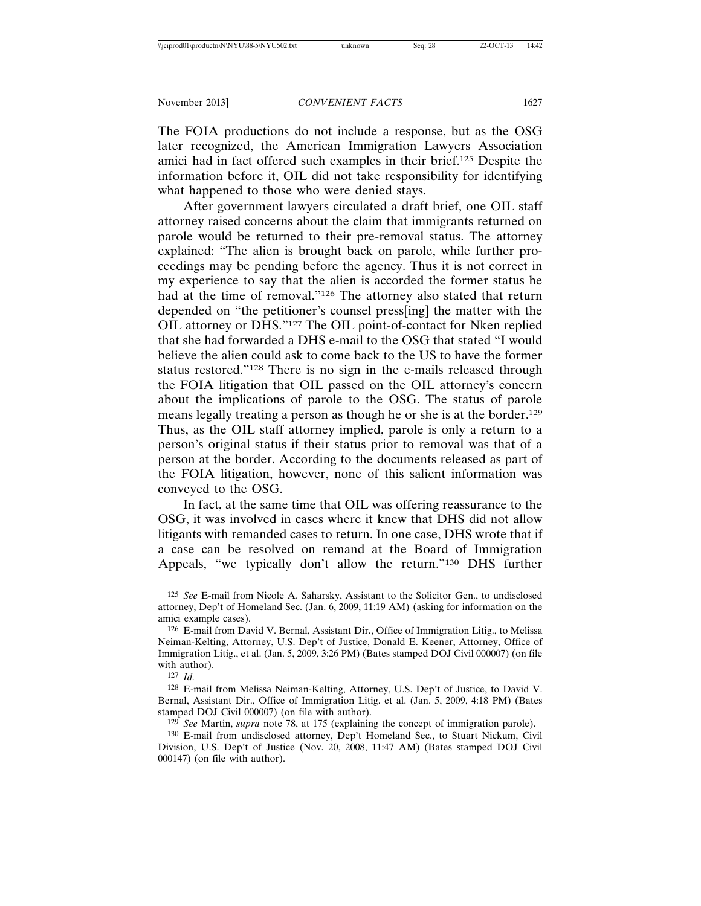The FOIA productions do not include a response, but as the OSG later recognized, the American Immigration Lawyers Association amici had in fact offered such examples in their brief.125 Despite the information before it, OIL did not take responsibility for identifying what happened to those who were denied stays.

After government lawyers circulated a draft brief, one OIL staff attorney raised concerns about the claim that immigrants returned on parole would be returned to their pre-removal status. The attorney explained: "The alien is brought back on parole, while further proceedings may be pending before the agency. Thus it is not correct in my experience to say that the alien is accorded the former status he had at the time of removal."126 The attorney also stated that return depended on "the petitioner's counsel press[ing] the matter with the OIL attorney or DHS."127 The OIL point-of-contact for Nken replied that she had forwarded a DHS e-mail to the OSG that stated "I would believe the alien could ask to come back to the US to have the former status restored."128 There is no sign in the e-mails released through the FOIA litigation that OIL passed on the OIL attorney's concern about the implications of parole to the OSG. The status of parole means legally treating a person as though he or she is at the border.129 Thus, as the OIL staff attorney implied, parole is only a return to a person's original status if their status prior to removal was that of a person at the border. According to the documents released as part of the FOIA litigation, however, none of this salient information was conveyed to the OSG.

In fact, at the same time that OIL was offering reassurance to the OSG, it was involved in cases where it knew that DHS did not allow litigants with remanded cases to return. In one case, DHS wrote that if a case can be resolved on remand at the Board of Immigration Appeals, "we typically don't allow the return."130 DHS further

127 *Id.*

128 E-mail from Melissa Neiman-Kelting, Attorney, U.S. Dep't of Justice, to David V. Bernal, Assistant Dir., Office of Immigration Litig. et al. (Jan. 5, 2009, 4:18 PM) (Bates stamped DOJ Civil 000007) (on file with author).

129 *See* Martin, *supra* note 78, at 175 (explaining the concept of immigration parole).

130 E-mail from undisclosed attorney, Dep't Homeland Sec., to Stuart Nickum, Civil Division, U.S. Dep't of Justice (Nov. 20, 2008, 11:47 AM) (Bates stamped DOJ Civil 000147) (on file with author).

<sup>125</sup> *See* E-mail from Nicole A. Saharsky, Assistant to the Solicitor Gen., to undisclosed attorney, Dep't of Homeland Sec. (Jan. 6, 2009, 11:19 AM) (asking for information on the amici example cases).

<sup>126</sup> E-mail from David V. Bernal, Assistant Dir., Office of Immigration Litig., to Melissa Neiman-Kelting, Attorney, U.S. Dep't of Justice, Donald E. Keener, Attorney, Office of Immigration Litig., et al. (Jan. 5, 2009, 3:26 PM) (Bates stamped DOJ Civil 000007) (on file with author).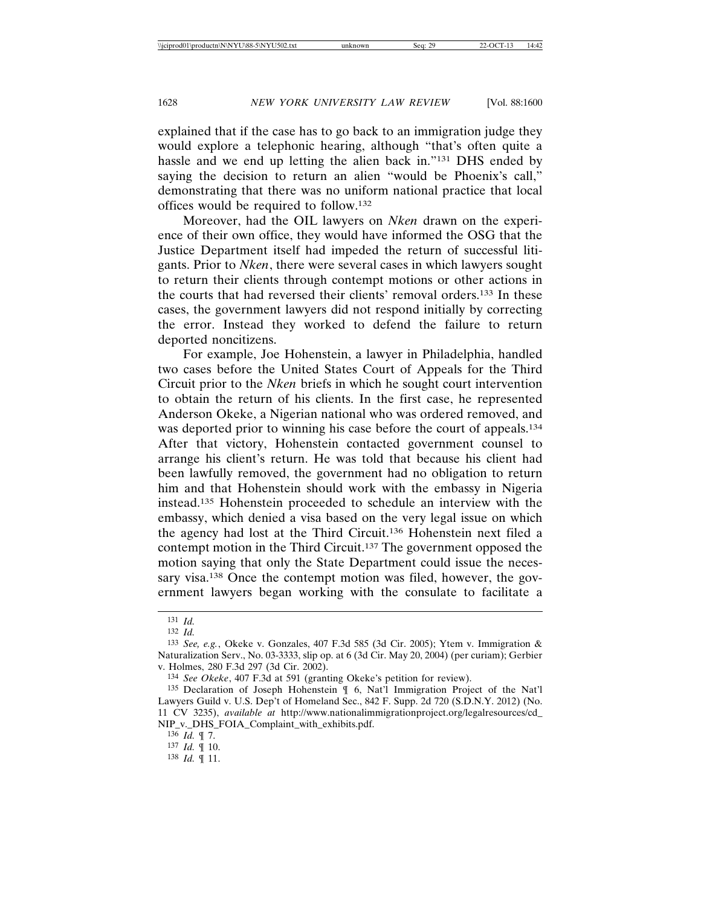explained that if the case has to go back to an immigration judge they would explore a telephonic hearing, although "that's often quite a hassle and we end up letting the alien back in."131 DHS ended by saying the decision to return an alien "would be Phoenix's call," demonstrating that there was no uniform national practice that local offices would be required to follow.132

Moreover, had the OIL lawyers on *Nken* drawn on the experience of their own office, they would have informed the OSG that the Justice Department itself had impeded the return of successful litigants. Prior to *Nken*, there were several cases in which lawyers sought to return their clients through contempt motions or other actions in the courts that had reversed their clients' removal orders.133 In these cases, the government lawyers did not respond initially by correcting the error. Instead they worked to defend the failure to return deported noncitizens.

For example, Joe Hohenstein, a lawyer in Philadelphia, handled two cases before the United States Court of Appeals for the Third Circuit prior to the *Nken* briefs in which he sought court intervention to obtain the return of his clients. In the first case, he represented Anderson Okeke, a Nigerian national who was ordered removed, and was deported prior to winning his case before the court of appeals.<sup>134</sup> After that victory, Hohenstein contacted government counsel to arrange his client's return. He was told that because his client had been lawfully removed, the government had no obligation to return him and that Hohenstein should work with the embassy in Nigeria instead.135 Hohenstein proceeded to schedule an interview with the embassy, which denied a visa based on the very legal issue on which the agency had lost at the Third Circuit.136 Hohenstein next filed a contempt motion in the Third Circuit.137 The government opposed the motion saying that only the State Department could issue the necessary visa.<sup>138</sup> Once the contempt motion was filed, however, the government lawyers began working with the consulate to facilitate a

<sup>131</sup> *Id.*

<sup>132</sup> *Id.*

<sup>133</sup> *See, e.g.*, Okeke v. Gonzales, 407 F.3d 585 (3d Cir. 2005); Ytem v. Immigration & Naturalization Serv., No. 03-3333, slip op. at 6 (3d Cir. May 20, 2004) (per curiam); Gerbier v. Holmes, 280 F.3d 297 (3d Cir. 2002).

<sup>134</sup> *See Okeke*, 407 F.3d at 591 (granting Okeke's petition for review).

<sup>135</sup> Declaration of Joseph Hohenstein ¶ 6, Nat'l Immigration Project of the Nat'l Lawyers Guild v. U.S. Dep't of Homeland Sec., 842 F. Supp. 2d 720 (S.D.N.Y. 2012) (No. 11 CV 3235), *available at* http://www.nationalimmigrationproject.org/legalresources/cd\_ NIP\_v.\_DHS\_FOIA\_Complaint\_with\_exhibits.pdf.

<sup>136</sup> *Id.* ¶ 7.

<sup>137</sup> *Id.* ¶ 10.

<sup>138</sup> *Id.* ¶ 11.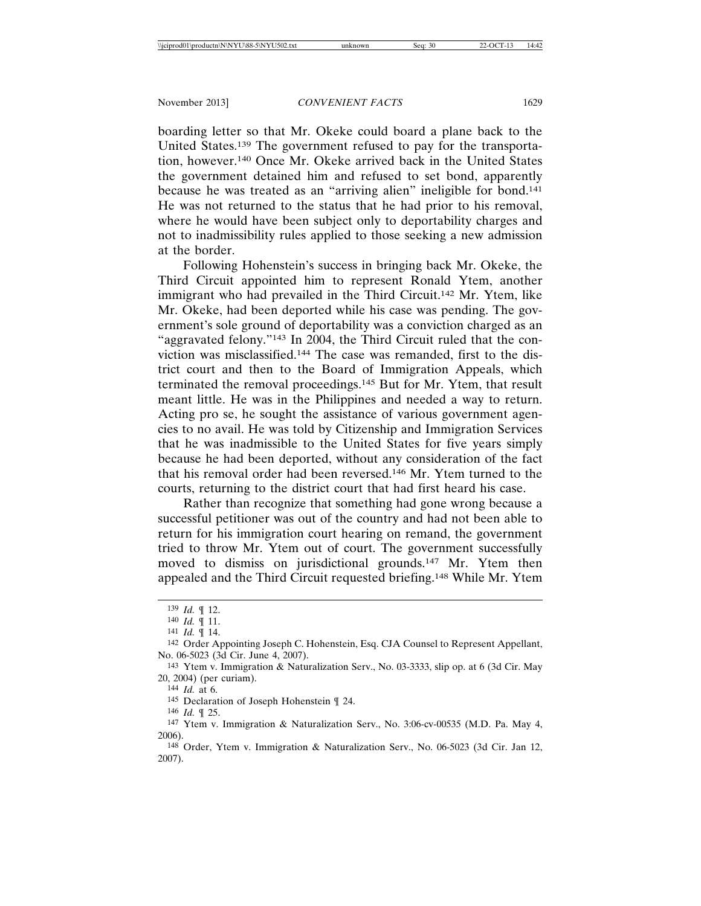boarding letter so that Mr. Okeke could board a plane back to the United States.139 The government refused to pay for the transportation, however.140 Once Mr. Okeke arrived back in the United States the government detained him and refused to set bond, apparently because he was treated as an "arriving alien" ineligible for bond.141 He was not returned to the status that he had prior to his removal, where he would have been subject only to deportability charges and not to inadmissibility rules applied to those seeking a new admission at the border.

Following Hohenstein's success in bringing back Mr. Okeke, the Third Circuit appointed him to represent Ronald Ytem, another immigrant who had prevailed in the Third Circuit.142 Mr. Ytem, like Mr. Okeke, had been deported while his case was pending. The government's sole ground of deportability was a conviction charged as an "aggravated felony."143 In 2004, the Third Circuit ruled that the conviction was misclassified.144 The case was remanded, first to the district court and then to the Board of Immigration Appeals, which terminated the removal proceedings.145 But for Mr. Ytem, that result meant little. He was in the Philippines and needed a way to return. Acting pro se, he sought the assistance of various government agencies to no avail. He was told by Citizenship and Immigration Services that he was inadmissible to the United States for five years simply because he had been deported, without any consideration of the fact that his removal order had been reversed.146 Mr. Ytem turned to the courts, returning to the district court that had first heard his case.

Rather than recognize that something had gone wrong because a successful petitioner was out of the country and had not been able to return for his immigration court hearing on remand, the government tried to throw Mr. Ytem out of court. The government successfully moved to dismiss on jurisdictional grounds.<sup>147</sup> Mr. Ytem then appealed and the Third Circuit requested briefing.148 While Mr. Ytem

<sup>139</sup> *Id.* ¶ 12.

<sup>140</sup> *Id.* ¶ 11.

<sup>141</sup> *Id.* ¶ 14.

<sup>142</sup> Order Appointing Joseph C. Hohenstein, Esq. CJA Counsel to Represent Appellant, No. 06-5023 (3d Cir. June 4, 2007).

<sup>143</sup> Ytem v. Immigration & Naturalization Serv., No. 03-3333, slip op. at 6 (3d Cir. May 20, 2004) (per curiam).

<sup>144</sup> *Id.* at 6.

<sup>145</sup> Declaration of Joseph Hohenstein ¶ 24.

<sup>146</sup> *Id.* ¶ 25.

<sup>147</sup> Ytem v. Immigration & Naturalization Serv., No. 3:06-cv-00535 (M.D. Pa. May 4, 2006).

<sup>148</sup> Order, Ytem v. Immigration & Naturalization Serv., No. 06-5023 (3d Cir. Jan 12, 2007).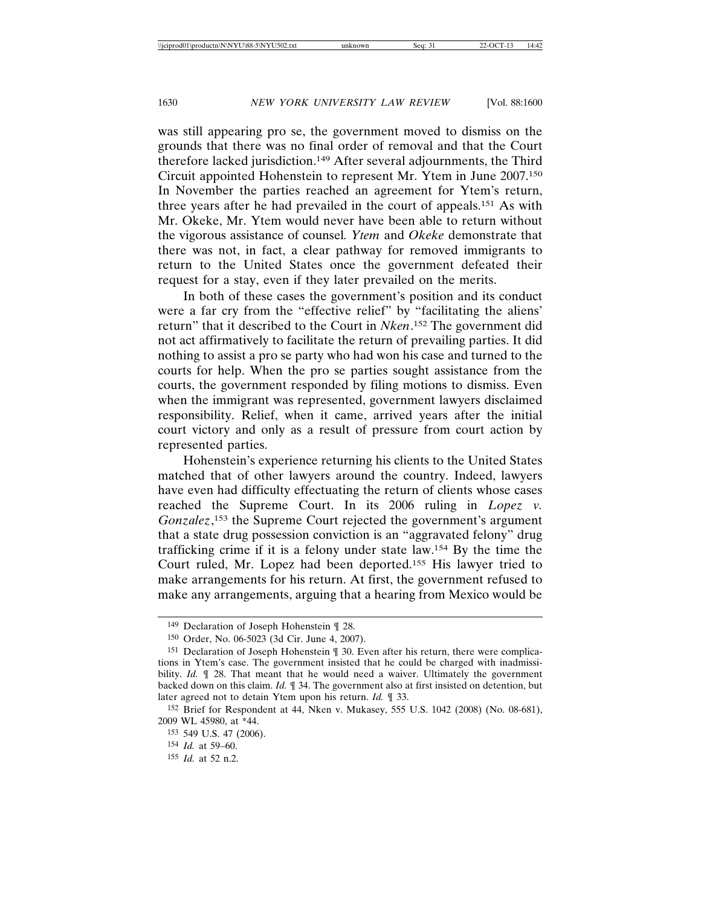was still appearing pro se, the government moved to dismiss on the grounds that there was no final order of removal and that the Court therefore lacked jurisdiction.149 After several adjournments, the Third Circuit appointed Hohenstein to represent Mr. Ytem in June 2007.150 In November the parties reached an agreement for Ytem's return, three years after he had prevailed in the court of appeals.151 As with Mr. Okeke, Mr. Ytem would never have been able to return without the vigorous assistance of counsel*. Ytem* and *Okeke* demonstrate that there was not, in fact, a clear pathway for removed immigrants to return to the United States once the government defeated their request for a stay, even if they later prevailed on the merits.

In both of these cases the government's position and its conduct were a far cry from the "effective relief" by "facilitating the aliens' return" that it described to the Court in *Nken*. 152 The government did not act affirmatively to facilitate the return of prevailing parties. It did nothing to assist a pro se party who had won his case and turned to the courts for help. When the pro se parties sought assistance from the courts, the government responded by filing motions to dismiss. Even when the immigrant was represented, government lawyers disclaimed responsibility. Relief, when it came, arrived years after the initial court victory and only as a result of pressure from court action by represented parties.

Hohenstein's experience returning his clients to the United States matched that of other lawyers around the country. Indeed, lawyers have even had difficulty effectuating the return of clients whose cases reached the Supreme Court. In its 2006 ruling in *Lopez v. Gonzalez*, 153 the Supreme Court rejected the government's argument that a state drug possession conviction is an "aggravated felony" drug trafficking crime if it is a felony under state law.154 By the time the Court ruled, Mr. Lopez had been deported.155 His lawyer tried to make arrangements for his return. At first, the government refused to make any arrangements, arguing that a hearing from Mexico would be

<sup>149</sup> Declaration of Joseph Hohenstein ¶ 28.

<sup>150</sup> Order, No. 06-5023 (3d Cir. June 4, 2007).

<sup>151</sup> Declaration of Joseph Hohenstein ¶ 30. Even after his return, there were complications in Ytem's case. The government insisted that he could be charged with inadmissibility. *Id.*  $\parallel$  28. That meant that he would need a waiver. Ultimately the government backed down on this claim. *Id.* ¶ 34. The government also at first insisted on detention, but later agreed not to detain Ytem upon his return. *Id.* ¶ 33.

<sup>152</sup> Brief for Respondent at 44, Nken v. Mukasey, 555 U.S. 1042 (2008) (No. 08-681), 2009 WL 45980, at \*44.

<sup>153</sup> 549 U.S. 47 (2006).

<sup>154</sup> *Id.* at 59–60.

<sup>155</sup> *Id.* at 52 n.2.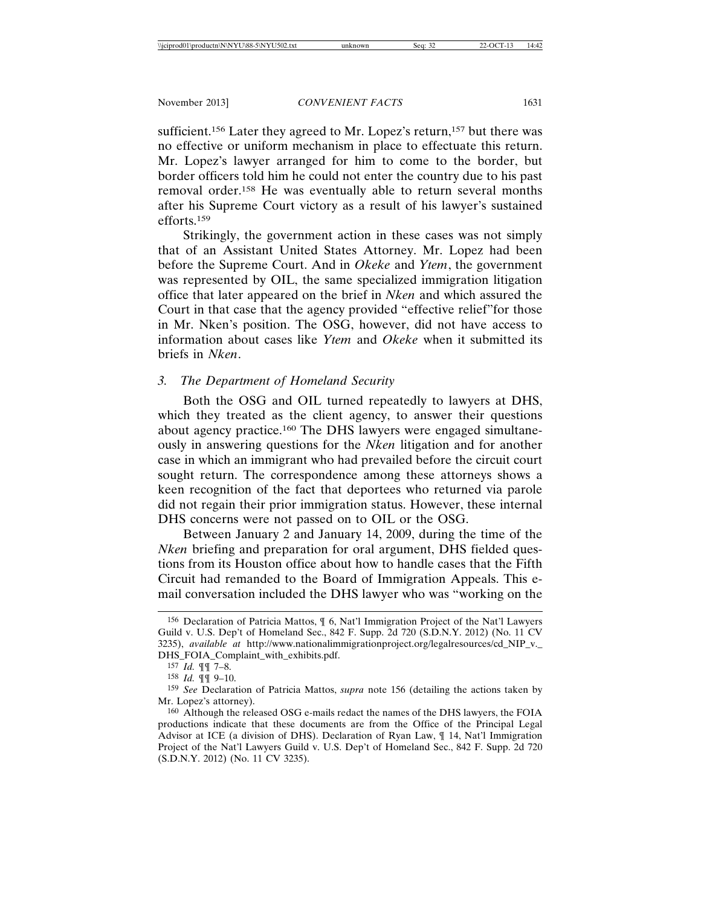sufficient.<sup>156</sup> Later they agreed to Mr. Lopez's return,<sup>157</sup> but there was no effective or uniform mechanism in place to effectuate this return. Mr. Lopez's lawyer arranged for him to come to the border, but border officers told him he could not enter the country due to his past removal order.158 He was eventually able to return several months after his Supreme Court victory as a result of his lawyer's sustained efforts.159

Strikingly, the government action in these cases was not simply that of an Assistant United States Attorney. Mr. Lopez had been before the Supreme Court. And in *Okeke* and *Ytem*, the government was represented by OIL, the same specialized immigration litigation office that later appeared on the brief in *Nken* and which assured the Court in that case that the agency provided "effective relief"for those in Mr. Nken's position. The OSG, however, did not have access to information about cases like *Ytem* and *Okeke* when it submitted its briefs in *Nken*.

## *3. The Department of Homeland Security*

Both the OSG and OIL turned repeatedly to lawyers at DHS, which they treated as the client agency, to answer their questions about agency practice.160 The DHS lawyers were engaged simultaneously in answering questions for the *Nken* litigation and for another case in which an immigrant who had prevailed before the circuit court sought return. The correspondence among these attorneys shows a keen recognition of the fact that deportees who returned via parole did not regain their prior immigration status. However, these internal DHS concerns were not passed on to OIL or the OSG.

Between January 2 and January 14, 2009, during the time of the *Nken* briefing and preparation for oral argument, DHS fielded questions from its Houston office about how to handle cases that the Fifth Circuit had remanded to the Board of Immigration Appeals. This email conversation included the DHS lawyer who was "working on the

<sup>156</sup> Declaration of Patricia Mattos, ¶ 6, Nat'l Immigration Project of the Nat'l Lawyers Guild v. U.S. Dep't of Homeland Sec., 842 F. Supp. 2d 720 (S.D.N.Y. 2012) (No. 11 CV 3235), *available at* http://www.nationalimmigrationproject.org/legalresources/cd\_NIP\_v.\_ DHS\_FOIA\_Complaint\_with\_exhibits.pdf.

<sup>157</sup> *Id.* ¶¶ 7–8.

<sup>158</sup> *Id.* ¶¶ 9–10.

<sup>159</sup> *See* Declaration of Patricia Mattos, *supra* note 156 (detailing the actions taken by Mr. Lopez's attorney).

<sup>160</sup> Although the released OSG e-mails redact the names of the DHS lawyers, the FOIA productions indicate that these documents are from the Office of the Principal Legal Advisor at ICE (a division of DHS). Declaration of Ryan Law, ¶ 14, Nat'l Immigration Project of the Nat'l Lawyers Guild v. U.S. Dep't of Homeland Sec., 842 F. Supp. 2d 720 (S.D.N.Y. 2012) (No. 11 CV 3235).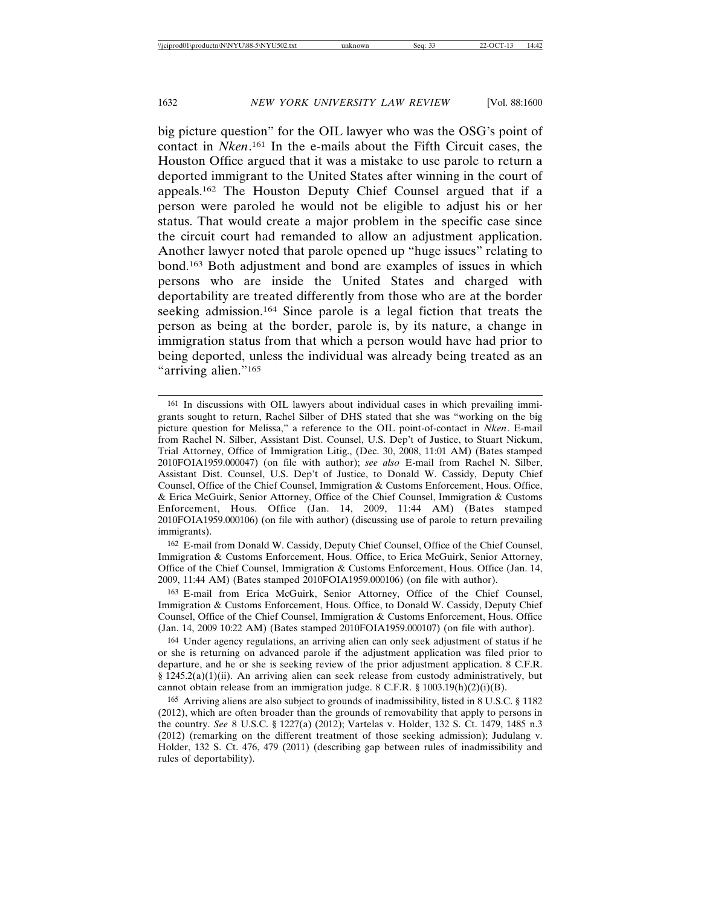big picture question" for the OIL lawyer who was the OSG's point of contact in *Nken*. 161 In the e-mails about the Fifth Circuit cases, the Houston Office argued that it was a mistake to use parole to return a deported immigrant to the United States after winning in the court of appeals.162 The Houston Deputy Chief Counsel argued that if a person were paroled he would not be eligible to adjust his or her status. That would create a major problem in the specific case since the circuit court had remanded to allow an adjustment application. Another lawyer noted that parole opened up "huge issues" relating to bond.163 Both adjustment and bond are examples of issues in which persons who are inside the United States and charged with deportability are treated differently from those who are at the border seeking admission.164 Since parole is a legal fiction that treats the person as being at the border, parole is, by its nature, a change in immigration status from that which a person would have had prior to being deported, unless the individual was already being treated as an "arriving alien."<sup>165</sup>

162 E-mail from Donald W. Cassidy, Deputy Chief Counsel, Office of the Chief Counsel, Immigration & Customs Enforcement, Hous. Office, to Erica McGuirk, Senior Attorney, Office of the Chief Counsel, Immigration & Customs Enforcement, Hous. Office (Jan. 14, 2009, 11:44 AM) (Bates stamped 2010FOIA1959.000106) (on file with author).

163 E-mail from Erica McGuirk, Senior Attorney, Office of the Chief Counsel, Immigration & Customs Enforcement, Hous. Office, to Donald W. Cassidy, Deputy Chief Counsel, Office of the Chief Counsel, Immigration & Customs Enforcement, Hous. Office (Jan. 14, 2009 10:22 AM) (Bates stamped 2010FOIA1959.000107) (on file with author).

164 Under agency regulations, an arriving alien can only seek adjustment of status if he or she is returning on advanced parole if the adjustment application was filed prior to departure, and he or she is seeking review of the prior adjustment application. 8 C.F.R.  $§$  1245.2(a)(1)(ii). An arriving alien can seek release from custody administratively, but cannot obtain release from an immigration judge. 8 C.F.R. § 1003.19(h)(2)(i)(B).

165 Arriving aliens are also subject to grounds of inadmissibility, listed in 8 U.S.C. § 1182 (2012), which are often broader than the grounds of removability that apply to persons in the country. *See* 8 U.S.C. § 1227(a) (2012); Vartelas v. Holder, 132 S. Ct. 1479, 1485 n.3 (2012) (remarking on the different treatment of those seeking admission); Judulang v. Holder, 132 S. Ct. 476, 479 (2011) (describing gap between rules of inadmissibility and rules of deportability).

<sup>161</sup> In discussions with OIL lawyers about individual cases in which prevailing immigrants sought to return, Rachel Silber of DHS stated that she was "working on the big picture question for Melissa," a reference to the OIL point-of-contact in *Nken*. E-mail from Rachel N. Silber, Assistant Dist. Counsel, U.S. Dep't of Justice, to Stuart Nickum, Trial Attorney, Office of Immigration Litig., (Dec. 30, 2008, 11:01 AM) (Bates stamped 2010FOIA1959.000047) (on file with author); *see also* E-mail from Rachel N. Silber, Assistant Dist. Counsel, U.S. Dep't of Justice, to Donald W. Cassidy, Deputy Chief Counsel, Office of the Chief Counsel, Immigration & Customs Enforcement, Hous. Office, & Erica McGuirk, Senior Attorney, Office of the Chief Counsel, Immigration & Customs Enforcement, Hous. Office (Jan. 14, 2009, 11:44 AM) (Bates stamped 2010FOIA1959.000106) (on file with author) (discussing use of parole to return prevailing immigrants).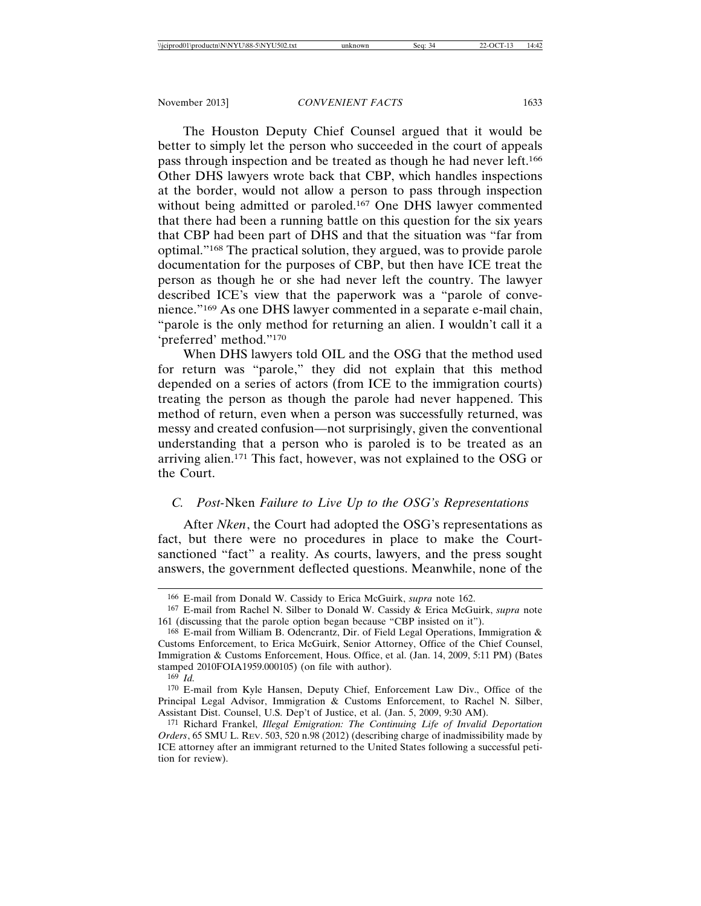The Houston Deputy Chief Counsel argued that it would be better to simply let the person who succeeded in the court of appeals pass through inspection and be treated as though he had never left.166 Other DHS lawyers wrote back that CBP, which handles inspections at the border, would not allow a person to pass through inspection without being admitted or paroled.167 One DHS lawyer commented that there had been a running battle on this question for the six years that CBP had been part of DHS and that the situation was "far from optimal."168 The practical solution, they argued, was to provide parole documentation for the purposes of CBP, but then have ICE treat the person as though he or she had never left the country. The lawyer described ICE's view that the paperwork was a "parole of convenience."169 As one DHS lawyer commented in a separate e-mail chain, "parole is the only method for returning an alien. I wouldn't call it a 'preferred' method."170

When DHS lawyers told OIL and the OSG that the method used for return was "parole," they did not explain that this method depended on a series of actors (from ICE to the immigration courts) treating the person as though the parole had never happened. This method of return, even when a person was successfully returned, was messy and created confusion—not surprisingly, given the conventional understanding that a person who is paroled is to be treated as an arriving alien.171 This fact, however, was not explained to the OSG or the Court.

# *C. Post-*Nken *Failure to Live Up to the OSG's Representations*

After *Nken*, the Court had adopted the OSG's representations as fact, but there were no procedures in place to make the Courtsanctioned "fact" a reality. As courts, lawyers, and the press sought answers, the government deflected questions. Meanwhile, none of the

<sup>166</sup> E-mail from Donald W. Cassidy to Erica McGuirk, *supra* note 162.

<sup>167</sup> E-mail from Rachel N. Silber to Donald W. Cassidy & Erica McGuirk, *supra* note 161 (discussing that the parole option began because "CBP insisted on it").

<sup>168</sup> E-mail from William B. Odencrantz, Dir. of Field Legal Operations, Immigration & Customs Enforcement, to Erica McGuirk, Senior Attorney, Office of the Chief Counsel, Immigration & Customs Enforcement, Hous. Office, et al. (Jan. 14, 2009, 5:11 PM) (Bates stamped 2010FOIA1959.000105) (on file with author).

<sup>169</sup> *Id.*

<sup>170</sup> E-mail from Kyle Hansen, Deputy Chief, Enforcement Law Div., Office of the Principal Legal Advisor, Immigration & Customs Enforcement, to Rachel N. Silber, Assistant Dist. Counsel, U.S. Dep't of Justice, et al. (Jan. 5, 2009, 9:30 AM).

<sup>171</sup> Richard Frankel, *Illegal Emigration: The Continuing Life of Invalid Deportation Orders*, 65 SMU L. REV. 503, 520 n.98 (2012) (describing charge of inadmissibility made by ICE attorney after an immigrant returned to the United States following a successful petition for review).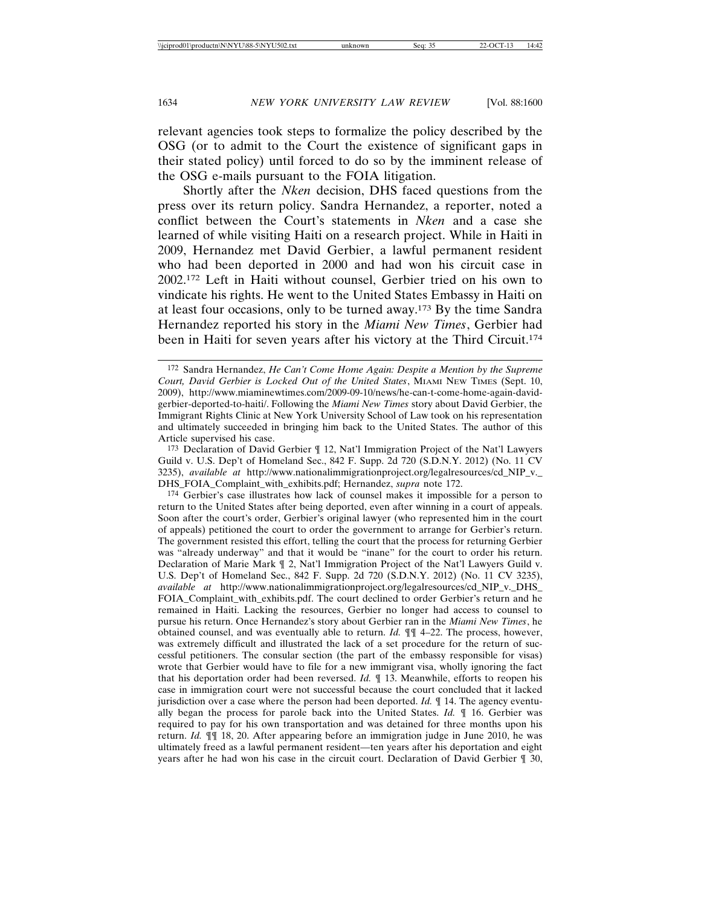relevant agencies took steps to formalize the policy described by the OSG (or to admit to the Court the existence of significant gaps in their stated policy) until forced to do so by the imminent release of the OSG e-mails pursuant to the FOIA litigation.

Shortly after the *Nken* decision, DHS faced questions from the press over its return policy. Sandra Hernandez, a reporter, noted a conflict between the Court's statements in *Nken* and a case she learned of while visiting Haiti on a research project. While in Haiti in 2009, Hernandez met David Gerbier, a lawful permanent resident who had been deported in 2000 and had won his circuit case in 2002.172 Left in Haiti without counsel, Gerbier tried on his own to vindicate his rights. He went to the United States Embassy in Haiti on at least four occasions, only to be turned away.173 By the time Sandra Hernandez reported his story in the *Miami New Times*, Gerbier had been in Haiti for seven years after his victory at the Third Circuit.174

173 Declaration of David Gerbier ¶ 12, Nat'l Immigration Project of the Nat'l Lawyers Guild v. U.S. Dep't of Homeland Sec., 842 F. Supp. 2d 720 (S.D.N.Y. 2012) (No. 11 CV 3235), *available at* http://www.nationalimmigrationproject.org/legalresources/cd\_NIP\_v.\_ DHS\_FOIA\_Complaint\_with\_exhibits.pdf; Hernandez, *supra* note 172.

174 Gerbier's case illustrates how lack of counsel makes it impossible for a person to return to the United States after being deported, even after winning in a court of appeals. Soon after the court's order, Gerbier's original lawyer (who represented him in the court of appeals) petitioned the court to order the government to arrange for Gerbier's return. The government resisted this effort, telling the court that the process for returning Gerbier was "already underway" and that it would be "inane" for the court to order his return. Declaration of Marie Mark ¶ 2, Nat'l Immigration Project of the Nat'l Lawyers Guild v. U.S. Dep't of Homeland Sec., 842 F. Supp. 2d 720 (S.D.N.Y. 2012) (No. 11 CV 3235), *available at* http://www.nationalimmigrationproject.org/legalresources/cd\_NIP\_v.\_DHS\_ FOIA\_Complaint\_with\_exhibits.pdf. The court declined to order Gerbier's return and he remained in Haiti. Lacking the resources, Gerbier no longer had access to counsel to pursue his return. Once Hernandez's story about Gerbier ran in the *Miami New Times*, he obtained counsel, and was eventually able to return. *Id.* ¶¶ 4–22. The process, however, was extremely difficult and illustrated the lack of a set procedure for the return of successful petitioners. The consular section (the part of the embassy responsible for visas) wrote that Gerbier would have to file for a new immigrant visa, wholly ignoring the fact that his deportation order had been reversed. *Id.* ¶ 13. Meanwhile, efforts to reopen his case in immigration court were not successful because the court concluded that it lacked jurisdiction over a case where the person had been deported. *Id.* ¶ 14. The agency eventually began the process for parole back into the United States. *Id.* ¶ 16. Gerbier was required to pay for his own transportation and was detained for three months upon his return. *Id.* ¶¶ 18, 20. After appearing before an immigration judge in June 2010, he was ultimately freed as a lawful permanent resident—ten years after his deportation and eight years after he had won his case in the circuit court. Declaration of David Gerbier ¶ 30,

<sup>172</sup> Sandra Hernandez, *He Can't Come Home Again: Despite a Mention by the Supreme Court, David Gerbier is Locked Out of the United States*, MIAMI NEW TIMES (Sept. 10, 2009), http://www.miaminewtimes.com/2009-09-10/news/he-can-t-come-home-again-davidgerbier-deported-to-haiti/. Following the *Miami New Times* story about David Gerbier, the Immigrant Rights Clinic at New York University School of Law took on his representation and ultimately succeeded in bringing him back to the United States. The author of this Article supervised his case.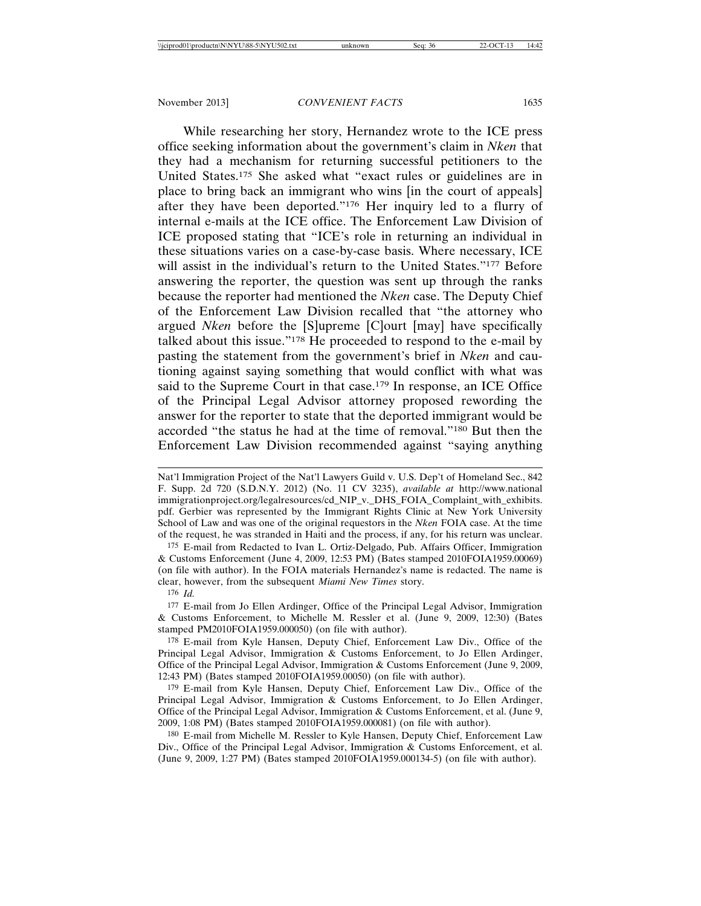While researching her story, Hernandez wrote to the ICE press office seeking information about the government's claim in *Nken* that they had a mechanism for returning successful petitioners to the United States.175 She asked what "exact rules or guidelines are in place to bring back an immigrant who wins [in the court of appeals] after they have been deported."176 Her inquiry led to a flurry of internal e-mails at the ICE office. The Enforcement Law Division of ICE proposed stating that "ICE's role in returning an individual in these situations varies on a case-by-case basis. Where necessary, ICE will assist in the individual's return to the United States."<sup>177</sup> Before answering the reporter, the question was sent up through the ranks because the reporter had mentioned the *Nken* case. The Deputy Chief of the Enforcement Law Division recalled that "the attorney who argued *Nken* before the [S]upreme [C]ourt [may] have specifically talked about this issue." $178$  He proceeded to respond to the e-mail by pasting the statement from the government's brief in *Nken* and cautioning against saying something that would conflict with what was said to the Supreme Court in that case.<sup>179</sup> In response, an ICE Office of the Principal Legal Advisor attorney proposed rewording the answer for the reporter to state that the deported immigrant would be accorded "the status he had at the time of removal."180 But then the Enforcement Law Division recommended against "saying anything

176 *Id.*

177 E-mail from Jo Ellen Ardinger, Office of the Principal Legal Advisor, Immigration & Customs Enforcement, to Michelle M. Ressler et al. (June 9, 2009, 12:30) (Bates stamped PM2010FOIA1959.000050) (on file with author).

178 E-mail from Kyle Hansen, Deputy Chief, Enforcement Law Div., Office of the Principal Legal Advisor, Immigration & Customs Enforcement, to Jo Ellen Ardinger, Office of the Principal Legal Advisor, Immigration & Customs Enforcement (June 9, 2009, 12:43 PM) (Bates stamped 2010FOIA1959.00050) (on file with author).

179 E-mail from Kyle Hansen, Deputy Chief, Enforcement Law Div., Office of the Principal Legal Advisor, Immigration & Customs Enforcement, to Jo Ellen Ardinger, Office of the Principal Legal Advisor, Immigration & Customs Enforcement, et al. (June 9, 2009, 1:08 PM) (Bates stamped 2010FOIA1959.000081) (on file with author).

180 E-mail from Michelle M. Ressler to Kyle Hansen, Deputy Chief, Enforcement Law Div., Office of the Principal Legal Advisor, Immigration & Customs Enforcement, et al. (June 9, 2009, 1:27 PM) (Bates stamped 2010FOIA1959.000134-5) (on file with author).

Nat'l Immigration Project of the Nat'l Lawyers Guild v. U.S. Dep't of Homeland Sec., 842 F. Supp. 2d 720 (S.D.N.Y. 2012) (No. 11 CV 3235), *available at* http://www.national immigrationproject.org/legalresources/cd\_NIP\_v.\_DHS\_FOIA\_Complaint\_with\_exhibits. pdf. Gerbier was represented by the Immigrant Rights Clinic at New York University School of Law and was one of the original requestors in the *Nken* FOIA case. At the time of the request, he was stranded in Haiti and the process, if any, for his return was unclear.

<sup>175</sup> E-mail from Redacted to Ivan L. Ortiz-Delgado, Pub. Affairs Officer, Immigration & Customs Enforcement (June 4, 2009, 12:53 PM) (Bates stamped 2010FOIA1959.00069) (on file with author). In the FOIA materials Hernandez's name is redacted. The name is clear, however, from the subsequent *Miami New Times* story.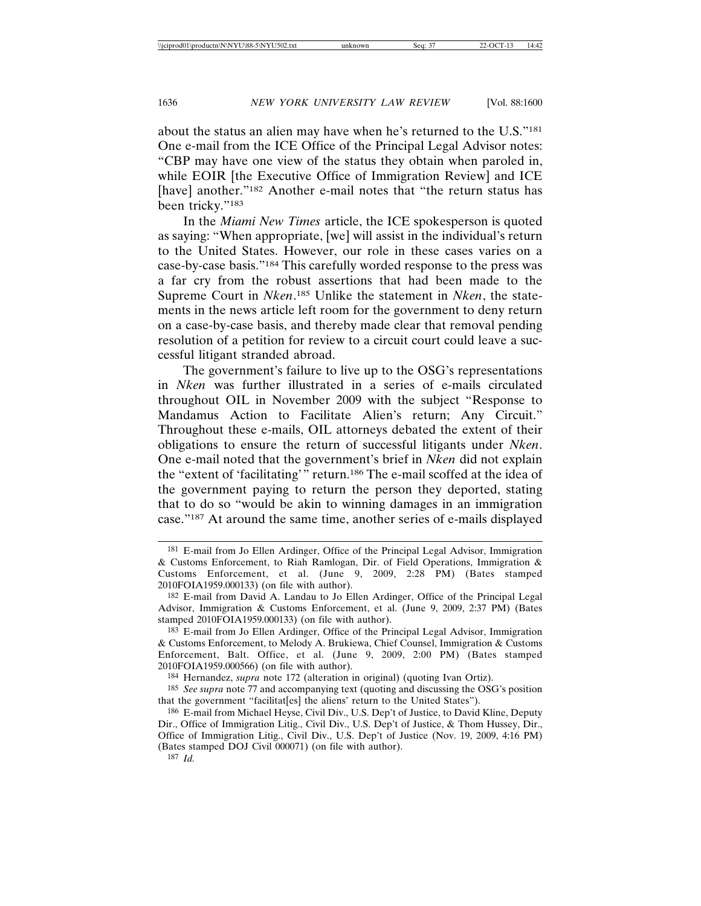about the status an alien may have when he's returned to the U.S."181 One e-mail from the ICE Office of the Principal Legal Advisor notes: "CBP may have one view of the status they obtain when paroled in, while EOIR [the Executive Office of Immigration Review] and ICE [have] another."<sup>182</sup> Another e-mail notes that "the return status has been tricky."<sup>183</sup>

In the *Miami New Times* article, the ICE spokesperson is quoted as saying: "When appropriate, [we] will assist in the individual's return to the United States. However, our role in these cases varies on a case-by-case basis."184 This carefully worded response to the press was a far cry from the robust assertions that had been made to the Supreme Court in *Nken*. 185 Unlike the statement in *Nken*, the statements in the news article left room for the government to deny return on a case-by-case basis, and thereby made clear that removal pending resolution of a petition for review to a circuit court could leave a successful litigant stranded abroad.

The government's failure to live up to the OSG's representations in *Nken* was further illustrated in a series of e-mails circulated throughout OIL in November 2009 with the subject "Response to Mandamus Action to Facilitate Alien's return; Any Circuit." Throughout these e-mails, OIL attorneys debated the extent of their obligations to ensure the return of successful litigants under *Nken*. One e-mail noted that the government's brief in *Nken* did not explain the "extent of 'facilitating'" return.186 The e-mail scoffed at the idea of the government paying to return the person they deported, stating that to do so "would be akin to winning damages in an immigration case."187 At around the same time, another series of e-mails displayed

187 *Id.*

<sup>181</sup> E-mail from Jo Ellen Ardinger, Office of the Principal Legal Advisor, Immigration & Customs Enforcement, to Riah Ramlogan, Dir. of Field Operations, Immigration & Customs Enforcement, et al. (June 9, 2009, 2:28 PM) (Bates stamped 2010FOIA1959.000133) (on file with author).

<sup>182</sup> E-mail from David A. Landau to Jo Ellen Ardinger, Office of the Principal Legal Advisor, Immigration & Customs Enforcement, et al. (June 9, 2009, 2:37 PM) (Bates stamped 2010FOIA1959.000133) (on file with author).

<sup>183</sup> E-mail from Jo Ellen Ardinger, Office of the Principal Legal Advisor, Immigration & Customs Enforcement, to Melody A. Brukiewa, Chief Counsel, Immigration & Customs Enforcement, Balt. Office, et al. (June 9, 2009, 2:00 PM) (Bates stamped 2010FOIA1959.000566) (on file with author).

<sup>184</sup> Hernandez, *supra* note 172 (alteration in original) (quoting Ivan Ortiz).

<sup>185</sup> *See supra* note 77 and accompanying text (quoting and discussing the OSG's position that the government "facilitat[es] the aliens' return to the United States").

<sup>186</sup> E-mail from Michael Heyse, Civil Div., U.S. Dep't of Justice, to David Kline, Deputy Dir., Office of Immigration Litig., Civil Div., U.S. Dep't of Justice, & Thom Hussey, Dir., Office of Immigration Litig., Civil Div., U.S. Dep't of Justice (Nov. 19, 2009, 4:16 PM) (Bates stamped DOJ Civil 000071) (on file with author).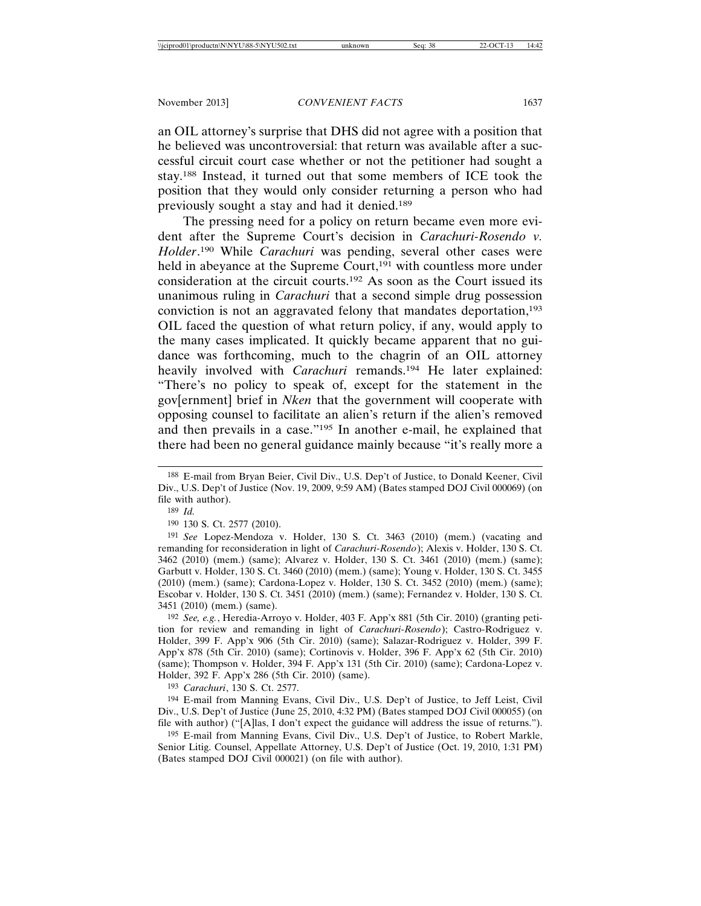an OIL attorney's surprise that DHS did not agree with a position that he believed was uncontroversial: that return was available after a successful circuit court case whether or not the petitioner had sought a stay.188 Instead, it turned out that some members of ICE took the position that they would only consider returning a person who had previously sought a stay and had it denied.189

The pressing need for a policy on return became even more evident after the Supreme Court's decision in *Carachuri-Rosendo v. Holder*. 190 While *Carachuri* was pending, several other cases were held in abeyance at the Supreme Court,<sup>191</sup> with countless more under consideration at the circuit courts.192 As soon as the Court issued its unanimous ruling in *Carachuri* that a second simple drug possession conviction is not an aggravated felony that mandates deportation,<sup>193</sup> OIL faced the question of what return policy, if any, would apply to the many cases implicated. It quickly became apparent that no guidance was forthcoming, much to the chagrin of an OIL attorney heavily involved with *Carachuri* remands.194 He later explained: "There's no policy to speak of, except for the statement in the gov[ernment] brief in *Nken* that the government will cooperate with opposing counsel to facilitate an alien's return if the alien's removed and then prevails in a case."195 In another e-mail, he explained that there had been no general guidance mainly because "it's really more a

190 130 S. Ct. 2577 (2010).

191 *See* Lopez-Mendoza v. Holder, 130 S. Ct. 3463 (2010) (mem.) (vacating and remanding for reconsideration in light of *Carachuri-Rosendo*); Alexis v. Holder, 130 S. Ct. 3462 (2010) (mem.) (same); Alvarez v. Holder, 130 S. Ct. 3461 (2010) (mem.) (same); Garbutt v. Holder, 130 S. Ct. 3460 (2010) (mem.) (same); Young v. Holder, 130 S. Ct. 3455 (2010) (mem.) (same); Cardona-Lopez v. Holder, 130 S. Ct. 3452 (2010) (mem.) (same); Escobar v. Holder, 130 S. Ct. 3451 (2010) (mem.) (same); Fernandez v. Holder, 130 S. Ct. 3451 (2010) (mem.) (same).

192 *See, e.g.*, Heredia-Arroyo v. Holder, 403 F. App'x 881 (5th Cir. 2010) (granting petition for review and remanding in light of *Carachuri-Rosendo*); Castro-Rodriguez v. Holder, 399 F. App'x 906 (5th Cir. 2010) (same); Salazar-Rodriguez v. Holder, 399 F. App'x 878 (5th Cir. 2010) (same); Cortinovis v. Holder, 396 F. App'x 62 (5th Cir. 2010) (same); Thompson v. Holder, 394 F. App'x 131 (5th Cir. 2010) (same); Cardona-Lopez v. Holder, 392 F. App'x 286 (5th Cir. 2010) (same).

193 *Carachuri*, 130 S. Ct. 2577.

194 E-mail from Manning Evans, Civil Div., U.S. Dep't of Justice, to Jeff Leist, Civil Div., U.S. Dep't of Justice (June 25, 2010, 4:32 PM) (Bates stamped DOJ Civil 000055) (on file with author) ("[A]las, I don't expect the guidance will address the issue of returns.").

195 E-mail from Manning Evans, Civil Div., U.S. Dep't of Justice, to Robert Markle, Senior Litig. Counsel, Appellate Attorney, U.S. Dep't of Justice (Oct. 19, 2010, 1:31 PM) (Bates stamped DOJ Civil 000021) (on file with author).

<sup>188</sup> E-mail from Bryan Beier, Civil Div., U.S. Dep't of Justice, to Donald Keener, Civil Div., U.S. Dep't of Justice (Nov. 19, 2009, 9:59 AM) (Bates stamped DOJ Civil 000069) (on file with author).

<sup>189</sup> *Id.*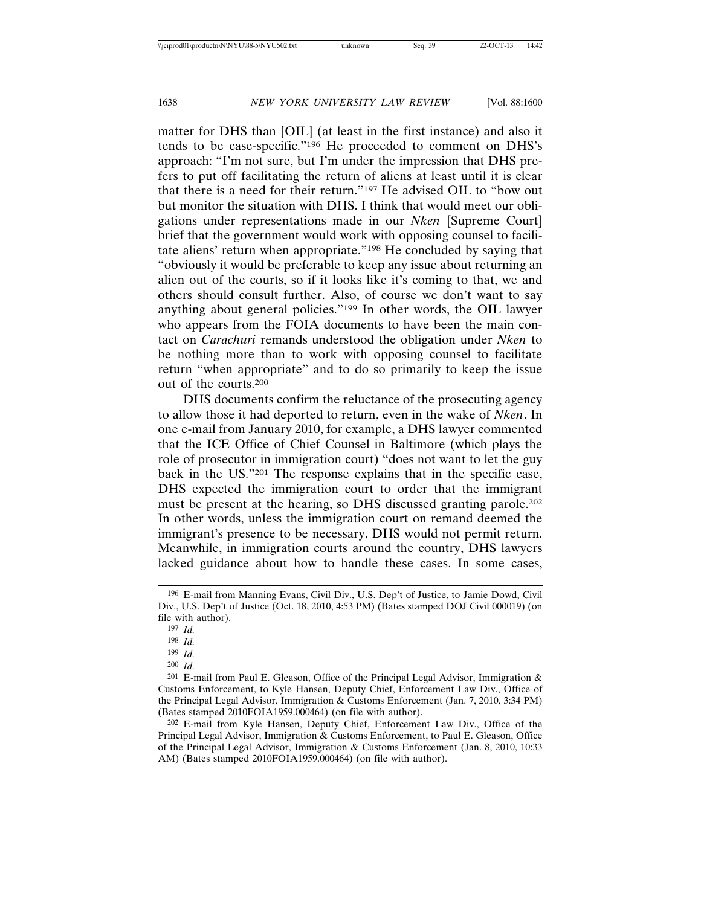matter for DHS than [OIL] (at least in the first instance) and also it tends to be case-specific."196 He proceeded to comment on DHS's approach: "I'm not sure, but I'm under the impression that DHS prefers to put off facilitating the return of aliens at least until it is clear that there is a need for their return."197 He advised OIL to "bow out but monitor the situation with DHS. I think that would meet our obligations under representations made in our *Nken* [Supreme Court] brief that the government would work with opposing counsel to facilitate aliens' return when appropriate."198 He concluded by saying that "obviously it would be preferable to keep any issue about returning an alien out of the courts, so if it looks like it's coming to that, we and others should consult further. Also, of course we don't want to say anything about general policies."199 In other words, the OIL lawyer who appears from the FOIA documents to have been the main contact on *Carachuri* remands understood the obligation under *Nken* to be nothing more than to work with opposing counsel to facilitate return "when appropriate" and to do so primarily to keep the issue out of the courts.200

DHS documents confirm the reluctance of the prosecuting agency to allow those it had deported to return, even in the wake of *Nken*. In one e-mail from January 2010, for example, a DHS lawyer commented that the ICE Office of Chief Counsel in Baltimore (which plays the role of prosecutor in immigration court) "does not want to let the guy back in the US."201 The response explains that in the specific case, DHS expected the immigration court to order that the immigrant must be present at the hearing, so DHS discussed granting parole.202 In other words, unless the immigration court on remand deemed the immigrant's presence to be necessary, DHS would not permit return. Meanwhile, in immigration courts around the country, DHS lawyers lacked guidance about how to handle these cases. In some cases,

<sup>196</sup> E-mail from Manning Evans, Civil Div., U.S. Dep't of Justice, to Jamie Dowd, Civil Div., U.S. Dep't of Justice (Oct. 18, 2010, 4:53 PM) (Bates stamped DOJ Civil 000019) (on file with author).

<sup>197</sup> *Id.*

<sup>198</sup> *Id.*

<sup>199</sup> *Id.* 

<sup>200</sup> *Id.*

<sup>201</sup> E-mail from Paul E. Gleason, Office of the Principal Legal Advisor, Immigration & Customs Enforcement, to Kyle Hansen, Deputy Chief, Enforcement Law Div., Office of the Principal Legal Advisor, Immigration & Customs Enforcement (Jan. 7, 2010, 3:34 PM) (Bates stamped 2010FOIA1959.000464) (on file with author).

<sup>202</sup> E-mail from Kyle Hansen, Deputy Chief, Enforcement Law Div., Office of the Principal Legal Advisor, Immigration & Customs Enforcement, to Paul E. Gleason, Office of the Principal Legal Advisor, Immigration & Customs Enforcement (Jan. 8, 2010, 10:33 AM) (Bates stamped 2010FOIA1959.000464) (on file with author).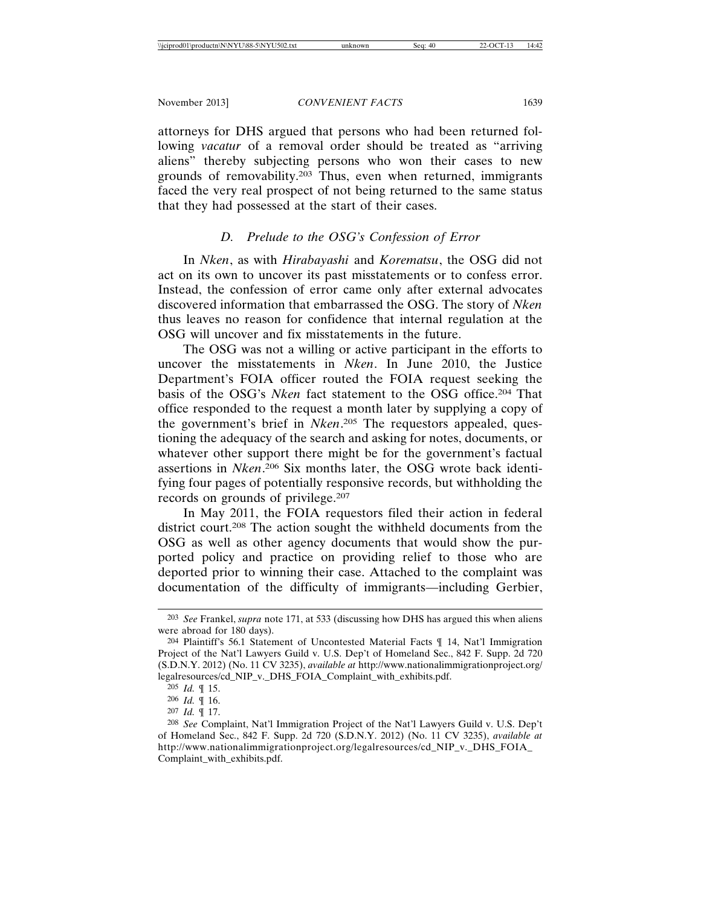attorneys for DHS argued that persons who had been returned following *vacatur* of a removal order should be treated as "arriving aliens" thereby subjecting persons who won their cases to new grounds of removability.203 Thus, even when returned, immigrants faced the very real prospect of not being returned to the same status that they had possessed at the start of their cases.

# *D. Prelude to the OSG's Confession of Error*

In *Nken*, as with *Hirabayashi* and *Korematsu*, the OSG did not act on its own to uncover its past misstatements or to confess error. Instead, the confession of error came only after external advocates discovered information that embarrassed the OSG. The story of *Nken* thus leaves no reason for confidence that internal regulation at the OSG will uncover and fix misstatements in the future.

The OSG was not a willing or active participant in the efforts to uncover the misstatements in *Nken*. In June 2010, the Justice Department's FOIA officer routed the FOIA request seeking the basis of the OSG's *Nken* fact statement to the OSG office.204 That office responded to the request a month later by supplying a copy of the government's brief in *Nken*. 205 The requestors appealed, questioning the adequacy of the search and asking for notes, documents, or whatever other support there might be for the government's factual assertions in *Nken*. 206 Six months later, the OSG wrote back identifying four pages of potentially responsive records, but withholding the records on grounds of privilege.207

In May 2011, the FOIA requestors filed their action in federal district court.208 The action sought the withheld documents from the OSG as well as other agency documents that would show the purported policy and practice on providing relief to those who are deported prior to winning their case. Attached to the complaint was documentation of the difficulty of immigrants—including Gerbier,

<sup>203</sup> *See* Frankel, *supra* note 171, at 533 (discussing how DHS has argued this when aliens were abroad for 180 days).

<sup>204</sup> Plaintiff's 56.1 Statement of Uncontested Material Facts ¶ 14, Nat'l Immigration Project of the Nat'l Lawyers Guild v. U.S. Dep't of Homeland Sec., 842 F. Supp. 2d 720 (S.D.N.Y. 2012) (No. 11 CV 3235), *available at* http://www.nationalimmigrationproject.org/ legalresources/cd\_NIP\_v.\_DHS\_FOIA\_Complaint\_with\_exhibits.pdf.

<sup>205</sup> *Id.* ¶ 15.

<sup>206</sup> *Id.* ¶ 16.

<sup>207</sup> *Id.* ¶ 17.

<sup>208</sup> *See* Complaint, Nat'l Immigration Project of the Nat'l Lawyers Guild v. U.S. Dep't of Homeland Sec., 842 F. Supp. 2d 720 (S.D.N.Y. 2012) (No. 11 CV 3235), *available at* http://www.nationalimmigrationproject.org/legalresources/cd\_NIP\_v.\_DHS\_FOIA\_ Complaint\_with\_exhibits.pdf.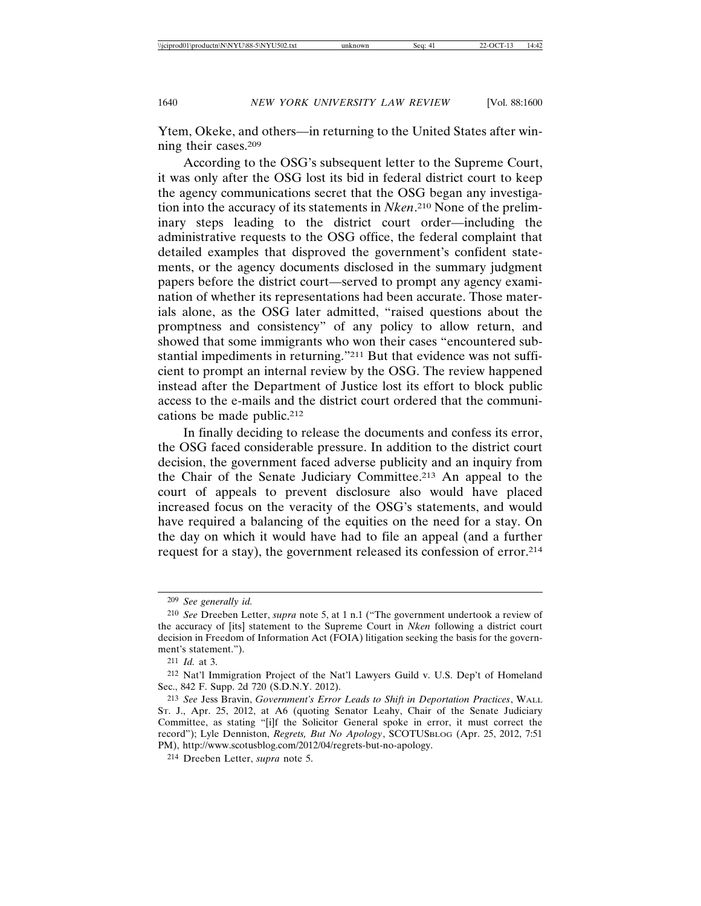Ytem, Okeke, and others—in returning to the United States after winning their cases.209

According to the OSG's subsequent letter to the Supreme Court, it was only after the OSG lost its bid in federal district court to keep the agency communications secret that the OSG began any investigation into the accuracy of its statements in *Nken*. 210 None of the preliminary steps leading to the district court order—including the administrative requests to the OSG office, the federal complaint that detailed examples that disproved the government's confident statements, or the agency documents disclosed in the summary judgment papers before the district court—served to prompt any agency examination of whether its representations had been accurate. Those materials alone, as the OSG later admitted, "raised questions about the promptness and consistency" of any policy to allow return, and showed that some immigrants who won their cases "encountered substantial impediments in returning."211 But that evidence was not sufficient to prompt an internal review by the OSG. The review happened instead after the Department of Justice lost its effort to block public access to the e-mails and the district court ordered that the communications be made public.212

In finally deciding to release the documents and confess its error, the OSG faced considerable pressure. In addition to the district court decision, the government faced adverse publicity and an inquiry from the Chair of the Senate Judiciary Committee.213 An appeal to the court of appeals to prevent disclosure also would have placed increased focus on the veracity of the OSG's statements, and would have required a balancing of the equities on the need for a stay. On the day on which it would have had to file an appeal (and a further request for a stay), the government released its confession of error.214

<sup>209</sup> *See generally id.*

<sup>210</sup> *See* Dreeben Letter, *supra* note 5, at 1 n.1 ("The government undertook a review of the accuracy of [its] statement to the Supreme Court in *Nken* following a district court decision in Freedom of Information Act (FOIA) litigation seeking the basis for the government's statement.").

<sup>211</sup> *Id.* at 3.

<sup>212</sup> Nat'l Immigration Project of the Nat'l Lawyers Guild v. U.S. Dep't of Homeland Sec., 842 F. Supp. 2d 720 (S.D.N.Y. 2012).

<sup>213</sup> *See* Jess Bravin, *Government's Error Leads to Shift in Deportation Practices*, WALL ST. J., Apr. 25, 2012, at A6 (quoting Senator Leahy, Chair of the Senate Judiciary Committee, as stating "[i]f the Solicitor General spoke in error, it must correct the record"); Lyle Denniston, *Regrets, But No Apology*, SCOTUSBLOG (Apr. 25, 2012, 7:51 PM), http://www.scotusblog.com/2012/04/regrets-but-no-apology.

<sup>214</sup> Dreeben Letter, *supra* note 5.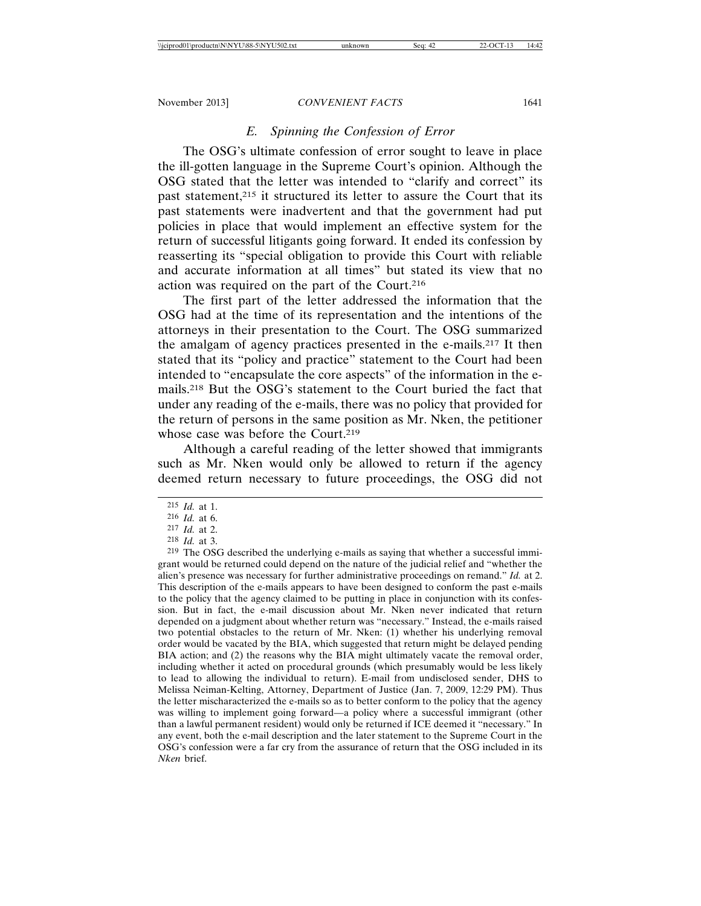# *E. Spinning the Confession of Error*

The OSG's ultimate confession of error sought to leave in place the ill-gotten language in the Supreme Court's opinion. Although the OSG stated that the letter was intended to "clarify and correct" its past statement,<sup>215</sup> it structured its letter to assure the Court that its past statements were inadvertent and that the government had put policies in place that would implement an effective system for the return of successful litigants going forward. It ended its confession by reasserting its "special obligation to provide this Court with reliable and accurate information at all times" but stated its view that no action was required on the part of the Court.216

The first part of the letter addressed the information that the OSG had at the time of its representation and the intentions of the attorneys in their presentation to the Court. The OSG summarized the amalgam of agency practices presented in the e-mails.217 It then stated that its "policy and practice" statement to the Court had been intended to "encapsulate the core aspects" of the information in the emails.218 But the OSG's statement to the Court buried the fact that under any reading of the e-mails, there was no policy that provided for the return of persons in the same position as Mr. Nken, the petitioner whose case was before the Court.<sup>219</sup>

Although a careful reading of the letter showed that immigrants such as Mr. Nken would only be allowed to return if the agency deemed return necessary to future proceedings, the OSG did not

219 The OSG described the underlying e-mails as saying that whether a successful immigrant would be returned could depend on the nature of the judicial relief and "whether the alien's presence was necessary for further administrative proceedings on remand." *Id.* at 2. This description of the e-mails appears to have been designed to conform the past e-mails to the policy that the agency claimed to be putting in place in conjunction with its confession. But in fact, the e-mail discussion about Mr. Nken never indicated that return depended on a judgment about whether return was "necessary." Instead, the e-mails raised two potential obstacles to the return of Mr. Nken: (1) whether his underlying removal order would be vacated by the BIA, which suggested that return might be delayed pending BIA action; and (2) the reasons why the BIA might ultimately vacate the removal order, including whether it acted on procedural grounds (which presumably would be less likely to lead to allowing the individual to return). E-mail from undisclosed sender, DHS to Melissa Neiman-Kelting, Attorney, Department of Justice (Jan. 7, 2009, 12:29 PM). Thus the letter mischaracterized the e-mails so as to better conform to the policy that the agency was willing to implement going forward—a policy where a successful immigrant (other than a lawful permanent resident) would only be returned if ICE deemed it "necessary." In any event, both the e-mail description and the later statement to the Supreme Court in the OSG's confession were a far cry from the assurance of return that the OSG included in its *Nken* brief.

<sup>215</sup> *Id.* at 1.

<sup>216</sup> *Id.* at 6.

<sup>217</sup> *Id.* at 2.

<sup>218</sup> *Id.* at 3.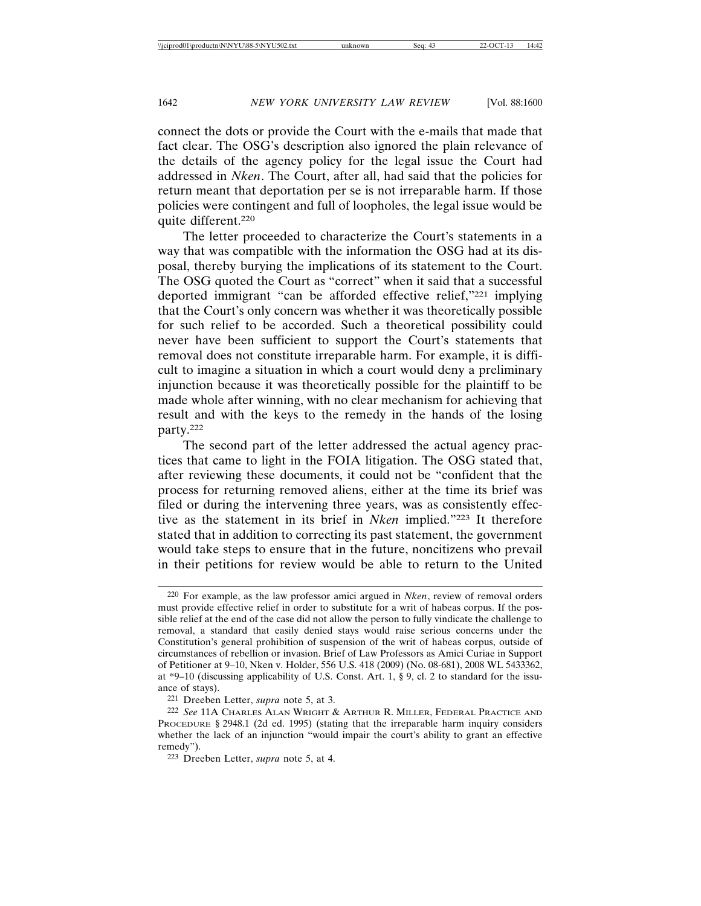connect the dots or provide the Court with the e-mails that made that fact clear. The OSG's description also ignored the plain relevance of the details of the agency policy for the legal issue the Court had addressed in *Nken*. The Court, after all, had said that the policies for return meant that deportation per se is not irreparable harm. If those policies were contingent and full of loopholes, the legal issue would be quite different.220

The letter proceeded to characterize the Court's statements in a way that was compatible with the information the OSG had at its disposal, thereby burying the implications of its statement to the Court. The OSG quoted the Court as "correct" when it said that a successful deported immigrant "can be afforded effective relief,"221 implying that the Court's only concern was whether it was theoretically possible for such relief to be accorded. Such a theoretical possibility could never have been sufficient to support the Court's statements that removal does not constitute irreparable harm. For example, it is difficult to imagine a situation in which a court would deny a preliminary injunction because it was theoretically possible for the plaintiff to be made whole after winning, with no clear mechanism for achieving that result and with the keys to the remedy in the hands of the losing party.222

The second part of the letter addressed the actual agency practices that came to light in the FOIA litigation. The OSG stated that, after reviewing these documents, it could not be "confident that the process for returning removed aliens, either at the time its brief was filed or during the intervening three years, was as consistently effective as the statement in its brief in *Nken* implied."223 It therefore stated that in addition to correcting its past statement, the government would take steps to ensure that in the future, noncitizens who prevail in their petitions for review would be able to return to the United

<sup>220</sup> For example, as the law professor amici argued in *Nken*, review of removal orders must provide effective relief in order to substitute for a writ of habeas corpus. If the possible relief at the end of the case did not allow the person to fully vindicate the challenge to removal, a standard that easily denied stays would raise serious concerns under the Constitution's general prohibition of suspension of the writ of habeas corpus, outside of circumstances of rebellion or invasion. Brief of Law Professors as Amici Curiae in Support of Petitioner at 9–10, Nken v. Holder, 556 U.S. 418 (2009) (No. 08-681), 2008 WL 5433362, at \*9–10 (discussing applicability of U.S. Const. Art. 1, § 9, cl. 2 to standard for the issuance of stays).

<sup>221</sup> Dreeben Letter, *supra* note 5, at 3.

<sup>222</sup> *See* 11A CHARLES ALAN WRIGHT & ARTHUR R. MILLER, FEDERAL PRACTICE AND PROCEDURE § 2948.1 (2d ed. 1995) (stating that the irreparable harm inquiry considers whether the lack of an injunction "would impair the court's ability to grant an effective remedy").

<sup>223</sup> Dreeben Letter, *supra* note 5, at 4.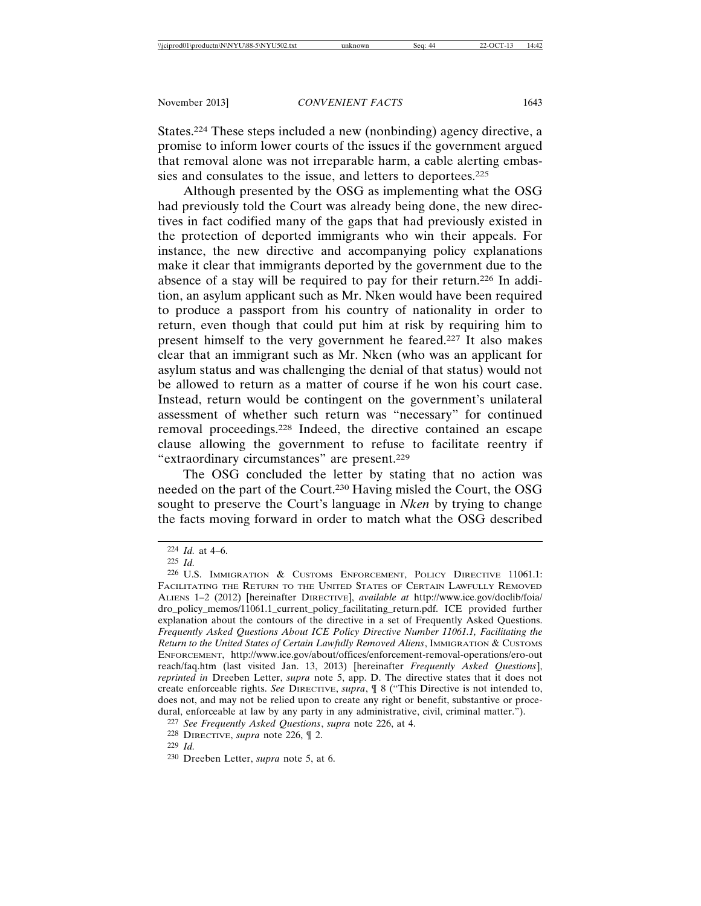States.224 These steps included a new (nonbinding) agency directive, a promise to inform lower courts of the issues if the government argued that removal alone was not irreparable harm, a cable alerting embassies and consulates to the issue, and letters to deportees.<sup>225</sup>

Although presented by the OSG as implementing what the OSG had previously told the Court was already being done, the new directives in fact codified many of the gaps that had previously existed in the protection of deported immigrants who win their appeals. For instance, the new directive and accompanying policy explanations make it clear that immigrants deported by the government due to the absence of a stay will be required to pay for their return.226 In addition, an asylum applicant such as Mr. Nken would have been required to produce a passport from his country of nationality in order to return, even though that could put him at risk by requiring him to present himself to the very government he feared.227 It also makes clear that an immigrant such as Mr. Nken (who was an applicant for asylum status and was challenging the denial of that status) would not be allowed to return as a matter of course if he won his court case. Instead, return would be contingent on the government's unilateral assessment of whether such return was "necessary" for continued removal proceedings.228 Indeed, the directive contained an escape clause allowing the government to refuse to facilitate reentry if "extraordinary circumstances" are present.229

The OSG concluded the letter by stating that no action was needed on the part of the Court.230 Having misled the Court, the OSG sought to preserve the Court's language in *Nken* by trying to change the facts moving forward in order to match what the OSG described

<sup>224</sup> *Id.* at 4–6.

<sup>225</sup> *Id.*

<sup>226</sup> U.S. IMMIGRATION & CUSTOMS ENFORCEMENT, POLICY DIRECTIVE 11061.1: FACILITATING THE RETURN TO THE UNITED STATES OF CERTAIN LAWFULLY REMOVED ALIENS 1–2 (2012) [hereinafter DIRECTIVE], *available at* http://www.ice.gov/doclib/foia/ dro\_policy\_memos/11061.1\_current\_policy\_facilitating\_return.pdf. ICE provided further explanation about the contours of the directive in a set of Frequently Asked Questions. *Frequently Asked Questions About ICE Policy Directive Number 11061.1, Facilitating the Return to the United States of Certain Lawfully Removed Aliens*, IMMIGRATION & CUSTOMS ENFORCEMENT, http://www.ice.gov/about/offices/enforcement-removal-operations/ero-out reach/faq.htm (last visited Jan. 13, 2013) [hereinafter *Frequently Asked Questions*], *reprinted in* Dreeben Letter, *supra* note 5, app. D. The directive states that it does not create enforceable rights. *See* DIRECTIVE, *supra*, ¶ 8 ("This Directive is not intended to, does not, and may not be relied upon to create any right or benefit, substantive or procedural, enforceable at law by any party in any administrative, civil, criminal matter.").

<sup>227</sup> *See Frequently Asked Questions*, *supra* note 226, at 4.

<sup>228</sup> DIRECTIVE, *supra* note 226, ¶ 2.

<sup>229</sup> *Id.*

<sup>230</sup> Dreeben Letter, *supra* note 5, at 6.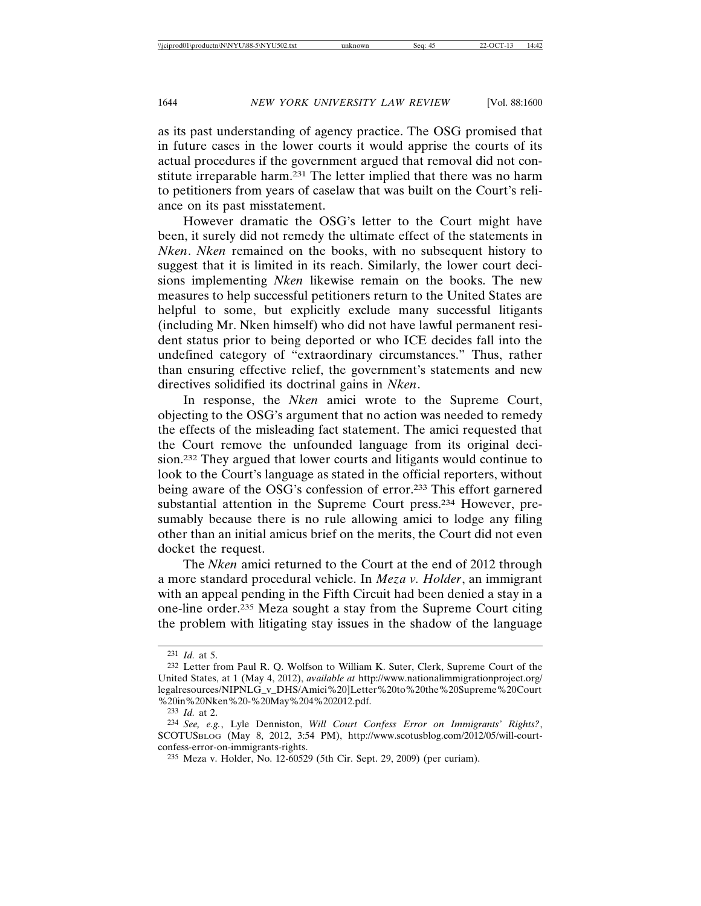as its past understanding of agency practice. The OSG promised that in future cases in the lower courts it would apprise the courts of its actual procedures if the government argued that removal did not constitute irreparable harm.231 The letter implied that there was no harm to petitioners from years of caselaw that was built on the Court's reliance on its past misstatement.

However dramatic the OSG's letter to the Court might have been, it surely did not remedy the ultimate effect of the statements in *Nken*. *Nken* remained on the books, with no subsequent history to suggest that it is limited in its reach. Similarly, the lower court decisions implementing *Nken* likewise remain on the books. The new measures to help successful petitioners return to the United States are helpful to some, but explicitly exclude many successful litigants (including Mr. Nken himself) who did not have lawful permanent resident status prior to being deported or who ICE decides fall into the undefined category of "extraordinary circumstances." Thus, rather than ensuring effective relief, the government's statements and new directives solidified its doctrinal gains in *Nken*.

In response, the *Nken* amici wrote to the Supreme Court, objecting to the OSG's argument that no action was needed to remedy the effects of the misleading fact statement. The amici requested that the Court remove the unfounded language from its original decision.232 They argued that lower courts and litigants would continue to look to the Court's language as stated in the official reporters, without being aware of the OSG's confession of error.233 This effort garnered substantial attention in the Supreme Court press.234 However, presumably because there is no rule allowing amici to lodge any filing other than an initial amicus brief on the merits, the Court did not even docket the request.

The *Nken* amici returned to the Court at the end of 2012 through a more standard procedural vehicle. In *Meza v. Holder*, an immigrant with an appeal pending in the Fifth Circuit had been denied a stay in a one-line order.235 Meza sought a stay from the Supreme Court citing the problem with litigating stay issues in the shadow of the language

<sup>231</sup> *Id.* at 5.

<sup>232</sup> Letter from Paul R. Q. Wolfson to William K. Suter, Clerk, Supreme Court of the United States, at 1 (May 4, 2012), *available at* http://www.nationalimmigrationproject.org/ legalresources/NIPNLG\_v\_DHS/Amici%20]Letter%20to%20the%20Supreme%20Court %20in%20Nken%20-%20May%204%202012.pdf.

<sup>233</sup> *Id.* at 2.

<sup>234</sup> *See, e.g.*, Lyle Denniston, *Will Court Confess Error on Immigrants' Rights?*, SCOTUSBLOG (May 8, 2012, 3:54 PM), http://www.scotusblog.com/2012/05/will-courtconfess-error-on-immigrants-rights.

<sup>235</sup> Meza v. Holder, No. 12-60529 (5th Cir. Sept. 29, 2009) (per curiam).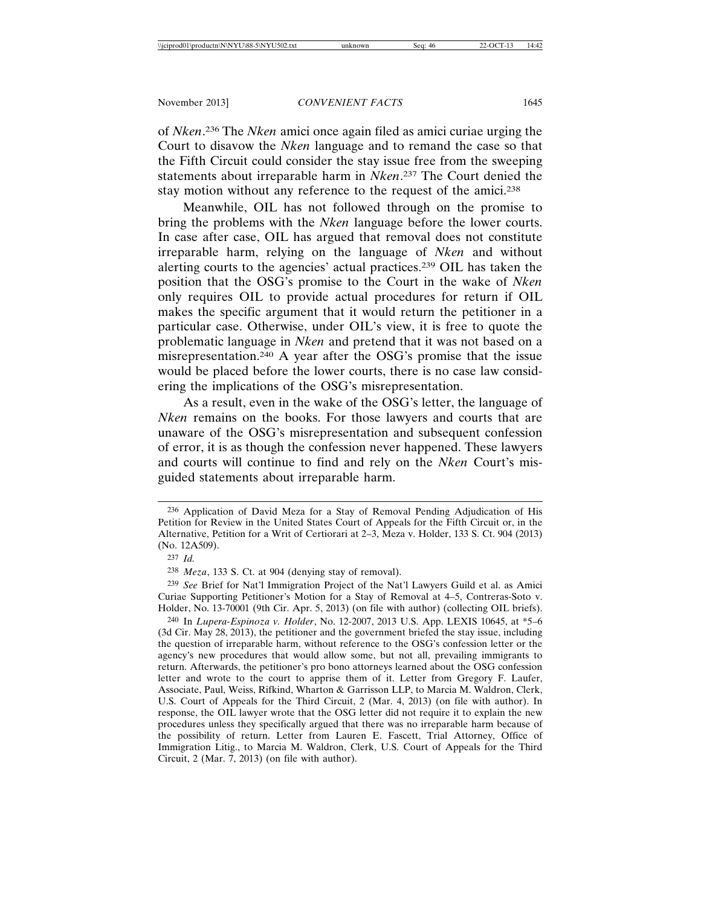of *Nken*. 236 The *Nken* amici once again filed as amici curiae urging the Court to disavow the *Nken* language and to remand the case so that the Fifth Circuit could consider the stay issue free from the sweeping statements about irreparable harm in *Nken*. 237 The Court denied the stay motion without any reference to the request of the amici.<sup>238</sup>

Meanwhile, OIL has not followed through on the promise to bring the problems with the *Nken* language before the lower courts. In case after case, OIL has argued that removal does not constitute irreparable harm, relying on the language of *Nken* and without alerting courts to the agencies' actual practices.239 OIL has taken the position that the OSG's promise to the Court in the wake of *Nken* only requires OIL to provide actual procedures for return if OIL makes the specific argument that it would return the petitioner in a particular case. Otherwise, under OIL's view, it is free to quote the problematic language in *Nken* and pretend that it was not based on a misrepresentation.240 A year after the OSG's promise that the issue would be placed before the lower courts, there is no case law considering the implications of the OSG's misrepresentation.

As a result, even in the wake of the OSG's letter, the language of *Nken* remains on the books. For those lawyers and courts that are unaware of the OSG's misrepresentation and subsequent confession of error, it is as though the confession never happened. These lawyers and courts will continue to find and rely on the *Nken* Court's misguided statements about irreparable harm.

238 *Meza*, 133 S. Ct. at 904 (denying stay of removal).

<sup>236</sup> Application of David Meza for a Stay of Removal Pending Adjudication of His Petition for Review in the United States Court of Appeals for the Fifth Circuit or, in the Alternative, Petition for a Writ of Certiorari at 2–3, Meza v. Holder, 133 S. Ct. 904 (2013) (No. 12A509).

<sup>237</sup> *Id.*

<sup>239</sup> *See* Brief for Nat'l Immigration Project of the Nat'l Lawyers Guild et al. as Amici Curiae Supporting Petitioner's Motion for a Stay of Removal at 4–5, Contreras-Soto v. Holder, No. 13-70001 (9th Cir. Apr. 5, 2013) (on file with author) (collecting OIL briefs).

<sup>240</sup> In *Lupera-Espinoza v. Holder*, No. 12-2007, 2013 U.S. App. LEXIS 10645, at \*5–6 (3d Cir. May 28, 2013), the petitioner and the government briefed the stay issue, including the question of irreparable harm, without reference to the OSG's confession letter or the agency's new procedures that would allow some, but not all, prevailing immigrants to return. Afterwards, the petitioner's pro bono attorneys learned about the OSG confession letter and wrote to the court to apprise them of it. Letter from Gregory F. Laufer, Associate, Paul, Weiss, Rifkind, Wharton & Garrisson LLP, to Marcia M. Waldron, Clerk, U.S. Court of Appeals for the Third Circuit, 2 (Mar. 4, 2013) (on file with author). In response, the OIL lawyer wrote that the OSG letter did not require it to explain the new procedures unless they specifically argued that there was no irreparable harm because of the possibility of return. Letter from Lauren E. Fascett, Trial Attorney, Office of Immigration Litig., to Marcia M. Waldron, Clerk, U.S. Court of Appeals for the Third Circuit, 2 (Mar. 7, 2013) (on file with author).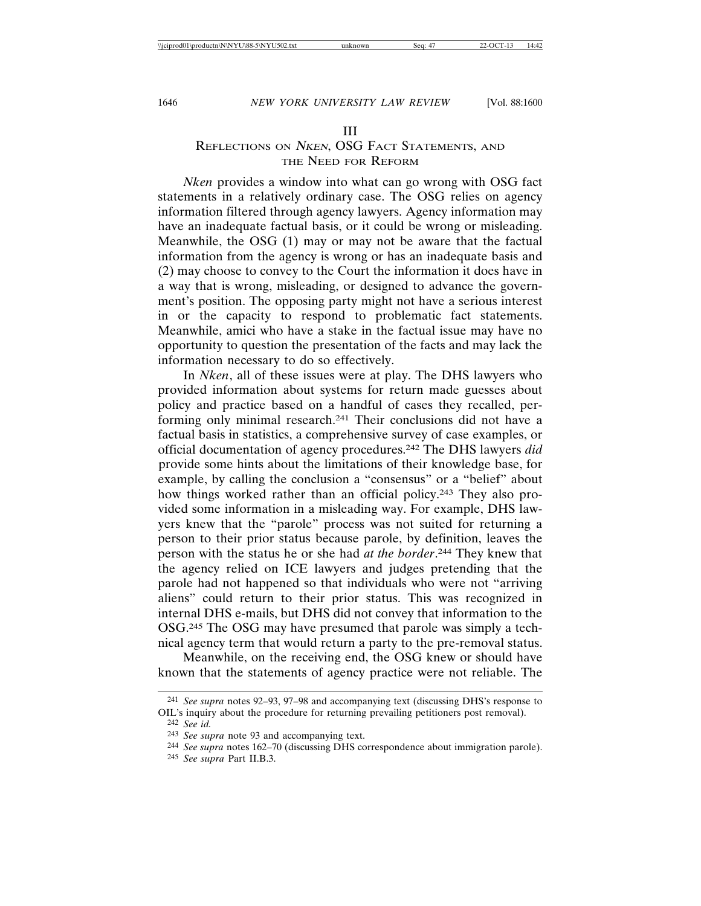#### III

# REFLECTIONS ON NKEN, OSG FACT STATEMENTS, AND THE NEED FOR REFORM

*Nken* provides a window into what can go wrong with OSG fact statements in a relatively ordinary case. The OSG relies on agency information filtered through agency lawyers. Agency information may have an inadequate factual basis, or it could be wrong or misleading. Meanwhile, the OSG (1) may or may not be aware that the factual information from the agency is wrong or has an inadequate basis and (2) may choose to convey to the Court the information it does have in a way that is wrong, misleading, or designed to advance the government's position. The opposing party might not have a serious interest in or the capacity to respond to problematic fact statements. Meanwhile, amici who have a stake in the factual issue may have no opportunity to question the presentation of the facts and may lack the information necessary to do so effectively.

In *Nken*, all of these issues were at play. The DHS lawyers who provided information about systems for return made guesses about policy and practice based on a handful of cases they recalled, performing only minimal research.241 Their conclusions did not have a factual basis in statistics, a comprehensive survey of case examples, or official documentation of agency procedures.242 The DHS lawyers *did* provide some hints about the limitations of their knowledge base, for example, by calling the conclusion a "consensus" or a "belief" about how things worked rather than an official policy.243 They also provided some information in a misleading way. For example, DHS lawyers knew that the "parole" process was not suited for returning a person to their prior status because parole, by definition, leaves the person with the status he or she had *at the border*. 244 They knew that the agency relied on ICE lawyers and judges pretending that the parole had not happened so that individuals who were not "arriving aliens" could return to their prior status. This was recognized in internal DHS e-mails, but DHS did not convey that information to the OSG.245 The OSG may have presumed that parole was simply a technical agency term that would return a party to the pre-removal status.

Meanwhile, on the receiving end, the OSG knew or should have known that the statements of agency practice were not reliable. The

245 *See supra* Part II.B.3.

<sup>241</sup> *See supra* notes 92–93, 97–98 and accompanying text (discussing DHS's response to OIL's inquiry about the procedure for returning prevailing petitioners post removal).

<sup>242</sup> *See id.*

<sup>243</sup> *See supra* note 93 and accompanying text.

<sup>244</sup> *See supra* notes 162–70 (discussing DHS correspondence about immigration parole).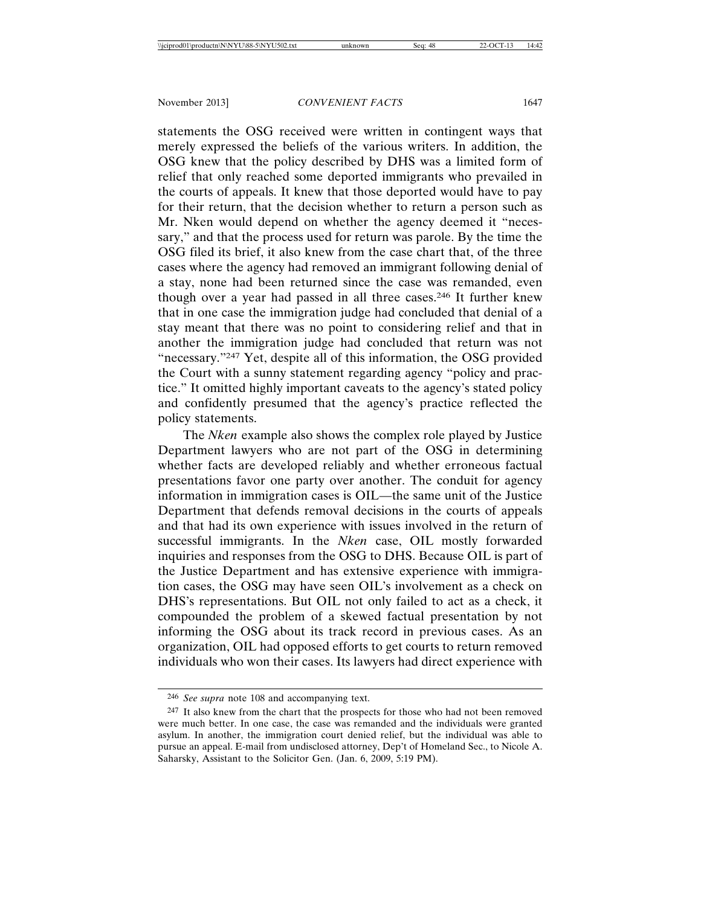statements the OSG received were written in contingent ways that merely expressed the beliefs of the various writers. In addition, the OSG knew that the policy described by DHS was a limited form of relief that only reached some deported immigrants who prevailed in the courts of appeals. It knew that those deported would have to pay for their return, that the decision whether to return a person such as Mr. Nken would depend on whether the agency deemed it "necessary," and that the process used for return was parole. By the time the OSG filed its brief, it also knew from the case chart that, of the three cases where the agency had removed an immigrant following denial of a stay, none had been returned since the case was remanded, even though over a year had passed in all three cases.246 It further knew that in one case the immigration judge had concluded that denial of a stay meant that there was no point to considering relief and that in another the immigration judge had concluded that return was not "necessary."247 Yet, despite all of this information, the OSG provided the Court with a sunny statement regarding agency "policy and practice." It omitted highly important caveats to the agency's stated policy and confidently presumed that the agency's practice reflected the policy statements.

The *Nken* example also shows the complex role played by Justice Department lawyers who are not part of the OSG in determining whether facts are developed reliably and whether erroneous factual presentations favor one party over another. The conduit for agency information in immigration cases is OIL—the same unit of the Justice Department that defends removal decisions in the courts of appeals and that had its own experience with issues involved in the return of successful immigrants. In the *Nken* case, OIL mostly forwarded inquiries and responses from the OSG to DHS. Because OIL is part of the Justice Department and has extensive experience with immigration cases, the OSG may have seen OIL's involvement as a check on DHS's representations. But OIL not only failed to act as a check, it compounded the problem of a skewed factual presentation by not informing the OSG about its track record in previous cases. As an organization, OIL had opposed efforts to get courts to return removed individuals who won their cases. Its lawyers had direct experience with

<sup>246</sup> *See supra* note 108 and accompanying text.

<sup>&</sup>lt;sup>247</sup> It also knew from the chart that the prospects for those who had not been removed were much better. In one case, the case was remanded and the individuals were granted asylum. In another, the immigration court denied relief, but the individual was able to pursue an appeal. E-mail from undisclosed attorney, Dep't of Homeland Sec., to Nicole A. Saharsky, Assistant to the Solicitor Gen. (Jan. 6, 2009, 5:19 PM).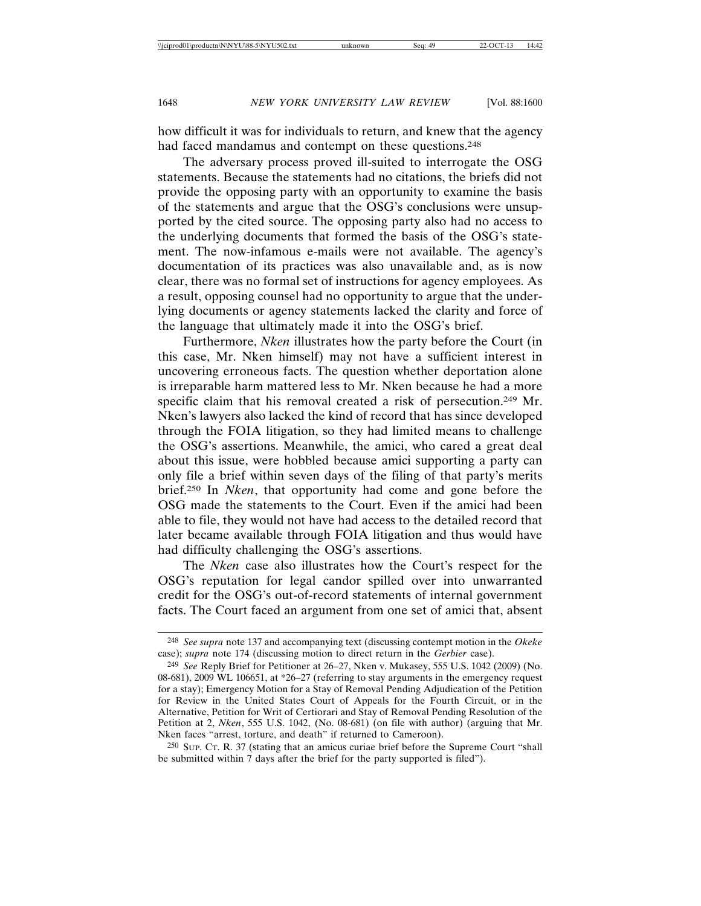how difficult it was for individuals to return, and knew that the agency had faced mandamus and contempt on these questions.<sup>248</sup>

The adversary process proved ill-suited to interrogate the OSG statements. Because the statements had no citations, the briefs did not provide the opposing party with an opportunity to examine the basis of the statements and argue that the OSG's conclusions were unsupported by the cited source. The opposing party also had no access to the underlying documents that formed the basis of the OSG's statement. The now-infamous e-mails were not available. The agency's documentation of its practices was also unavailable and, as is now clear, there was no formal set of instructions for agency employees. As a result, opposing counsel had no opportunity to argue that the underlying documents or agency statements lacked the clarity and force of the language that ultimately made it into the OSG's brief.

Furthermore, *Nken* illustrates how the party before the Court (in this case, Mr. Nken himself) may not have a sufficient interest in uncovering erroneous facts. The question whether deportation alone is irreparable harm mattered less to Mr. Nken because he had a more specific claim that his removal created a risk of persecution.<sup>249</sup> Mr. Nken's lawyers also lacked the kind of record that has since developed through the FOIA litigation, so they had limited means to challenge the OSG's assertions. Meanwhile, the amici, who cared a great deal about this issue, were hobbled because amici supporting a party can only file a brief within seven days of the filing of that party's merits brief.250 In *Nken*, that opportunity had come and gone before the OSG made the statements to the Court. Even if the amici had been able to file, they would not have had access to the detailed record that later became available through FOIA litigation and thus would have had difficulty challenging the OSG's assertions.

The *Nken* case also illustrates how the Court's respect for the OSG's reputation for legal candor spilled over into unwarranted credit for the OSG's out-of-record statements of internal government facts. The Court faced an argument from one set of amici that, absent

<sup>248</sup> *See supra* note 137 and accompanying text (discussing contempt motion in the *Okeke* case); *supra* note 174 (discussing motion to direct return in the *Gerbier* case).

<sup>249</sup> *See* Reply Brief for Petitioner at 26–27, Nken v. Mukasey, 555 U.S. 1042 (2009) (No. 08-681), 2009 WL 106651, at \*26–27 (referring to stay arguments in the emergency request for a stay); Emergency Motion for a Stay of Removal Pending Adjudication of the Petition for Review in the United States Court of Appeals for the Fourth Circuit, or in the Alternative, Petition for Writ of Certiorari and Stay of Removal Pending Resolution of the Petition at 2, *Nken*, 555 U.S. 1042, (No. 08-681) (on file with author) (arguing that Mr. Nken faces "arrest, torture, and death" if returned to Cameroon).

<sup>250</sup> SUP. CT. R. 37 (stating that an amicus curiae brief before the Supreme Court "shall be submitted within 7 days after the brief for the party supported is filed").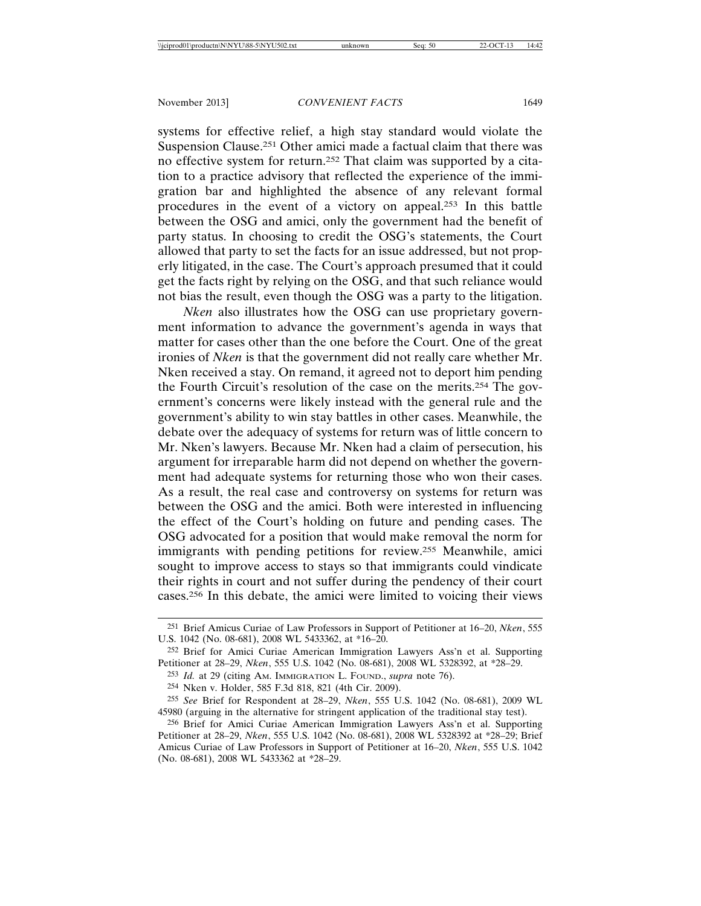systems for effective relief, a high stay standard would violate the Suspension Clause.251 Other amici made a factual claim that there was no effective system for return.252 That claim was supported by a citation to a practice advisory that reflected the experience of the immigration bar and highlighted the absence of any relevant formal procedures in the event of a victory on appeal.253 In this battle between the OSG and amici, only the government had the benefit of party status. In choosing to credit the OSG's statements, the Court allowed that party to set the facts for an issue addressed, but not properly litigated, in the case. The Court's approach presumed that it could get the facts right by relying on the OSG, and that such reliance would not bias the result, even though the OSG was a party to the litigation.

*Nken* also illustrates how the OSG can use proprietary government information to advance the government's agenda in ways that matter for cases other than the one before the Court. One of the great ironies of *Nken* is that the government did not really care whether Mr. Nken received a stay. On remand, it agreed not to deport him pending the Fourth Circuit's resolution of the case on the merits.254 The government's concerns were likely instead with the general rule and the government's ability to win stay battles in other cases. Meanwhile, the debate over the adequacy of systems for return was of little concern to Mr. Nken's lawyers. Because Mr. Nken had a claim of persecution, his argument for irreparable harm did not depend on whether the government had adequate systems for returning those who won their cases. As a result, the real case and controversy on systems for return was between the OSG and the amici. Both were interested in influencing the effect of the Court's holding on future and pending cases. The OSG advocated for a position that would make removal the norm for immigrants with pending petitions for review.255 Meanwhile, amici sought to improve access to stays so that immigrants could vindicate their rights in court and not suffer during the pendency of their court cases.256 In this debate, the amici were limited to voicing their views

<sup>251</sup> Brief Amicus Curiae of Law Professors in Support of Petitioner at 16–20, *Nken*, 555 U.S. 1042 (No. 08-681), 2008 WL 5433362, at \*16–20.

<sup>252</sup> Brief for Amici Curiae American Immigration Lawyers Ass'n et al. Supporting Petitioner at 28–29, *Nken*, 555 U.S. 1042 (No. 08-681), 2008 WL 5328392, at \*28–29.

<sup>253</sup> *Id.* at 29 (citing AM. IMMIGRATION L. FOUND., *supra* note 76).

<sup>254</sup> Nken v. Holder, 585 F.3d 818, 821 (4th Cir. 2009).

<sup>255</sup> *See* Brief for Respondent at 28–29, *Nken*, 555 U.S. 1042 (No. 08-681), 2009 WL 45980 (arguing in the alternative for stringent application of the traditional stay test).

<sup>256</sup> Brief for Amici Curiae American Immigration Lawyers Ass'n et al. Supporting Petitioner at 28–29, *Nken*, 555 U.S. 1042 (No. 08-681), 2008 WL 5328392 at \*28–29; Brief Amicus Curiae of Law Professors in Support of Petitioner at 16–20, *Nken*, 555 U.S. 1042 (No. 08-681), 2008 WL 5433362 at \*28–29.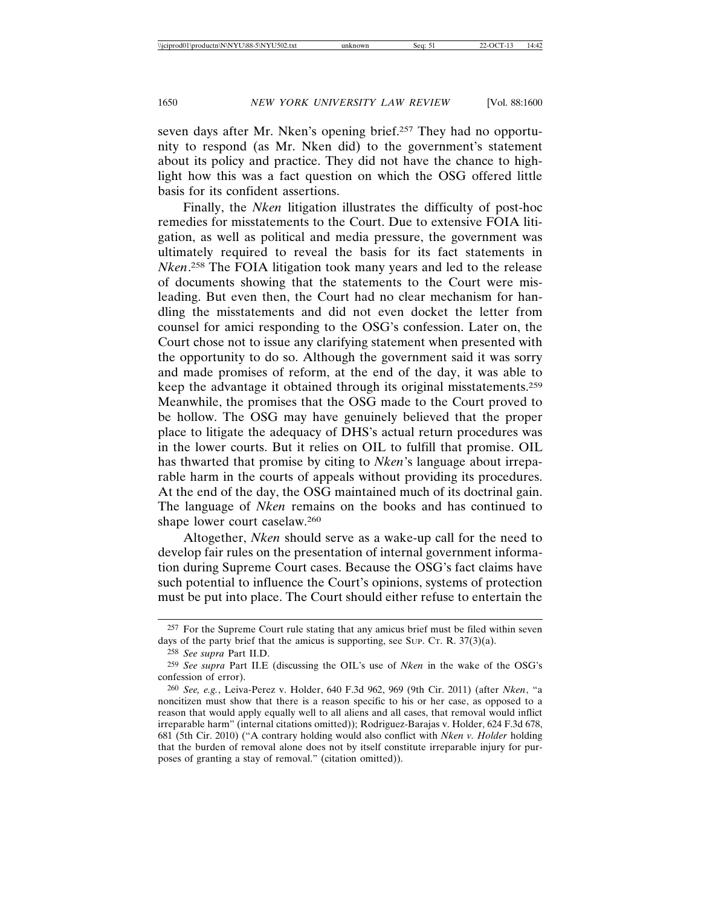seven days after Mr. Nken's opening brief.257 They had no opportunity to respond (as Mr. Nken did) to the government's statement about its policy and practice. They did not have the chance to highlight how this was a fact question on which the OSG offered little basis for its confident assertions.

Finally, the *Nken* litigation illustrates the difficulty of post-hoc remedies for misstatements to the Court. Due to extensive FOIA litigation, as well as political and media pressure, the government was ultimately required to reveal the basis for its fact statements in *Nken*. 258 The FOIA litigation took many years and led to the release of documents showing that the statements to the Court were misleading. But even then, the Court had no clear mechanism for handling the misstatements and did not even docket the letter from counsel for amici responding to the OSG's confession. Later on, the Court chose not to issue any clarifying statement when presented with the opportunity to do so. Although the government said it was sorry and made promises of reform, at the end of the day, it was able to keep the advantage it obtained through its original misstatements.259 Meanwhile, the promises that the OSG made to the Court proved to be hollow. The OSG may have genuinely believed that the proper place to litigate the adequacy of DHS's actual return procedures was in the lower courts. But it relies on OIL to fulfill that promise. OIL has thwarted that promise by citing to *Nken*'s language about irreparable harm in the courts of appeals without providing its procedures. At the end of the day, the OSG maintained much of its doctrinal gain. The language of *Nken* remains on the books and has continued to shape lower court caselaw.260

Altogether, *Nken* should serve as a wake-up call for the need to develop fair rules on the presentation of internal government information during Supreme Court cases. Because the OSG's fact claims have such potential to influence the Court's opinions, systems of protection must be put into place. The Court should either refuse to entertain the

<sup>257</sup> For the Supreme Court rule stating that any amicus brief must be filed within seven days of the party brief that the amicus is supporting, see Sup. C $T$ . R. 37(3)(a).

<sup>258</sup> *See supra* Part II.D.

<sup>259</sup> *See supra* Part II.E (discussing the OIL's use of *Nken* in the wake of the OSG's confession of error).

<sup>260</sup> *See, e.g.*, Leiva-Perez v. Holder, 640 F.3d 962, 969 (9th Cir. 2011) (after *Nken*, "a noncitizen must show that there is a reason specific to his or her case, as opposed to a reason that would apply equally well to all aliens and all cases, that removal would inflict irreparable harm" (internal citations omitted)); Rodriguez-Barajas v. Holder, 624 F.3d 678, 681 (5th Cir. 2010) ("A contrary holding would also conflict with *Nken v. Holder* holding that the burden of removal alone does not by itself constitute irreparable injury for purposes of granting a stay of removal." (citation omitted)).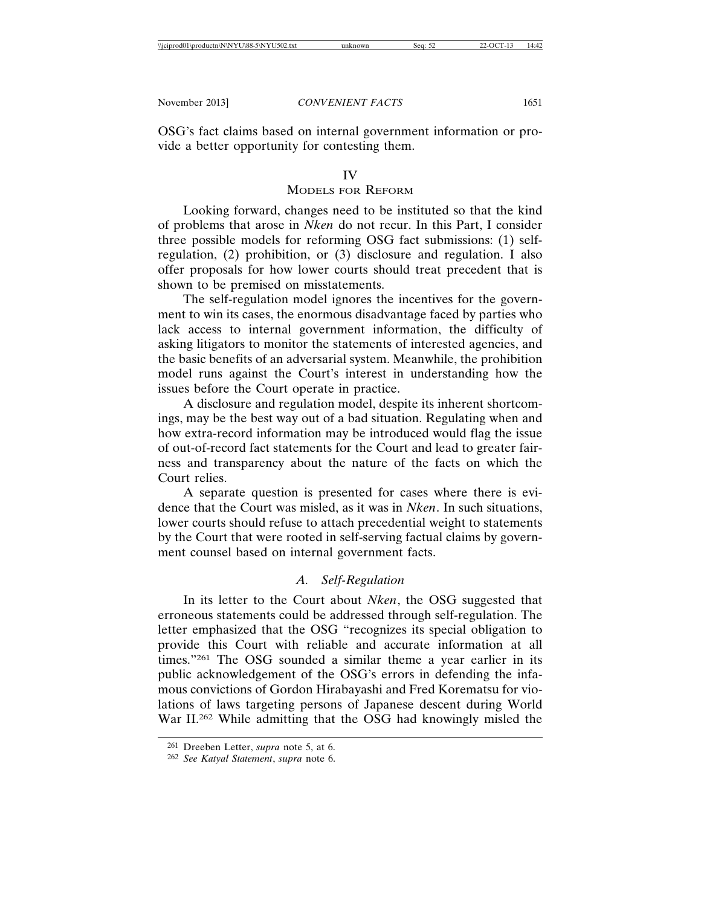OSG's fact claims based on internal government information or provide a better opportunity for contesting them.

#### IV

#### MODELS FOR REFORM

Looking forward, changes need to be instituted so that the kind of problems that arose in *Nken* do not recur. In this Part, I consider three possible models for reforming OSG fact submissions: (1) selfregulation, (2) prohibition, or (3) disclosure and regulation. I also offer proposals for how lower courts should treat precedent that is shown to be premised on misstatements.

The self-regulation model ignores the incentives for the government to win its cases, the enormous disadvantage faced by parties who lack access to internal government information, the difficulty of asking litigators to monitor the statements of interested agencies, and the basic benefits of an adversarial system. Meanwhile, the prohibition model runs against the Court's interest in understanding how the issues before the Court operate in practice.

A disclosure and regulation model, despite its inherent shortcomings, may be the best way out of a bad situation. Regulating when and how extra-record information may be introduced would flag the issue of out-of-record fact statements for the Court and lead to greater fairness and transparency about the nature of the facts on which the Court relies.

A separate question is presented for cases where there is evidence that the Court was misled, as it was in *Nken*. In such situations, lower courts should refuse to attach precedential weight to statements by the Court that were rooted in self-serving factual claims by government counsel based on internal government facts.

#### *A. Self-Regulation*

In its letter to the Court about *Nken*, the OSG suggested that erroneous statements could be addressed through self-regulation. The letter emphasized that the OSG "recognizes its special obligation to provide this Court with reliable and accurate information at all times."<sup>261</sup> The OSG sounded a similar theme a year earlier in its public acknowledgement of the OSG's errors in defending the infamous convictions of Gordon Hirabayashi and Fred Korematsu for violations of laws targeting persons of Japanese descent during World War II.262 While admitting that the OSG had knowingly misled the

<sup>261</sup> Dreeben Letter, *supra* note 5, at 6.

<sup>262</sup> *See Katyal Statement*, *supra* note 6.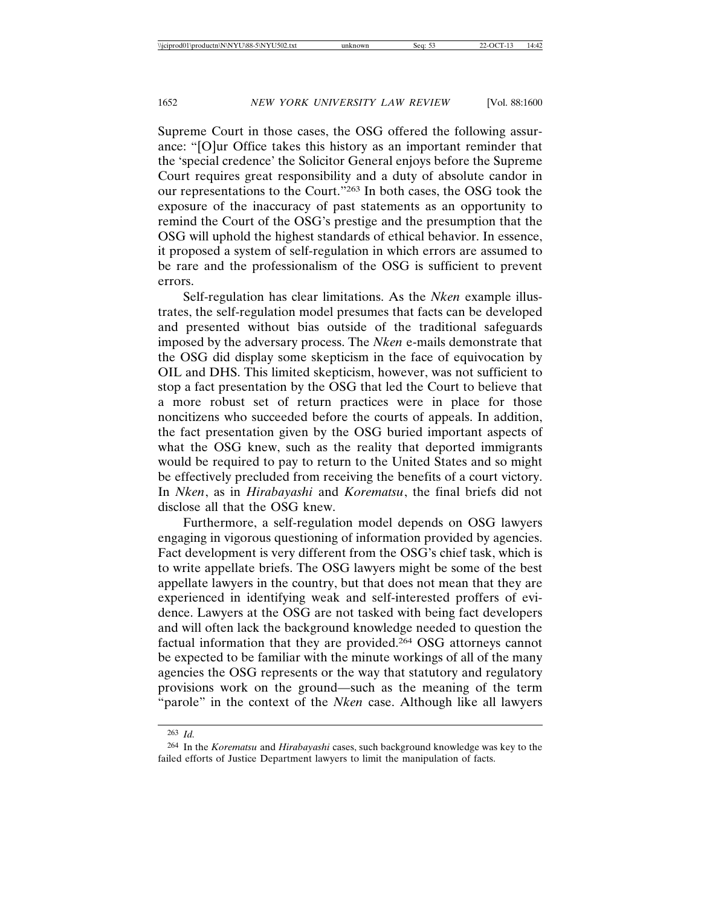Supreme Court in those cases, the OSG offered the following assurance: "[O]ur Office takes this history as an important reminder that the 'special credence' the Solicitor General enjoys before the Supreme Court requires great responsibility and a duty of absolute candor in our representations to the Court."263 In both cases, the OSG took the exposure of the inaccuracy of past statements as an opportunity to remind the Court of the OSG's prestige and the presumption that the OSG will uphold the highest standards of ethical behavior. In essence, it proposed a system of self-regulation in which errors are assumed to be rare and the professionalism of the OSG is sufficient to prevent errors.

Self-regulation has clear limitations. As the *Nken* example illustrates, the self-regulation model presumes that facts can be developed and presented without bias outside of the traditional safeguards imposed by the adversary process. The *Nken* e-mails demonstrate that the OSG did display some skepticism in the face of equivocation by OIL and DHS. This limited skepticism, however, was not sufficient to stop a fact presentation by the OSG that led the Court to believe that a more robust set of return practices were in place for those noncitizens who succeeded before the courts of appeals. In addition, the fact presentation given by the OSG buried important aspects of what the OSG knew, such as the reality that deported immigrants would be required to pay to return to the United States and so might be effectively precluded from receiving the benefits of a court victory. In *Nken*, as in *Hirabayashi* and *Korematsu*, the final briefs did not disclose all that the OSG knew.

Furthermore, a self-regulation model depends on OSG lawyers engaging in vigorous questioning of information provided by agencies. Fact development is very different from the OSG's chief task, which is to write appellate briefs. The OSG lawyers might be some of the best appellate lawyers in the country, but that does not mean that they are experienced in identifying weak and self-interested proffers of evidence. Lawyers at the OSG are not tasked with being fact developers and will often lack the background knowledge needed to question the factual information that they are provided.264 OSG attorneys cannot be expected to be familiar with the minute workings of all of the many agencies the OSG represents or the way that statutory and regulatory provisions work on the ground—such as the meaning of the term "parole" in the context of the *Nken* case. Although like all lawyers

<sup>263</sup> *Id.*

<sup>264</sup> In the *Korematsu* and *Hirabayashi* cases, such background knowledge was key to the failed efforts of Justice Department lawyers to limit the manipulation of facts.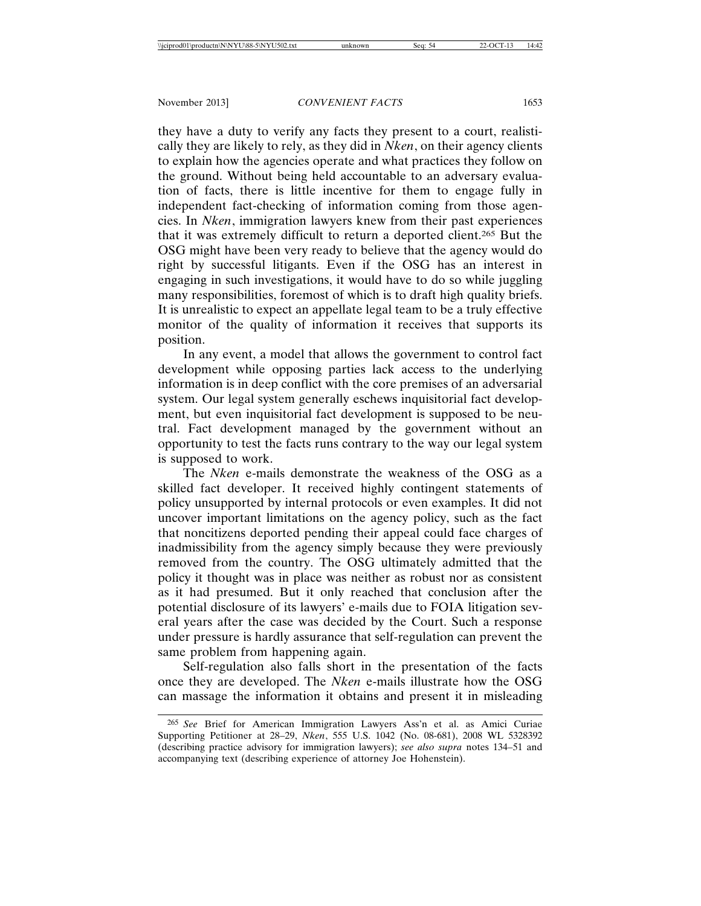they have a duty to verify any facts they present to a court, realistically they are likely to rely, as they did in *Nken*, on their agency clients to explain how the agencies operate and what practices they follow on the ground. Without being held accountable to an adversary evaluation of facts, there is little incentive for them to engage fully in independent fact-checking of information coming from those agencies. In *Nken*, immigration lawyers knew from their past experiences that it was extremely difficult to return a deported client.265 But the OSG might have been very ready to believe that the agency would do right by successful litigants. Even if the OSG has an interest in engaging in such investigations, it would have to do so while juggling many responsibilities, foremost of which is to draft high quality briefs. It is unrealistic to expect an appellate legal team to be a truly effective monitor of the quality of information it receives that supports its position.

In any event, a model that allows the government to control fact development while opposing parties lack access to the underlying information is in deep conflict with the core premises of an adversarial system. Our legal system generally eschews inquisitorial fact development, but even inquisitorial fact development is supposed to be neutral. Fact development managed by the government without an opportunity to test the facts runs contrary to the way our legal system is supposed to work.

The *Nken* e-mails demonstrate the weakness of the OSG as a skilled fact developer. It received highly contingent statements of policy unsupported by internal protocols or even examples. It did not uncover important limitations on the agency policy, such as the fact that noncitizens deported pending their appeal could face charges of inadmissibility from the agency simply because they were previously removed from the country. The OSG ultimately admitted that the policy it thought was in place was neither as robust nor as consistent as it had presumed. But it only reached that conclusion after the potential disclosure of its lawyers' e-mails due to FOIA litigation several years after the case was decided by the Court. Such a response under pressure is hardly assurance that self-regulation can prevent the same problem from happening again.

Self-regulation also falls short in the presentation of the facts once they are developed. The *Nken* e-mails illustrate how the OSG can massage the information it obtains and present it in misleading

<sup>265</sup> *See* Brief for American Immigration Lawyers Ass'n et al. as Amici Curiae Supporting Petitioner at 28–29, *Nken*, 555 U.S. 1042 (No. 08-681), 2008 WL 5328392 (describing practice advisory for immigration lawyers); *see also supra* notes 134–51 and accompanying text (describing experience of attorney Joe Hohenstein).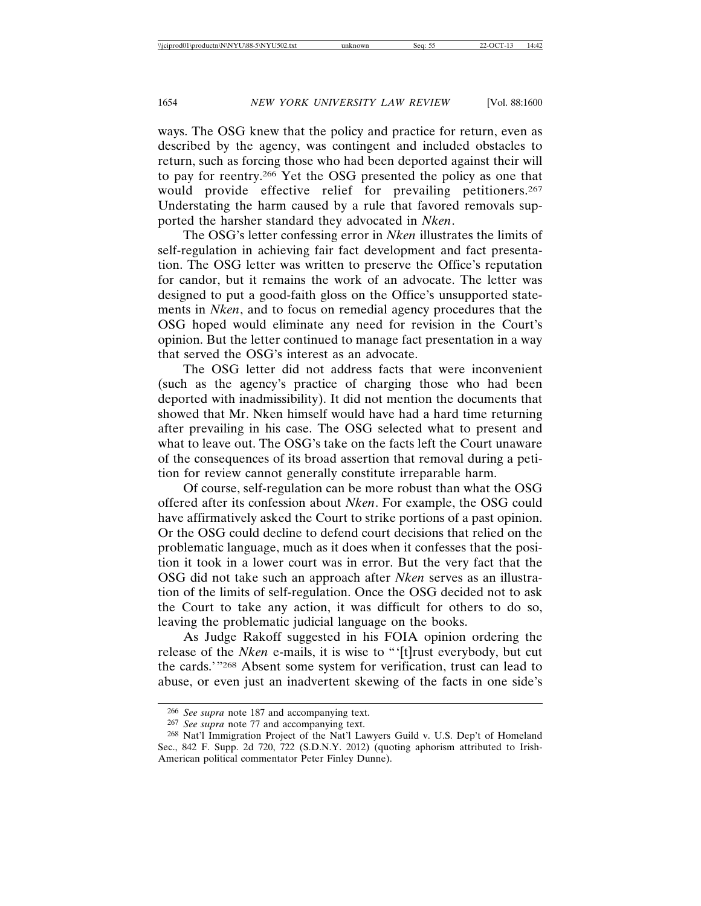ways. The OSG knew that the policy and practice for return, even as described by the agency, was contingent and included obstacles to return, such as forcing those who had been deported against their will to pay for reentry.266 Yet the OSG presented the policy as one that would provide effective relief for prevailing petitioners.<sup>267</sup> Understating the harm caused by a rule that favored removals supported the harsher standard they advocated in *Nken*.

The OSG's letter confessing error in *Nken* illustrates the limits of self-regulation in achieving fair fact development and fact presentation. The OSG letter was written to preserve the Office's reputation for candor, but it remains the work of an advocate. The letter was designed to put a good-faith gloss on the Office's unsupported statements in *Nken*, and to focus on remedial agency procedures that the OSG hoped would eliminate any need for revision in the Court's opinion. But the letter continued to manage fact presentation in a way that served the OSG's interest as an advocate.

The OSG letter did not address facts that were inconvenient (such as the agency's practice of charging those who had been deported with inadmissibility). It did not mention the documents that showed that Mr. Nken himself would have had a hard time returning after prevailing in his case. The OSG selected what to present and what to leave out. The OSG's take on the facts left the Court unaware of the consequences of its broad assertion that removal during a petition for review cannot generally constitute irreparable harm.

Of course, self-regulation can be more robust than what the OSG offered after its confession about *Nken*. For example, the OSG could have affirmatively asked the Court to strike portions of a past opinion. Or the OSG could decline to defend court decisions that relied on the problematic language, much as it does when it confesses that the position it took in a lower court was in error. But the very fact that the OSG did not take such an approach after *Nken* serves as an illustration of the limits of self-regulation. Once the OSG decided not to ask the Court to take any action, it was difficult for others to do so, leaving the problematic judicial language on the books.

As Judge Rakoff suggested in his FOIA opinion ordering the release of the *Nken* e-mails, it is wise to "'[t]rust everybody, but cut the cards.'"268 Absent some system for verification, trust can lead to abuse, or even just an inadvertent skewing of the facts in one side's

<sup>266</sup> *See supra* note 187 and accompanying text.

<sup>267</sup> *See supra* note 77 and accompanying text.

<sup>268</sup> Nat'l Immigration Project of the Nat'l Lawyers Guild v. U.S. Dep't of Homeland Sec., 842 F. Supp. 2d 720, 722 (S.D.N.Y. 2012) (quoting aphorism attributed to Irish-American political commentator Peter Finley Dunne).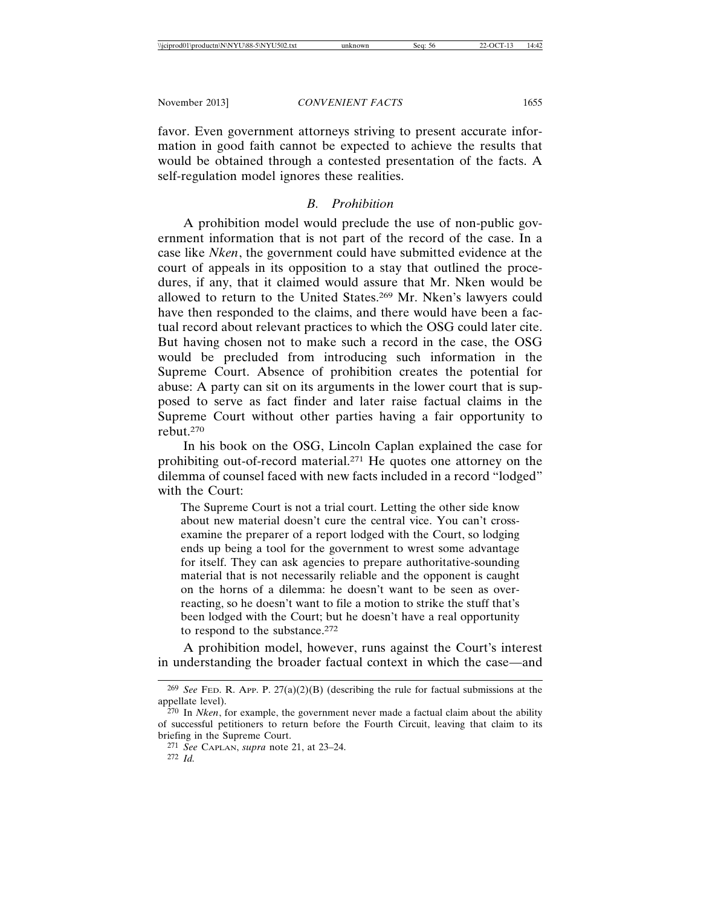favor. Even government attorneys striving to present accurate information in good faith cannot be expected to achieve the results that would be obtained through a contested presentation of the facts. A self-regulation model ignores these realities.

#### *B. Prohibition*

A prohibition model would preclude the use of non-public government information that is not part of the record of the case. In a case like *Nken*, the government could have submitted evidence at the court of appeals in its opposition to a stay that outlined the procedures, if any, that it claimed would assure that Mr. Nken would be allowed to return to the United States.269 Mr. Nken's lawyers could have then responded to the claims, and there would have been a factual record about relevant practices to which the OSG could later cite. But having chosen not to make such a record in the case, the OSG would be precluded from introducing such information in the Supreme Court. Absence of prohibition creates the potential for abuse: A party can sit on its arguments in the lower court that is supposed to serve as fact finder and later raise factual claims in the Supreme Court without other parties having a fair opportunity to rebut.270

In his book on the OSG, Lincoln Caplan explained the case for prohibiting out-of-record material.271 He quotes one attorney on the dilemma of counsel faced with new facts included in a record "lodged" with the Court:

The Supreme Court is not a trial court. Letting the other side know about new material doesn't cure the central vice. You can't crossexamine the preparer of a report lodged with the Court, so lodging ends up being a tool for the government to wrest some advantage for itself. They can ask agencies to prepare authoritative-sounding material that is not necessarily reliable and the opponent is caught on the horns of a dilemma: he doesn't want to be seen as overreacting, so he doesn't want to file a motion to strike the stuff that's been lodged with the Court; but he doesn't have a real opportunity to respond to the substance.272

A prohibition model, however, runs against the Court's interest in understanding the broader factual context in which the case—and

<sup>&</sup>lt;sup>269</sup> *See* FED. R. APP. P.  $27(a)(2)(B)$  (describing the rule for factual submissions at the appellate level).

<sup>270</sup> In *Nken*, for example, the government never made a factual claim about the ability of successful petitioners to return before the Fourth Circuit, leaving that claim to its briefing in the Supreme Court.

<sup>271</sup> *See* CAPLAN, *supra* note 21, at 23–24. 272 *Id.*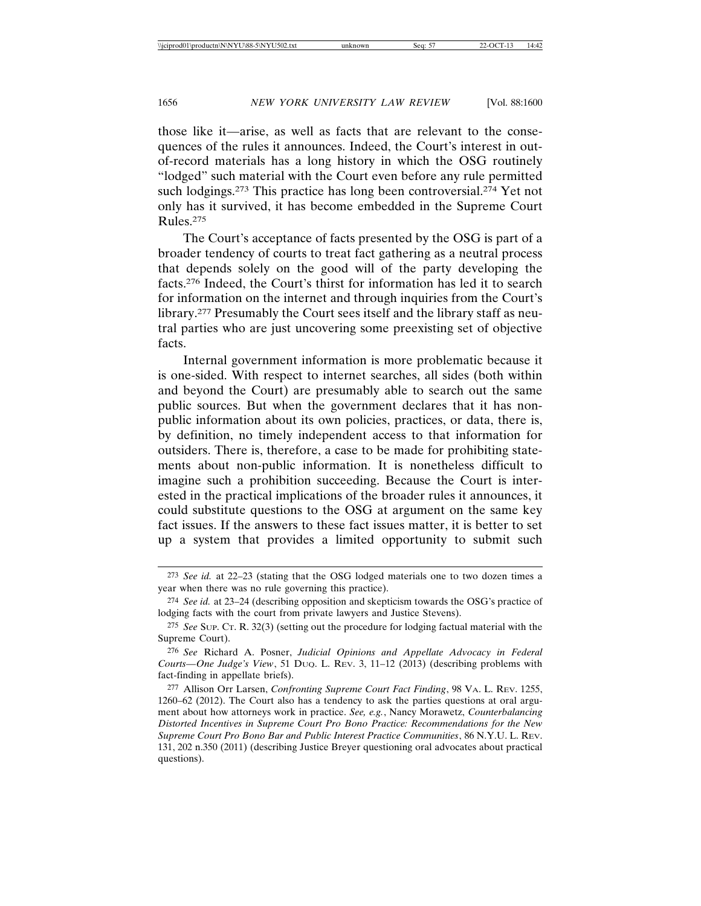those like it—arise, as well as facts that are relevant to the consequences of the rules it announces. Indeed, the Court's interest in outof-record materials has a long history in which the OSG routinely "lodged" such material with the Court even before any rule permitted such lodgings.<sup>273</sup> This practice has long been controversial.<sup>274</sup> Yet not only has it survived, it has become embedded in the Supreme Court Rules.275

The Court's acceptance of facts presented by the OSG is part of a broader tendency of courts to treat fact gathering as a neutral process that depends solely on the good will of the party developing the facts.276 Indeed, the Court's thirst for information has led it to search for information on the internet and through inquiries from the Court's library.277 Presumably the Court sees itself and the library staff as neutral parties who are just uncovering some preexisting set of objective facts.

Internal government information is more problematic because it is one-sided. With respect to internet searches, all sides (both within and beyond the Court) are presumably able to search out the same public sources. But when the government declares that it has nonpublic information about its own policies, practices, or data, there is, by definition, no timely independent access to that information for outsiders. There is, therefore, a case to be made for prohibiting statements about non-public information. It is nonetheless difficult to imagine such a prohibition succeeding. Because the Court is interested in the practical implications of the broader rules it announces, it could substitute questions to the OSG at argument on the same key fact issues. If the answers to these fact issues matter, it is better to set up a system that provides a limited opportunity to submit such

<sup>273</sup> *See id.* at 22–23 (stating that the OSG lodged materials one to two dozen times a year when there was no rule governing this practice).

<sup>274</sup> *See id.* at 23–24 (describing opposition and skepticism towards the OSG's practice of lodging facts with the court from private lawyers and Justice Stevens).

<sup>275</sup> *See* SUP. CT. R. 32(3) (setting out the procedure for lodging factual material with the Supreme Court).

<sup>276</sup> *See* Richard A. Posner, *Judicial Opinions and Appellate Advocacy in Federal Courts—One Judge's View*, 51 DUQ. L. REV. 3, 11–12 (2013) (describing problems with fact-finding in appellate briefs).

<sup>277</sup> Allison Orr Larsen, *Confronting Supreme Court Fact Finding*, 98 VA. L. REV. 1255, 1260–62 (2012). The Court also has a tendency to ask the parties questions at oral argument about how attorneys work in practice. *See, e.g.*, Nancy Morawetz, *Counterbalancing Distorted Incentives in Supreme Court Pro Bono Practice: Recommendations for the New Supreme Court Pro Bono Bar and Public Interest Practice Communities*, 86 N.Y.U. L. REV. 131, 202 n.350 (2011) (describing Justice Breyer questioning oral advocates about practical questions).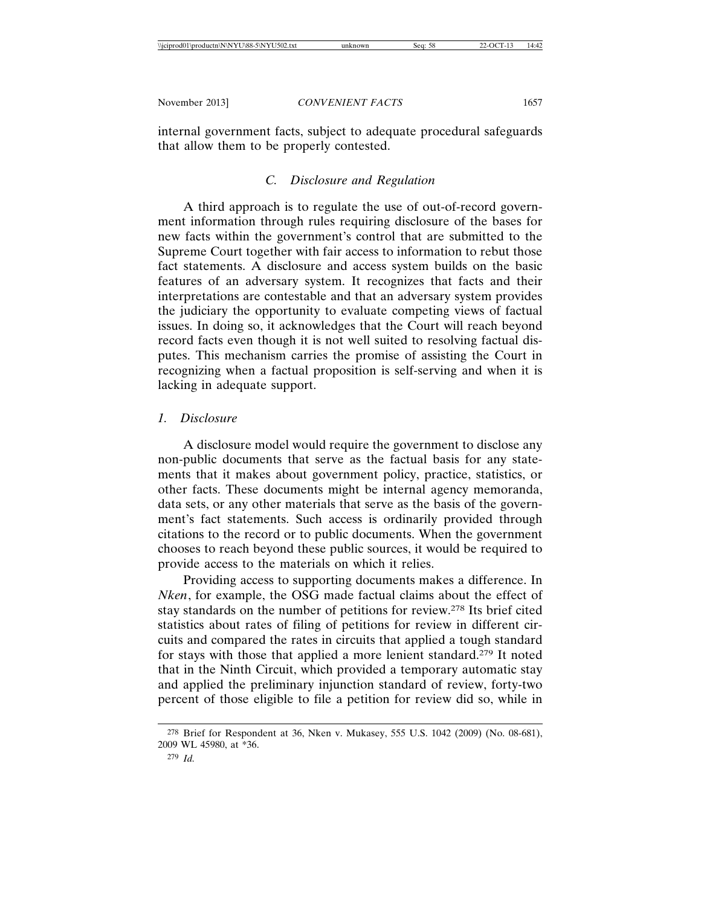internal government facts, subject to adequate procedural safeguards that allow them to be properly contested.

#### *C. Disclosure and Regulation*

A third approach is to regulate the use of out-of-record government information through rules requiring disclosure of the bases for new facts within the government's control that are submitted to the Supreme Court together with fair access to information to rebut those fact statements. A disclosure and access system builds on the basic features of an adversary system. It recognizes that facts and their interpretations are contestable and that an adversary system provides the judiciary the opportunity to evaluate competing views of factual issues. In doing so, it acknowledges that the Court will reach beyond record facts even though it is not well suited to resolving factual disputes. This mechanism carries the promise of assisting the Court in recognizing when a factual proposition is self-serving and when it is lacking in adequate support.

#### *1. Disclosure*

A disclosure model would require the government to disclose any non-public documents that serve as the factual basis for any statements that it makes about government policy, practice, statistics, or other facts. These documents might be internal agency memoranda, data sets, or any other materials that serve as the basis of the government's fact statements. Such access is ordinarily provided through citations to the record or to public documents. When the government chooses to reach beyond these public sources, it would be required to provide access to the materials on which it relies.

Providing access to supporting documents makes a difference. In *Nken*, for example, the OSG made factual claims about the effect of stay standards on the number of petitions for review.278 Its brief cited statistics about rates of filing of petitions for review in different circuits and compared the rates in circuits that applied a tough standard for stays with those that applied a more lenient standard.279 It noted that in the Ninth Circuit, which provided a temporary automatic stay and applied the preliminary injunction standard of review, forty-two percent of those eligible to file a petition for review did so, while in

<sup>278</sup> Brief for Respondent at 36, Nken v. Mukasey, 555 U.S. 1042 (2009) (No. 08-681), 2009 WL 45980, at \*36.

<sup>279</sup> *Id.*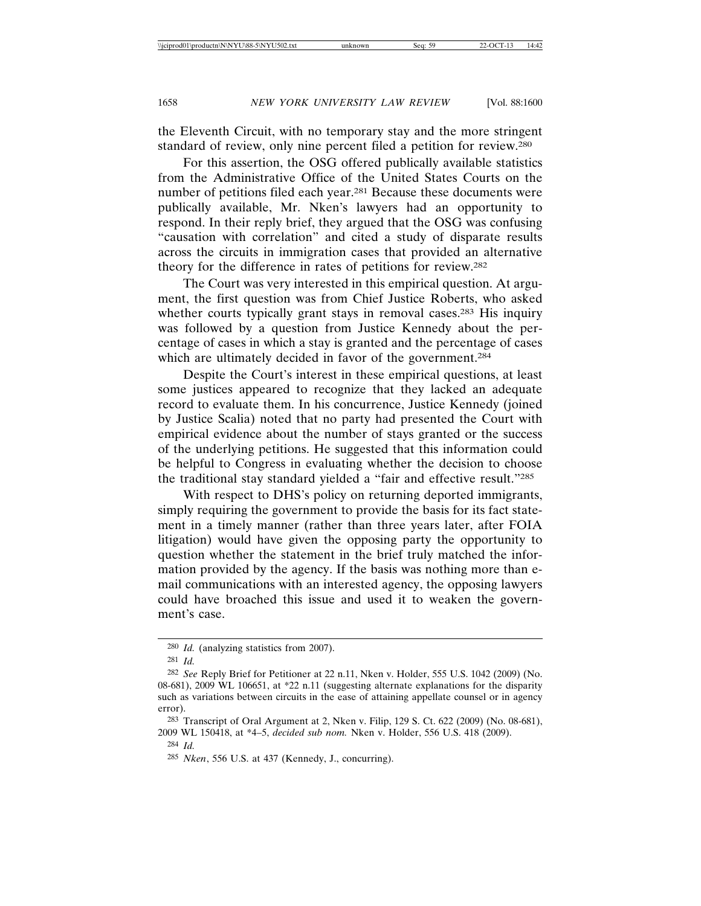the Eleventh Circuit, with no temporary stay and the more stringent standard of review, only nine percent filed a petition for review.280

For this assertion, the OSG offered publically available statistics from the Administrative Office of the United States Courts on the number of petitions filed each year.281 Because these documents were publically available, Mr. Nken's lawyers had an opportunity to respond. In their reply brief, they argued that the OSG was confusing "causation with correlation" and cited a study of disparate results across the circuits in immigration cases that provided an alternative theory for the difference in rates of petitions for review.282

The Court was very interested in this empirical question. At argument, the first question was from Chief Justice Roberts, who asked whether courts typically grant stays in removal cases.<sup>283</sup> His inquiry was followed by a question from Justice Kennedy about the percentage of cases in which a stay is granted and the percentage of cases which are ultimately decided in favor of the government.<sup>284</sup>

Despite the Court's interest in these empirical questions, at least some justices appeared to recognize that they lacked an adequate record to evaluate them. In his concurrence, Justice Kennedy (joined by Justice Scalia) noted that no party had presented the Court with empirical evidence about the number of stays granted or the success of the underlying petitions. He suggested that this information could be helpful to Congress in evaluating whether the decision to choose the traditional stay standard yielded a "fair and effective result."285

With respect to DHS's policy on returning deported immigrants, simply requiring the government to provide the basis for its fact statement in a timely manner (rather than three years later, after FOIA litigation) would have given the opposing party the opportunity to question whether the statement in the brief truly matched the information provided by the agency. If the basis was nothing more than email communications with an interested agency, the opposing lawyers could have broached this issue and used it to weaken the government's case.

284 *Id.*

<sup>280</sup> *Id.* (analyzing statistics from 2007).

<sup>281</sup> *Id.*

<sup>282</sup> *See* Reply Brief for Petitioner at 22 n.11, Nken v. Holder, 555 U.S. 1042 (2009) (No. 08-681), 2009 WL 106651, at \*22 n.11 (suggesting alternate explanations for the disparity such as variations between circuits in the ease of attaining appellate counsel or in agency error).

<sup>283</sup> Transcript of Oral Argument at 2, Nken v. Filip, 129 S. Ct. 622 (2009) (No. 08-681), 2009 WL 150418, at \*4–5, *decided sub nom.* Nken v. Holder, 556 U.S. 418 (2009).

<sup>285</sup> *Nken*, 556 U.S. at 437 (Kennedy, J., concurring).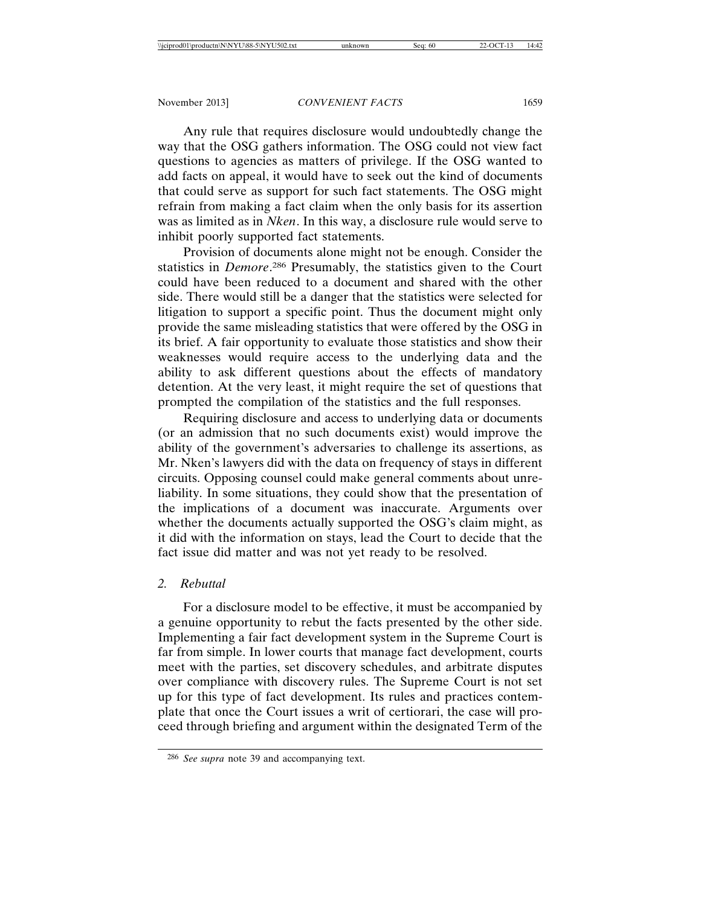Any rule that requires disclosure would undoubtedly change the way that the OSG gathers information. The OSG could not view fact questions to agencies as matters of privilege. If the OSG wanted to add facts on appeal, it would have to seek out the kind of documents that could serve as support for such fact statements. The OSG might refrain from making a fact claim when the only basis for its assertion was as limited as in *Nken*. In this way, a disclosure rule would serve to inhibit poorly supported fact statements.

Provision of documents alone might not be enough. Consider the statistics in *Demore*. 286 Presumably, the statistics given to the Court could have been reduced to a document and shared with the other side. There would still be a danger that the statistics were selected for litigation to support a specific point. Thus the document might only provide the same misleading statistics that were offered by the OSG in its brief. A fair opportunity to evaluate those statistics and show their weaknesses would require access to the underlying data and the ability to ask different questions about the effects of mandatory detention. At the very least, it might require the set of questions that prompted the compilation of the statistics and the full responses.

Requiring disclosure and access to underlying data or documents (or an admission that no such documents exist) would improve the ability of the government's adversaries to challenge its assertions, as Mr. Nken's lawyers did with the data on frequency of stays in different circuits. Opposing counsel could make general comments about unreliability. In some situations, they could show that the presentation of the implications of a document was inaccurate. Arguments over whether the documents actually supported the OSG's claim might, as it did with the information on stays, lead the Court to decide that the fact issue did matter and was not yet ready to be resolved.

#### *2. Rebuttal*

For a disclosure model to be effective, it must be accompanied by a genuine opportunity to rebut the facts presented by the other side. Implementing a fair fact development system in the Supreme Court is far from simple. In lower courts that manage fact development, courts meet with the parties, set discovery schedules, and arbitrate disputes over compliance with discovery rules. The Supreme Court is not set up for this type of fact development. Its rules and practices contemplate that once the Court issues a writ of certiorari, the case will proceed through briefing and argument within the designated Term of the

<sup>286</sup> *See supra* note 39 and accompanying text.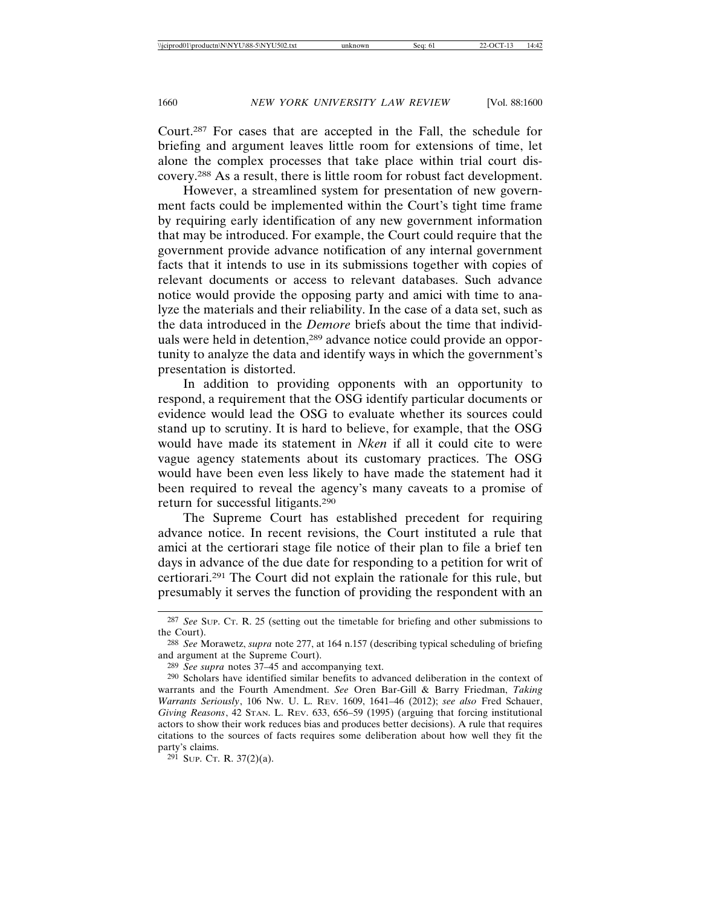Court.287 For cases that are accepted in the Fall, the schedule for briefing and argument leaves little room for extensions of time, let alone the complex processes that take place within trial court discovery.288 As a result, there is little room for robust fact development.

However, a streamlined system for presentation of new government facts could be implemented within the Court's tight time frame by requiring early identification of any new government information that may be introduced. For example, the Court could require that the government provide advance notification of any internal government facts that it intends to use in its submissions together with copies of relevant documents or access to relevant databases. Such advance notice would provide the opposing party and amici with time to analyze the materials and their reliability. In the case of a data set, such as the data introduced in the *Demore* briefs about the time that individuals were held in detention,<sup>289</sup> advance notice could provide an opportunity to analyze the data and identify ways in which the government's presentation is distorted.

In addition to providing opponents with an opportunity to respond, a requirement that the OSG identify particular documents or evidence would lead the OSG to evaluate whether its sources could stand up to scrutiny. It is hard to believe, for example, that the OSG would have made its statement in *Nken* if all it could cite to were vague agency statements about its customary practices. The OSG would have been even less likely to have made the statement had it been required to reveal the agency's many caveats to a promise of return for successful litigants.290

The Supreme Court has established precedent for requiring advance notice. In recent revisions, the Court instituted a rule that amici at the certiorari stage file notice of their plan to file a brief ten days in advance of the due date for responding to a petition for writ of certiorari.291 The Court did not explain the rationale for this rule, but presumably it serves the function of providing the respondent with an

<sup>287</sup> *See* SUP. CT. R. 25 (setting out the timetable for briefing and other submissions to the Court).

<sup>288</sup> *See* Morawetz, *supra* note 277, at 164 n.157 (describing typical scheduling of briefing and argument at the Supreme Court).

<sup>289</sup> *See supra* notes 37–45 and accompanying text.

<sup>290</sup> Scholars have identified similar benefits to advanced deliberation in the context of warrants and the Fourth Amendment. *See* Oren Bar-Gill & Barry Friedman, *Taking Warrants Seriously*, 106 NW. U. L. REV. 1609, 1641–46 (2012); *see also* Fred Schauer, *Giving Reasons*, 42 STAN. L. REV. 633, 656–59 (1995) (arguing that forcing institutional actors to show their work reduces bias and produces better decisions). A rule that requires citations to the sources of facts requires some deliberation about how well they fit the party's claims.

<sup>291</sup> SUP. CT. R. 37(2)(a).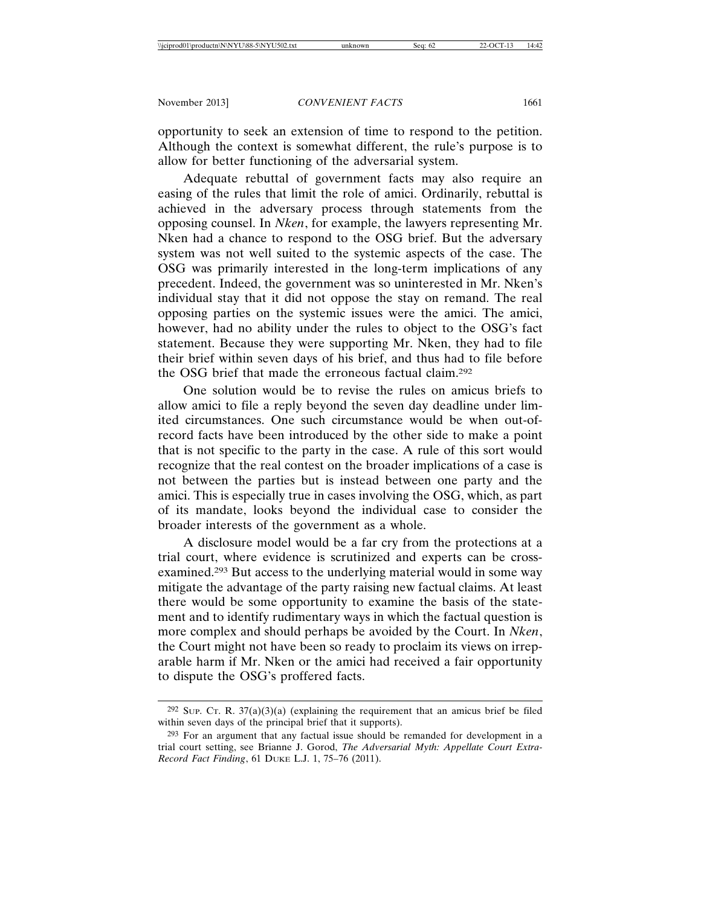opportunity to seek an extension of time to respond to the petition. Although the context is somewhat different, the rule's purpose is to allow for better functioning of the adversarial system.

Adequate rebuttal of government facts may also require an easing of the rules that limit the role of amici. Ordinarily, rebuttal is achieved in the adversary process through statements from the opposing counsel. In *Nken*, for example, the lawyers representing Mr. Nken had a chance to respond to the OSG brief. But the adversary system was not well suited to the systemic aspects of the case. The OSG was primarily interested in the long-term implications of any precedent. Indeed, the government was so uninterested in Mr. Nken's individual stay that it did not oppose the stay on remand. The real opposing parties on the systemic issues were the amici. The amici, however, had no ability under the rules to object to the OSG's fact statement. Because they were supporting Mr. Nken, they had to file their brief within seven days of his brief, and thus had to file before the OSG brief that made the erroneous factual claim.292

One solution would be to revise the rules on amicus briefs to allow amici to file a reply beyond the seven day deadline under limited circumstances. One such circumstance would be when out-ofrecord facts have been introduced by the other side to make a point that is not specific to the party in the case. A rule of this sort would recognize that the real contest on the broader implications of a case is not between the parties but is instead between one party and the amici. This is especially true in cases involving the OSG, which, as part of its mandate, looks beyond the individual case to consider the broader interests of the government as a whole.

A disclosure model would be a far cry from the protections at a trial court, where evidence is scrutinized and experts can be crossexamined.293 But access to the underlying material would in some way mitigate the advantage of the party raising new factual claims. At least there would be some opportunity to examine the basis of the statement and to identify rudimentary ways in which the factual question is more complex and should perhaps be avoided by the Court. In *Nken*, the Court might not have been so ready to proclaim its views on irreparable harm if Mr. Nken or the amici had received a fair opportunity to dispute the OSG's proffered facts.

 $292$  Sup. Cr. R.  $37(a)(3)(a)$  (explaining the requirement that an amicus brief be filed within seven days of the principal brief that it supports).

<sup>293</sup> For an argument that any factual issue should be remanded for development in a trial court setting, see Brianne J. Gorod, *The Adversarial Myth: Appellate Court Extra-Record Fact Finding*, 61 DUKE L.J. 1, 75–76 (2011).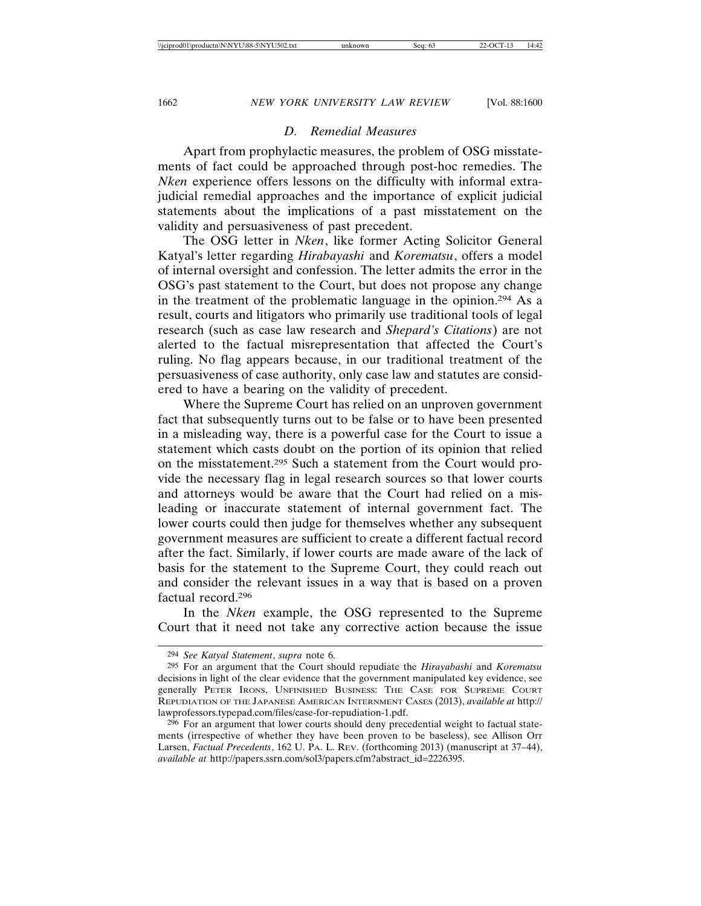#### *D. Remedial Measures*

Apart from prophylactic measures, the problem of OSG misstatements of fact could be approached through post-hoc remedies. The *Nken* experience offers lessons on the difficulty with informal extrajudicial remedial approaches and the importance of explicit judicial statements about the implications of a past misstatement on the validity and persuasiveness of past precedent.

The OSG letter in *Nken*, like former Acting Solicitor General Katyal's letter regarding *Hirabayashi* and *Korematsu*, offers a model of internal oversight and confession. The letter admits the error in the OSG's past statement to the Court, but does not propose any change in the treatment of the problematic language in the opinion.294 As a result, courts and litigators who primarily use traditional tools of legal research (such as case law research and *Shepard's Citations*) are not alerted to the factual misrepresentation that affected the Court's ruling. No flag appears because, in our traditional treatment of the persuasiveness of case authority, only case law and statutes are considered to have a bearing on the validity of precedent.

Where the Supreme Court has relied on an unproven government fact that subsequently turns out to be false or to have been presented in a misleading way, there is a powerful case for the Court to issue a statement which casts doubt on the portion of its opinion that relied on the misstatement.295 Such a statement from the Court would provide the necessary flag in legal research sources so that lower courts and attorneys would be aware that the Court had relied on a misleading or inaccurate statement of internal government fact. The lower courts could then judge for themselves whether any subsequent government measures are sufficient to create a different factual record after the fact. Similarly, if lower courts are made aware of the lack of basis for the statement to the Supreme Court, they could reach out and consider the relevant issues in a way that is based on a proven factual record.296

In the *Nken* example, the OSG represented to the Supreme Court that it need not take any corrective action because the issue

<sup>294</sup> *See Katyal Statement*, *supra* note 6.

<sup>295</sup> For an argument that the Court should repudiate the *Hirayabashi* and *Korematsu* decisions in light of the clear evidence that the government manipulated key evidence, see generally PETER IRONS, UNFINISHED BUSINESS: THE CASE FOR SUPREME COURT REPUDIATION OF THE JAPANESE AMERICAN INTERNMENT CASES (2013), *available at* http:// lawprofessors.typepad.com/files/case-for-repudiation-1.pdf.

<sup>&</sup>lt;sup>296</sup> For an argument that lower courts should deny precedential weight to factual statements (irrespective of whether they have been proven to be baseless), see Allison Orr Larsen, *Factual Precedents*, 162 U. PA. L. REV. (forthcoming 2013) (manuscript at 37–44), *available at* http://papers.ssrn.com/sol3/papers.cfm?abstract\_id=2226395.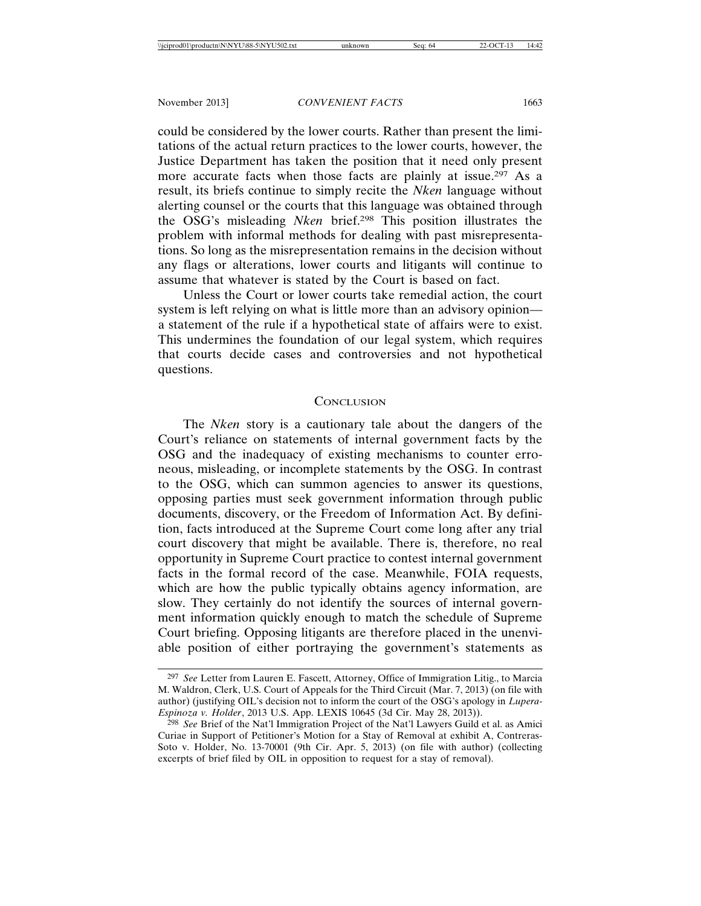could be considered by the lower courts. Rather than present the limitations of the actual return practices to the lower courts, however, the Justice Department has taken the position that it need only present more accurate facts when those facts are plainly at issue.297 As a result, its briefs continue to simply recite the *Nken* language without alerting counsel or the courts that this language was obtained through the OSG's misleading *Nken* brief.298 This position illustrates the problem with informal methods for dealing with past misrepresentations. So long as the misrepresentation remains in the decision without any flags or alterations, lower courts and litigants will continue to assume that whatever is stated by the Court is based on fact.

Unless the Court or lower courts take remedial action, the court system is left relying on what is little more than an advisory opinion a statement of the rule if a hypothetical state of affairs were to exist. This undermines the foundation of our legal system, which requires that courts decide cases and controversies and not hypothetical questions.

#### **CONCLUSION**

The *Nken* story is a cautionary tale about the dangers of the Court's reliance on statements of internal government facts by the OSG and the inadequacy of existing mechanisms to counter erroneous, misleading, or incomplete statements by the OSG. In contrast to the OSG, which can summon agencies to answer its questions, opposing parties must seek government information through public documents, discovery, or the Freedom of Information Act. By definition, facts introduced at the Supreme Court come long after any trial court discovery that might be available. There is, therefore, no real opportunity in Supreme Court practice to contest internal government facts in the formal record of the case. Meanwhile, FOIA requests, which are how the public typically obtains agency information, are slow. They certainly do not identify the sources of internal government information quickly enough to match the schedule of Supreme Court briefing. Opposing litigants are therefore placed in the unenviable position of either portraying the government's statements as

<sup>297</sup> *See* Letter from Lauren E. Fascett, Attorney, Office of Immigration Litig., to Marcia M. Waldron, Clerk, U.S. Court of Appeals for the Third Circuit (Mar. 7, 2013) (on file with author) (justifying OIL's decision not to inform the court of the OSG's apology in *Lupera-Espinoza v. Holder*, 2013 U.S. App. LEXIS 10645 (3d Cir. May 28, 2013)).

<sup>298</sup> *See* Brief of the Nat'l Immigration Project of the Nat'l Lawyers Guild et al. as Amici Curiae in Support of Petitioner's Motion for a Stay of Removal at exhibit A, Contreras-Soto v. Holder, No. 13-70001 (9th Cir. Apr. 5, 2013) (on file with author) (collecting excerpts of brief filed by OIL in opposition to request for a stay of removal).